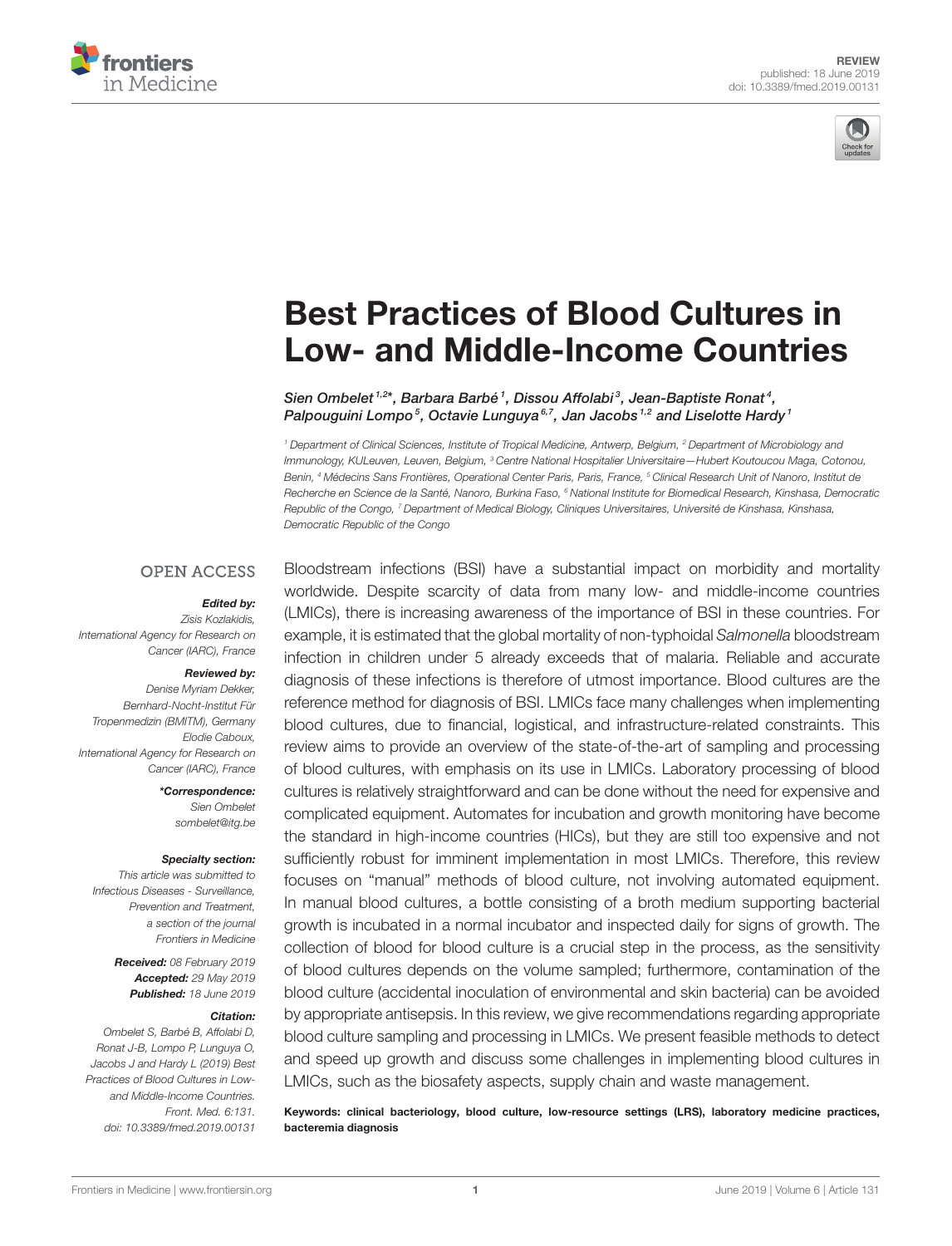



# [Best Practices of Blood Cultures in](https://www.frontiersin.org/articles/10.3389/fmed.2019.00131/full) Low- and Middle-Income Countries

[Sien Ombelet](http://loop.frontiersin.org/people/683956/overview) <sup>1,2\*</sup>, Barbara Barbé <sup>1</sup>, Dissou Affolabi <sup>3</sup>, [Jean-Baptiste Ronat](http://loop.frontiersin.org/people/699314/overview) <sup>4</sup>, [Palpouguini Lompo](http://loop.frontiersin.org/people/733091/overview)<sup>5</sup>, Octavie Lunguya<sup>6,7</sup>, Jan Jacobs<sup>1,2</sup> and [Liselotte Hardy](http://loop.frontiersin.org/people/279282/overview)<sup>1</sup>

<sup>1</sup> Department of Clinical Sciences, Institute of Tropical Medicine, Antwerp, Belgium, <sup>2</sup> Department of Microbiology and Immunology, KULeuven, Leuven, Belgium, <sup>3</sup> Centre National Hospitalier Universitaire-Hubert Koutoucou Maga, Cotonou, Benin, <sup>4</sup> Médecins Sans Frontières, Operational Center Paris, Paris, France, <sup>5</sup> Clinical Research Unit of Nanoro, Institut de Recherche en Science de la Santé, Nanoro, Burkina Faso, <sup>6</sup> National Institute for Biomedical Research, Kinshasa, Democratic Republic of the Congo, <sup>7</sup> Department of Medical Biology, Cliniques Universitaires, Université de Kinshasa, Kinshasa, Democratic Republic of the Congo

#### **OPEN ACCESS**

#### Edited by:

Zisis Kozlakidis, International Agency for Research on Cancer (IARC), France

#### Reviewed by:

Denise Myriam Dekker, Bernhard-Nocht-Institut Für Tropenmedizin (BMITM), Germany Elodie Caboux, International Agency for Research on Cancer (IARC), France

> \*Correspondence: Sien Ombelet [sombelet@itg.be](mailto:sombelet@itg.be)

#### Specialty section:

This article was submitted to Infectious Diseases - Surveillance, Prevention and Treatment, a section of the journal Frontiers in Medicine

> Received: 08 February 2019 Accepted: 29 May 2019 Published: 18 June 2019

#### Citation:

Ombelet S, Barbé B, Affolabi D, Ronat J-B, Lompo P, Lunguya O, Jacobs J and Hardy L (2019) Best Practices of Blood Cultures in Lowand Middle-Income Countries. Front. Med. 6:131. doi: [10.3389/fmed.2019.00131](https://doi.org/10.3389/fmed.2019.00131)

Bloodstream infections (BSI) have a substantial impact on morbidity and mortality worldwide. Despite scarcity of data from many low- and middle-income countries (LMICs), there is increasing awareness of the importance of BSI in these countries. For example, it is estimated that the global mortality of non-typhoidal Salmonella bloodstream infection in children under 5 already exceeds that of malaria. Reliable and accurate diagnosis of these infections is therefore of utmost importance. Blood cultures are the reference method for diagnosis of BSI. LMICs face many challenges when implementing blood cultures, due to financial, logistical, and infrastructure-related constraints. This review aims to provide an overview of the state-of-the-art of sampling and processing of blood cultures, with emphasis on its use in LMICs. Laboratory processing of blood cultures is relatively straightforward and can be done without the need for expensive and complicated equipment. Automates for incubation and growth monitoring have become the standard in high-income countries (HICs), but they are still too expensive and not sufficiently robust for imminent implementation in most LMICs. Therefore, this review focuses on "manual" methods of blood culture, not involving automated equipment. In manual blood cultures, a bottle consisting of a broth medium supporting bacterial growth is incubated in a normal incubator and inspected daily for signs of growth. The collection of blood for blood culture is a crucial step in the process, as the sensitivity of blood cultures depends on the volume sampled; furthermore, contamination of the blood culture (accidental inoculation of environmental and skin bacteria) can be avoided by appropriate antisepsis. In this review, we give recommendations regarding appropriate blood culture sampling and processing in LMICs. We present feasible methods to detect and speed up growth and discuss some challenges in implementing blood cultures in LMICs, such as the biosafety aspects, supply chain and waste management.

Keywords: clinical bacteriology, blood culture, low-resource settings (LRS), laboratory medicine practices, bacteremia diagnosis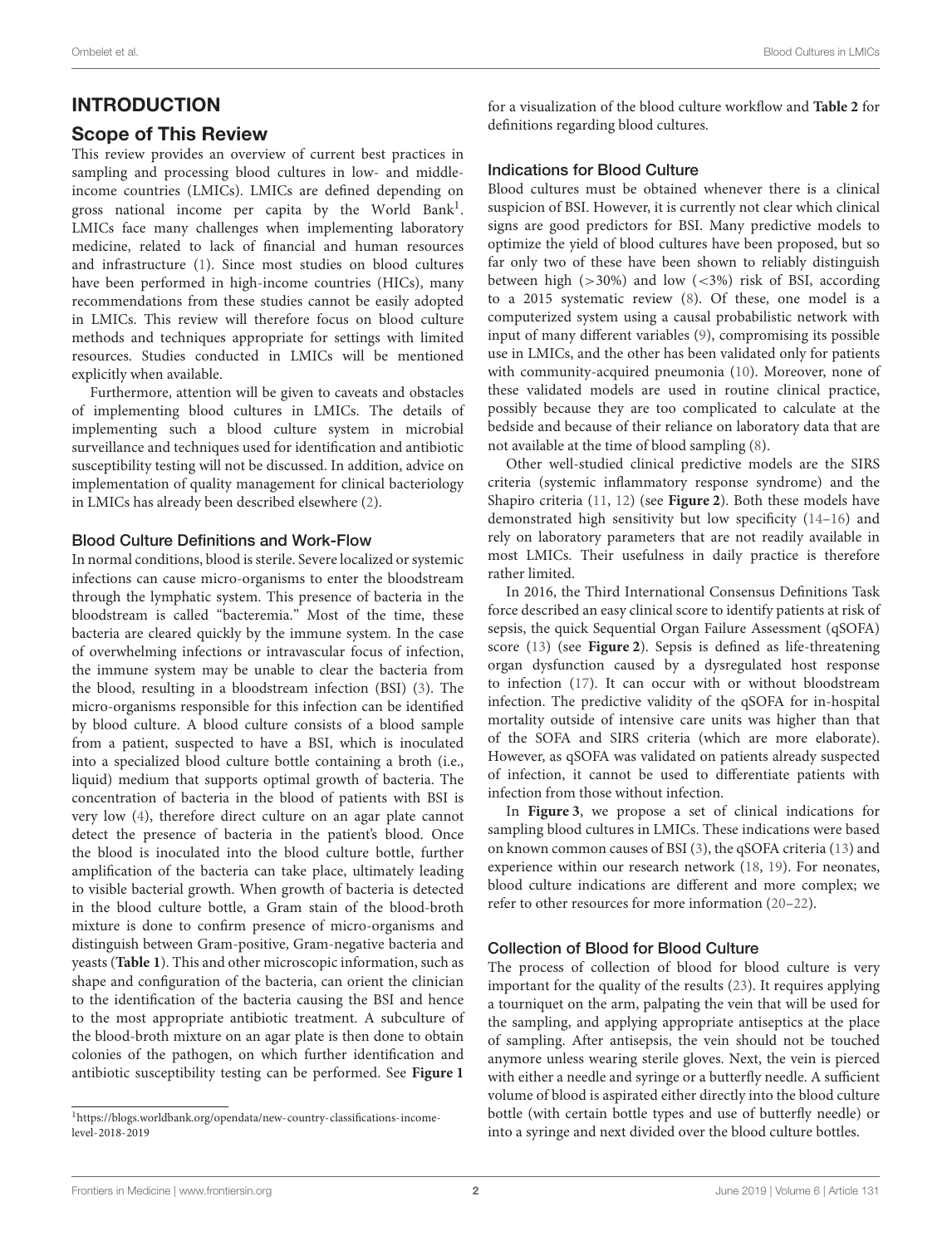## INTRODUCTION

#### Scope of This Review

This review provides an overview of current best practices in sampling and processing blood cultures in low- and middleincome countries (LMICs). LMICs are defined depending on gross national income per capita by the World Bank<sup>[1](#page-1-0)</sup>. LMICs face many challenges when implementing laboratory medicine, related to lack of financial and human resources and infrastructure [\(1\)](#page-18-0). Since most studies on blood cultures have been performed in high-income countries (HICs), many recommendations from these studies cannot be easily adopted in LMICs. This review will therefore focus on blood culture methods and techniques appropriate for settings with limited resources. Studies conducted in LMICs will be mentioned explicitly when available.

Furthermore, attention will be given to caveats and obstacles of implementing blood cultures in LMICs. The details of implementing such a blood culture system in microbial surveillance and techniques used for identification and antibiotic susceptibility testing will not be discussed. In addition, advice on implementation of quality management for clinical bacteriology in LMICs has already been described elsewhere [\(2\)](#page-18-1).

#### Blood Culture Definitions and Work-Flow

In normal conditions, blood is sterile. Severe localized or systemic infections can cause micro-organisms to enter the bloodstream through the lymphatic system. This presence of bacteria in the bloodstream is called "bacteremia." Most of the time, these bacteria are cleared quickly by the immune system. In the case of overwhelming infections or intravascular focus of infection, the immune system may be unable to clear the bacteria from the blood, resulting in a bloodstream infection (BSI) [\(3\)](#page-18-2). The micro-organisms responsible for this infection can be identified by blood culture. A blood culture consists of a blood sample from a patient, suspected to have a BSI, which is inoculated into a specialized blood culture bottle containing a broth (i.e., liquid) medium that supports optimal growth of bacteria. The concentration of bacteria in the blood of patients with BSI is very low [\(4\)](#page-18-3), therefore direct culture on an agar plate cannot detect the presence of bacteria in the patient's blood. Once the blood is inoculated into the blood culture bottle, further amplification of the bacteria can take place, ultimately leading to visible bacterial growth. When growth of bacteria is detected in the blood culture bottle, a Gram stain of the blood-broth mixture is done to confirm presence of micro-organisms and distinguish between Gram-positive, Gram-negative bacteria and yeasts (**[Table 1](#page-3-0)**). This and other microscopic information, such as shape and configuration of the bacteria, can orient the clinician to the identification of the bacteria causing the BSI and hence to the most appropriate antibiotic treatment. A subculture of the blood-broth mixture on an agar plate is then done to obtain colonies of the pathogen, on which further identification and antibiotic susceptibility testing can be performed. See **[Figure 1](#page-2-0)** for a visualization of the blood culture workflow and **[Table 2](#page-5-0)** for definitions regarding blood cultures.

#### Indications for Blood Culture

Blood cultures must be obtained whenever there is a clinical suspicion of BSI. However, it is currently not clear which clinical signs are good predictors for BSI. Many predictive models to optimize the yield of blood cultures have been proposed, but so far only two of these have been shown to reliably distinguish between high ( $>30\%$ ) and low ( $<3\%$ ) risk of BSI, according to a 2015 systematic review [\(8\)](#page-19-0). Of these, one model is a computerized system using a causal probabilistic network with input of many different variables [\(9\)](#page-19-1), compromising its possible use in LMICs, and the other has been validated only for patients with community-acquired pneumonia [\(10\)](#page-19-2). Moreover, none of these validated models are used in routine clinical practice, possibly because they are too complicated to calculate at the bedside and because of their reliance on laboratory data that are not available at the time of blood sampling [\(8\)](#page-19-0).

Other well-studied clinical predictive models are the SIRS criteria (systemic inflammatory response syndrome) and the Shapiro criteria [\(11,](#page-19-3) [12\)](#page-19-4) (see **[Figure 2](#page-4-0)**). Both these models have demonstrated high sensitivity but low specificity [\(14–](#page-19-5)[16\)](#page-19-6) and rely on laboratory parameters that are not readily available in most LMICs. Their usefulness in daily practice is therefore rather limited.

In 2016, the Third International Consensus Definitions Task force described an easy clinical score to identify patients at risk of sepsis, the quick Sequential Organ Failure Assessment (qSOFA) score [\(13\)](#page-19-7) (see **[Figure 2](#page-4-0)**). Sepsis is defined as life-threatening organ dysfunction caused by a dysregulated host response to infection [\(17\)](#page-19-8). It can occur with or without bloodstream infection. The predictive validity of the qSOFA for in-hospital mortality outside of intensive care units was higher than that of the SOFA and SIRS criteria (which are more elaborate). However, as qSOFA was validated on patients already suspected of infection, it cannot be used to differentiate patients with infection from those without infection.

In **[Figure 3](#page-4-1)**, we propose a set of clinical indications for sampling blood cultures in LMICs. These indications were based on known common causes of BSI [\(3\)](#page-18-2), the qSOFA criteria [\(13\)](#page-19-7) and experience within our research network [\(18,](#page-19-9) [19\)](#page-19-10). For neonates, blood culture indications are different and more complex; we refer to other resources for more information [\(20](#page-19-11)[–22\)](#page-19-12).

#### Collection of Blood for Blood Culture

The process of collection of blood for blood culture is very important for the quality of the results [\(23\)](#page-19-13). It requires applying a tourniquet on the arm, palpating the vein that will be used for the sampling, and applying appropriate antiseptics at the place of sampling. After antisepsis, the vein should not be touched anymore unless wearing sterile gloves. Next, the vein is pierced with either a needle and syringe or a butterfly needle. A sufficient volume of blood is aspirated either directly into the blood culture bottle (with certain bottle types and use of butterfly needle) or into a syringe and next divided over the blood culture bottles.

<span id="page-1-0"></span><sup>1</sup>[https://blogs.worldbank.org/opendata/new-country-classifications-income](https://blogs.worldbank.org/opendata/new-country-classifications-income-level-2018-2019)[level-2018-2019](https://blogs.worldbank.org/opendata/new-country-classifications-income-level-2018-2019)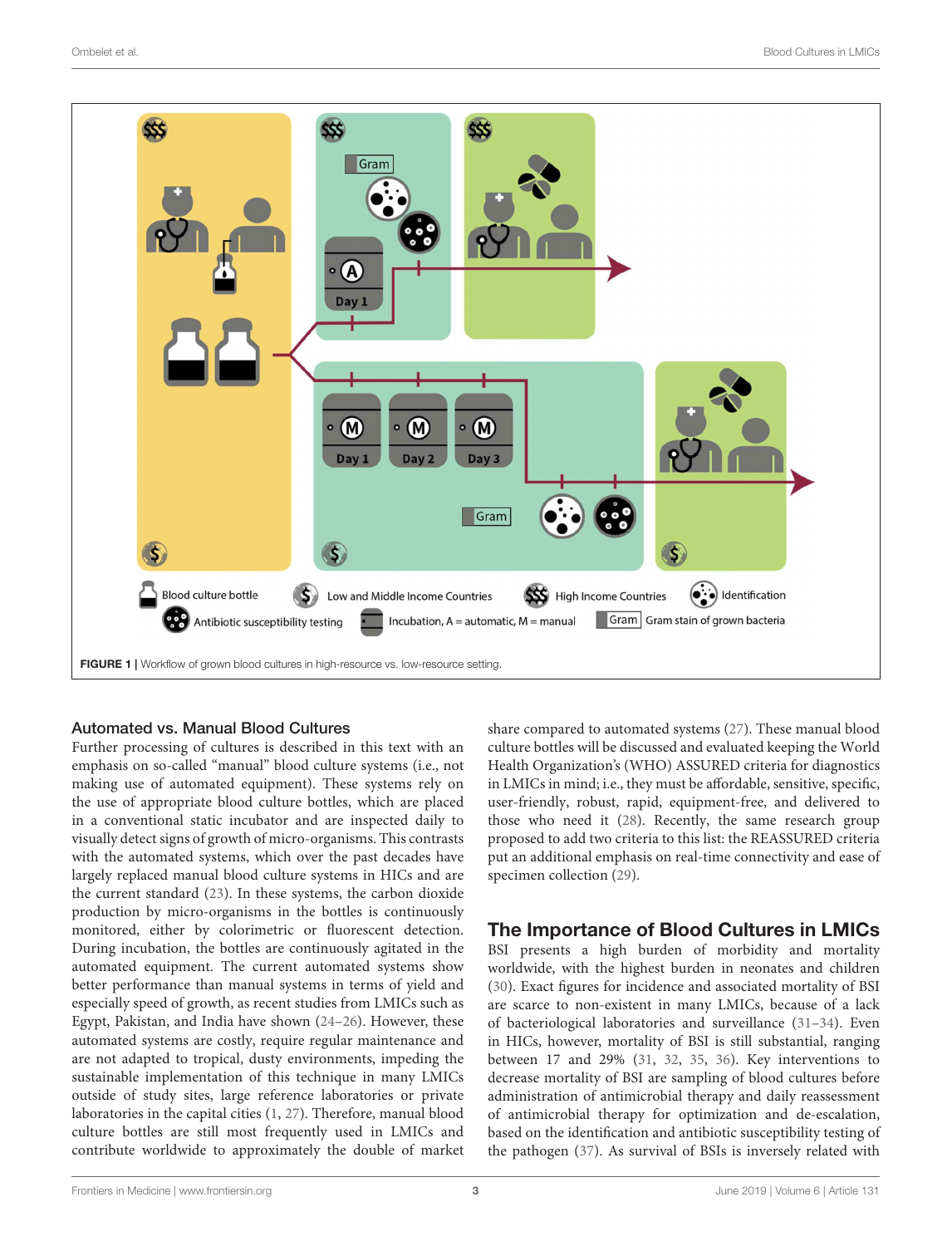

#### <span id="page-2-0"></span>Automated vs. Manual Blood Cultures

Further processing of cultures is described in this text with an emphasis on so-called "manual" blood culture systems (i.e., not making use of automated equipment). These systems rely on the use of appropriate blood culture bottles, which are placed in a conventional static incubator and are inspected daily to visually detect signs of growth of micro-organisms. This contrasts with the automated systems, which over the past decades have largely replaced manual blood culture systems in HICs and are the current standard [\(23\)](#page-19-13). In these systems, the carbon dioxide production by micro-organisms in the bottles is continuously monitored, either by colorimetric or fluorescent detection. During incubation, the bottles are continuously agitated in the automated equipment. The current automated systems show better performance than manual systems in terms of yield and especially speed of growth, as recent studies from LMICs such as Egypt, Pakistan, and India have shown [\(24](#page-19-14)[–26\)](#page-19-15). However, these automated systems are costly, require regular maintenance and are not adapted to tropical, dusty environments, impeding the sustainable implementation of this technique in many LMICs outside of study sites, large reference laboratories or private laboratories in the capital cities [\(1,](#page-18-0) [27\)](#page-19-16). Therefore, manual blood culture bottles are still most frequently used in LMICs and contribute worldwide to approximately the double of market share compared to automated systems [\(27\)](#page-19-16). These manual blood culture bottles will be discussed and evaluated keeping the World Health Organization's (WHO) ASSURED criteria for diagnostics in LMICs in mind; i.e., they must be affordable, sensitive, specific, user-friendly, robust, rapid, equipment-free, and delivered to those who need it [\(28\)](#page-19-17). Recently, the same research group proposed to add two criteria to this list: the REASSURED criteria put an additional emphasis on real-time connectivity and ease of specimen collection [\(29\)](#page-19-18).

## The Importance of Blood Cultures in LMICs

BSI presents a high burden of morbidity and mortality worldwide, with the highest burden in neonates and children [\(30\)](#page-19-19). Exact figures for incidence and associated mortality of BSI are scarce to non-existent in many LMICs, because of a lack of bacteriological laboratories and surveillance [\(31–](#page-19-20)[34\)](#page-19-21). Even in HICs, however, mortality of BSI is still substantial, ranging between 17 and 29% [\(31,](#page-19-20) [32,](#page-19-22) [35,](#page-19-23) [36\)](#page-19-24). Key interventions to decrease mortality of BSI are sampling of blood cultures before administration of antimicrobial therapy and daily reassessment of antimicrobial therapy for optimization and de-escalation, based on the identification and antibiotic susceptibility testing of the pathogen [\(37\)](#page-19-25). As survival of BSIs is inversely related with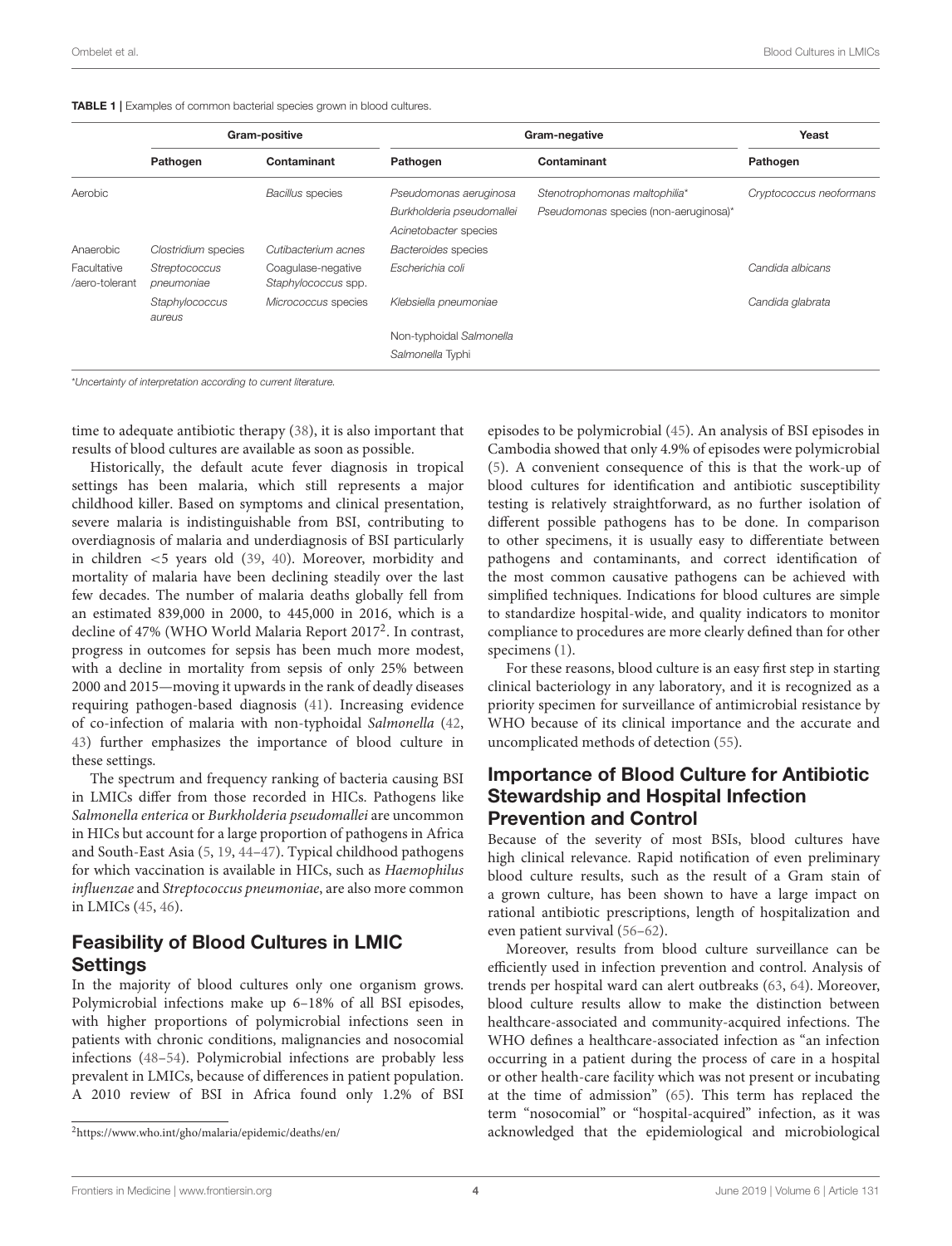<span id="page-3-0"></span>

|                               | Gram-positive               |                                           | Gram-negative                                                                |                                                                        | Yeast                   |  |
|-------------------------------|-----------------------------|-------------------------------------------|------------------------------------------------------------------------------|------------------------------------------------------------------------|-------------------------|--|
|                               | Pathogen                    | Contaminant                               | Pathogen                                                                     | Contaminant                                                            | Pathogen                |  |
| Aerobic                       |                             | <b>Bacillus</b> species                   | Pseudomonas aeruginosa<br>Burkholderia pseudomallei<br>Acinetobacter species | Stenotrophomonas maltophilia*<br>Pseudomonas species (non-aeruginosa)* | Cryptococcus neoformans |  |
| Anaerobic                     | Clostridium species         | Cutibacterium acnes                       | Bacteroides species                                                          |                                                                        |                         |  |
| Facultative<br>/aero-tolerant | Streptococcus<br>pneumoniae | Coaqulase-negative<br>Staphylococcus spp. | Escherichia coli                                                             |                                                                        | Candida albicans        |  |
|                               | Staphylococcus<br>aureus    | Micrococcus species                       | Klebsiella pneumoniae                                                        |                                                                        | Candida glabrata        |  |
|                               |                             |                                           | Non-typhoidal Salmonella                                                     |                                                                        |                         |  |
|                               |                             |                                           | Salmonella Typhi                                                             |                                                                        |                         |  |

\*Uncertainty of interpretation according to current literature.

time to adequate antibiotic therapy [\(38\)](#page-19-26), it is also important that results of blood cultures are available as soon as possible.

Historically, the default acute fever diagnosis in tropical settings has been malaria, which still represents a major childhood killer. Based on symptoms and clinical presentation, severe malaria is indistinguishable from BSI, contributing to overdiagnosis of malaria and underdiagnosis of BSI particularly in children <5 years old [\(39,](#page-19-27) [40\)](#page-19-28). Moreover, morbidity and mortality of malaria have been declining steadily over the last few decades. The number of malaria deaths globally fell from an estimated 839,000 in 2000, to 445,000 in 2016, which is a decline of 47% (WHO World Malaria Report [2](#page-3-1)017<sup>2</sup>. In contrast, progress in outcomes for sepsis has been much more modest, with a decline in mortality from sepsis of only 25% between 2000 and 2015—moving it upwards in the rank of deadly diseases requiring pathogen-based diagnosis [\(41\)](#page-19-29). Increasing evidence of co-infection of malaria with non-typhoidal Salmonella [\(42,](#page-19-30) [43\)](#page-19-31) further emphasizes the importance of blood culture in these settings.

The spectrum and frequency ranking of bacteria causing BSI in LMICs differ from those recorded in HICs. Pathogens like Salmonella enterica or Burkholderia pseudomallei are uncommon in HICs but account for a large proportion of pathogens in Africa and South-East Asia [\(5,](#page-18-4) [19,](#page-19-10) [44](#page-19-32)[–47\)](#page-20-0). Typical childhood pathogens for which vaccination is available in HICs, such as Haemophilus influenzae and Streptococcus pneumoniae, are also more common in LMICs [\(45,](#page-20-1) [46\)](#page-20-2).

## Feasibility of Blood Cultures in LMIC **Settings**

In the majority of blood cultures only one organism grows. Polymicrobial infections make up 6–18% of all BSI episodes, with higher proportions of polymicrobial infections seen in patients with chronic conditions, malignancies and nosocomial infections [\(48](#page-20-3)[–54\)](#page-20-4). Polymicrobial infections are probably less prevalent in LMICs, because of differences in patient population. A 2010 review of BSI in Africa found only 1.2% of BSI

episodes to be polymicrobial [\(45\)](#page-20-1). An analysis of BSI episodes in Cambodia showed that only 4.9% of episodes were polymicrobial [\(5\)](#page-18-4). A convenient consequence of this is that the work-up of blood cultures for identification and antibiotic susceptibility testing is relatively straightforward, as no further isolation of different possible pathogens has to be done. In comparison to other specimens, it is usually easy to differentiate between pathogens and contaminants, and correct identification of the most common causative pathogens can be achieved with simplified techniques. Indications for blood cultures are simple to standardize hospital-wide, and quality indicators to monitor compliance to procedures are more clearly defined than for other specimens [\(1\)](#page-18-0).

For these reasons, blood culture is an easy first step in starting clinical bacteriology in any laboratory, and it is recognized as a priority specimen for surveillance of antimicrobial resistance by WHO because of its clinical importance and the accurate and uncomplicated methods of detection [\(55\)](#page-20-5).

## Importance of Blood Culture for Antibiotic Stewardship and Hospital Infection Prevention and Control

Because of the severity of most BSIs, blood cultures have high clinical relevance. Rapid notification of even preliminary blood culture results, such as the result of a Gram stain of a grown culture, has been shown to have a large impact on rational antibiotic prescriptions, length of hospitalization and even patient survival [\(56](#page-20-6)[–62\)](#page-20-7).

Moreover, results from blood culture surveillance can be efficiently used in infection prevention and control. Analysis of trends per hospital ward can alert outbreaks [\(63,](#page-20-8) [64\)](#page-20-9). Moreover, blood culture results allow to make the distinction between healthcare-associated and community-acquired infections. The WHO defines a healthcare-associated infection as "an infection occurring in a patient during the process of care in a hospital or other health-care facility which was not present or incubating at the time of admission" [\(65\)](#page-20-10). This term has replaced the term "nosocomial" or "hospital-acquired" infection, as it was acknowledged that the epidemiological and microbiological

<span id="page-3-1"></span><sup>2</sup><https://www.who.int/gho/malaria/epidemic/deaths/en/>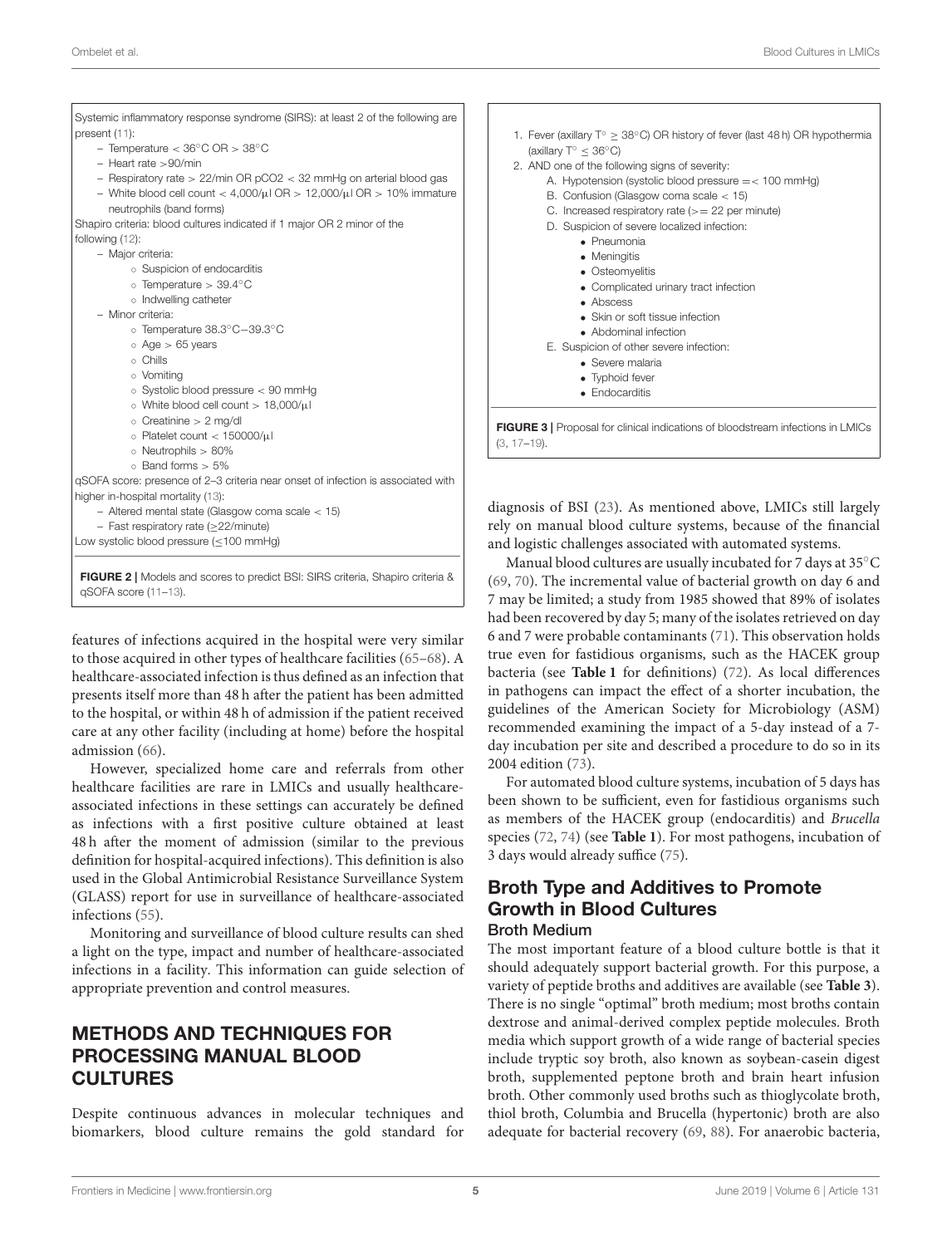| Systemic inflammatory response syndrome (SIRS): at least 2 of the following are  |  |
|----------------------------------------------------------------------------------|--|
| present (11):                                                                    |  |
| - Temperature $<$ 36 $^{\circ}$ C OR $>$ 38 $^{\circ}$ C                         |  |
| $-$ Heart rate $>90$ /min                                                        |  |
| - Respiratory rate $> 22$ /min OR pCO2 $<$ 32 mmHg on arterial blood gas         |  |
| - White blood cell count < $4,000/\mu$ l OR > 12,000/ $\mu$ l OR > 10% immature  |  |
| neutrophils (band forms)                                                         |  |
| Shapiro criteria: blood cultures indicated if 1 major OR 2 minor of the          |  |
| following $(12)$ :                                                               |  |
| - Major criteria:                                                                |  |
| ○ Suspicion of endocarditis                                                      |  |
| $\circ$ Temperature > 39.4 $\circ$ C                                             |  |
| o Indwelling catheter                                                            |  |
| - Minor criteria:                                                                |  |
| o Temperature 38.3°C-39.3°C                                                      |  |
| $\circ$ Age $> 65$ years                                                         |  |
| o Chills                                                                         |  |
| o Vomitina                                                                       |  |
| $\circ$ Systolic blood pressure $< 90$ mmHg                                      |  |
| o White blood cell count > 18,000/µl                                             |  |
| $\circ$ Creatinine $> 2$ mg/dl                                                   |  |
| o Platelet count $<$ 150000/ $\mu$ l                                             |  |
| $\circ$ Neutrophils $> 80\%$                                                     |  |
| $\circ$ Band forms $> 5\%$                                                       |  |
| qSOFA score: presence of 2-3 criteria near onset of infection is associated with |  |
| higher in-hospital mortality (13):                                               |  |
| $-$ Altered mental state (Glasgow coma scale $<$ 15)                             |  |
| $-$ Fast respiratory rate ( $\geq$ 22/minute)                                    |  |
| Low systolic blood pressure $(\leq 100 \text{ mmHg})$                            |  |

<span id="page-4-0"></span>features of infections acquired in the hospital were very similar to those acquired in other types of healthcare facilities [\(65](#page-20-10)[–68\)](#page-20-11). A healthcare-associated infection is thus defined as an infection that presents itself more than 48 h after the patient has been admitted to the hospital, or within 48 h of admission if the patient received care at any other facility (including at home) before the hospital admission [\(66\)](#page-20-12).

However, specialized home care and referrals from other healthcare facilities are rare in LMICs and usually healthcareassociated infections in these settings can accurately be defined as infections with a first positive culture obtained at least 48 h after the moment of admission (similar to the previous definition for hospital-acquired infections). This definition is also used in the Global Antimicrobial Resistance Surveillance System (GLASS) report for use in surveillance of healthcare-associated infections [\(55\)](#page-20-5).

Monitoring and surveillance of blood culture results can shed a light on the type, impact and number of healthcare-associated infections in a facility. This information can guide selection of appropriate prevention and control measures.

## METHODS AND TECHNIQUES FOR PROCESSING MANUAL BLOOD **CULTURES**

Despite continuous advances in molecular techniques and biomarkers, blood culture remains the gold standard for



<span id="page-4-1"></span>agnosis of BSI [\(23\)](#page-19-13). As mentioned above, LMICs still largely ly on manual blood culture systems, because of the financial d logistic challenges associated with automated systems.

Manual blood cultures are usually incubated for 7 days at 35°C 9, [70\)](#page-20-14). The incremental value of bacterial growth on day 6 and 7 may be limited; a study from 1985 showed that 89% of isolates had been recovered by day 5; many of the isolates retrieved on day 6 and 7 were probable contaminants [\(71\)](#page-20-15). This observation holds true even for fastidious organisms, such as the HACEK group bacteria (see **[Table 1](#page-3-0)** for definitions) [\(72\)](#page-20-16). As local differences in pathogens can impact the effect of a shorter incubation, the guidelines of the American Society for Microbiology (ASM) recommended examining the impact of a 5-day instead of a 7 day incubation per site and described a procedure to do so in its 2004 edition [\(73\)](#page-20-17).

For automated blood culture systems, incubation of 5 days has been shown to be sufficient, even for fastidious organisms such as members of the HACEK group (endocarditis) and Brucella species [\(72,](#page-20-16) [74\)](#page-20-18) (see **[Table 1](#page-3-0)**). For most pathogens, incubation of 3 days would already suffice [\(75\)](#page-20-19).

#### Broth Type and Additives to Promote Growth in Blood Cultures Broth Medium

The most important feature of a blood culture bottle is that it should adequately support bacterial growth. For this purpose, a variety of peptide broths and additives are available (see **[Table 3](#page-5-1)**). There is no single "optimal" broth medium; most broths contain dextrose and animal-derived complex peptide molecules. Broth media which support growth of a wide range of bacterial species include tryptic soy broth, also known as soybean-casein digest broth, supplemented peptone broth and brain heart infusion broth. Other commonly used broths such as thioglycolate broth, thiol broth, Columbia and Brucella (hypertonic) broth are also adequate for bacterial recovery [\(69,](#page-20-13) [88\)](#page-21-0). For anaerobic bacteria,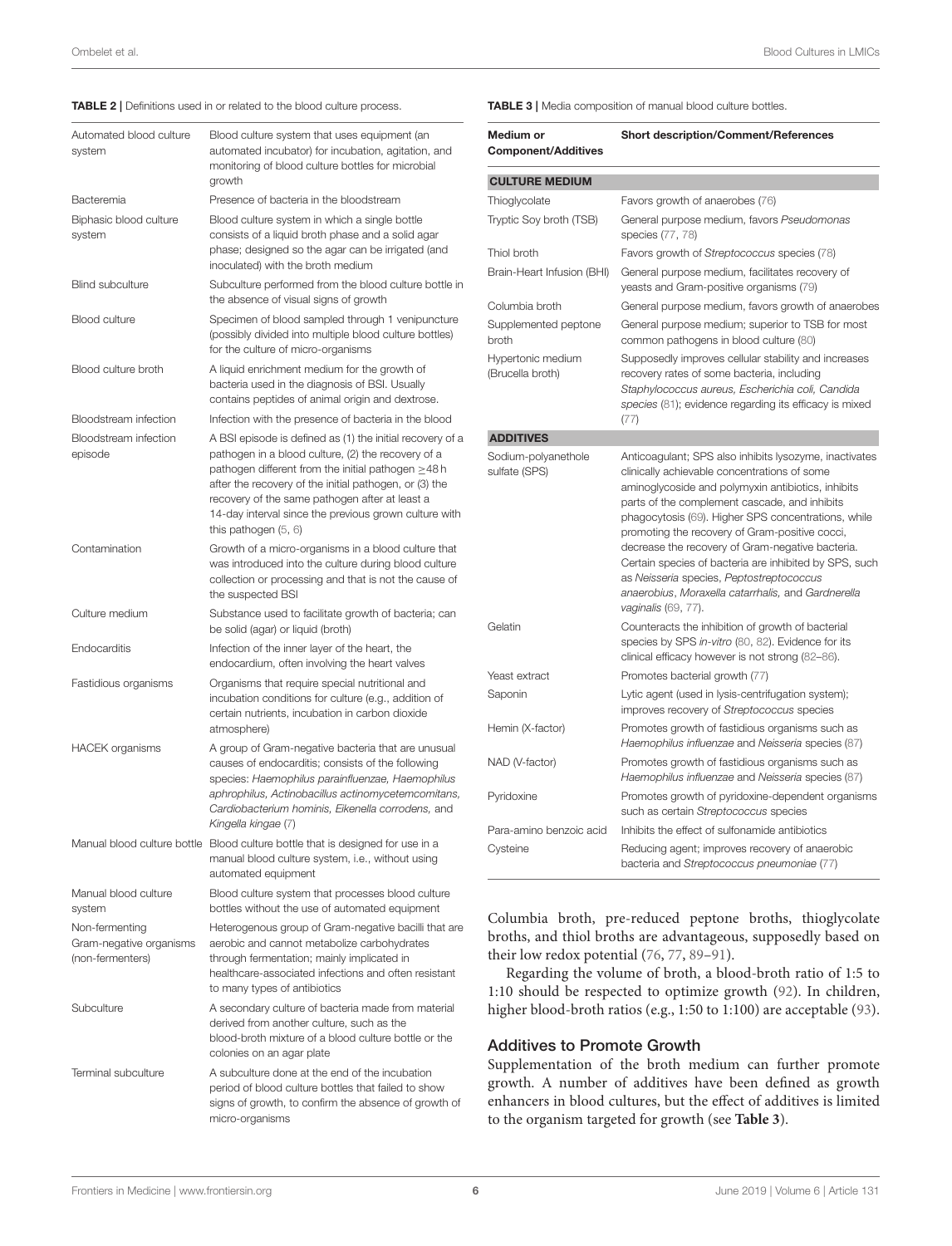#### <span id="page-5-0"></span>TABLE 2 | Definitions used in or related to the blood culture process.

| Automated blood culture<br>system                             | Blood culture system that uses equipment (an<br>automated incubator) for incubation, agitation, and<br>monitoring of blood culture bottles for microbial<br>growth                                                                                                                                                                                                        |
|---------------------------------------------------------------|---------------------------------------------------------------------------------------------------------------------------------------------------------------------------------------------------------------------------------------------------------------------------------------------------------------------------------------------------------------------------|
| Bacteremia                                                    | Presence of bacteria in the bloodstream                                                                                                                                                                                                                                                                                                                                   |
| Biphasic blood culture<br>system                              | Blood culture system in which a single bottle<br>consists of a liquid broth phase and a solid agar<br>phase; designed so the agar can be irrigated (and<br>inoculated) with the broth medium                                                                                                                                                                              |
| <b>Blind subculture</b>                                       | Subculture performed from the blood culture bottle in<br>the absence of visual signs of growth                                                                                                                                                                                                                                                                            |
| <b>Blood culture</b>                                          | Specimen of blood sampled through 1 venipuncture<br>(possibly divided into multiple blood culture bottles)<br>for the culture of micro-organisms                                                                                                                                                                                                                          |
| Blood culture broth                                           | A liquid enrichment medium for the growth of<br>bacteria used in the diagnosis of BSI. Usually<br>contains peptides of animal origin and dextrose.                                                                                                                                                                                                                        |
| Bloodstream infection                                         | Infection with the presence of bacteria in the blood                                                                                                                                                                                                                                                                                                                      |
| Bloodstream infection<br>episode                              | A BSI episode is defined as (1) the initial recovery of a<br>pathogen in a blood culture, (2) the recovery of a<br>pathogen different from the initial pathogen $\geq$ 48h<br>after the recovery of the initial pathogen, or (3) the<br>recovery of the same pathogen after at least a<br>14-day interval since the previous grown culture with<br>this pathogen $(5, 6)$ |
| Contamination                                                 | Growth of a micro-organisms in a blood culture that<br>was introduced into the culture during blood culture<br>collection or processing and that is not the cause of<br>the suspected BSI                                                                                                                                                                                 |
| Culture medium                                                | Substance used to facilitate growth of bacteria; can<br>be solid (agar) or liquid (broth)                                                                                                                                                                                                                                                                                 |
| Endocarditis                                                  | Infection of the inner layer of the heart, the<br>endocardium, often involving the heart valves                                                                                                                                                                                                                                                                           |
| Fastidious organisms                                          | Organisms that require special nutritional and<br>incubation conditions for culture (e.g., addition of<br>certain nutrients, incubation in carbon dioxide<br>atmosphere)                                                                                                                                                                                                  |
| <b>HACEK</b> organisms                                        | A group of Gram-negative bacteria that are unusual<br>causes of endocarditis; consists of the following<br>species: Haemophilus parainfluenzae, Haemophilus<br>aphrophilus, Actinobacillus actinomycetemcomitans,<br>Cardiobacterium hominis, Eikenella corrodens, and<br>Kingella kingae (7)                                                                             |
|                                                               | Manual blood culture bottle Blood culture bottle that is designed for use in a<br>manual blood culture system, i.e., without using<br>automated equipment                                                                                                                                                                                                                 |
| Manual blood culture<br>system                                | Blood culture system that processes blood culture<br>bottles without the use of automated equipment                                                                                                                                                                                                                                                                       |
| Non-fermenting<br>Gram-negative organisms<br>(non-fermenters) | Heterogenous group of Gram-negative bacilli that are<br>aerobic and cannot metabolize carbohydrates<br>through fermentation; mainly implicated in<br>healthcare-associated infections and often resistant<br>to many types of antibiotics                                                                                                                                 |
| Subculture                                                    | A secondary culture of bacteria made from material<br>derived from another culture, such as the<br>blood-broth mixture of a blood culture bottle or the<br>colonies on an agar plate                                                                                                                                                                                      |
| <b>Terminal subculture</b>                                    | A subculture done at the end of the incubation<br>period of blood culture bottles that failed to show<br>signs of growth, to confirm the absence of growth of<br>micro-organisms                                                                                                                                                                                          |

<span id="page-5-1"></span>TABLE 3 | Media composition of manual blood culture bottles.

| Medium or<br><b>Component/Additives</b> | <b>Short description/Comment/References</b>                                                                                                                                                                                                                                                                                                                                                                                                                                                                                                                          |  |
|-----------------------------------------|----------------------------------------------------------------------------------------------------------------------------------------------------------------------------------------------------------------------------------------------------------------------------------------------------------------------------------------------------------------------------------------------------------------------------------------------------------------------------------------------------------------------------------------------------------------------|--|
| <b>CULTURE MEDIUM</b>                   |                                                                                                                                                                                                                                                                                                                                                                                                                                                                                                                                                                      |  |
| Thioglycolate                           | Favors growth of anaerobes (76)                                                                                                                                                                                                                                                                                                                                                                                                                                                                                                                                      |  |
| Tryptic Soy broth (TSB)                 | General purpose medium, favors Pseudomonas<br>species (77, 78)                                                                                                                                                                                                                                                                                                                                                                                                                                                                                                       |  |
| Thiol broth                             | Favors growth of Streptococcus species (78)                                                                                                                                                                                                                                                                                                                                                                                                                                                                                                                          |  |
| Brain-Heart Infusion (BHI)              | General purpose medium, facilitates recovery of<br>yeasts and Gram-positive organisms (79)                                                                                                                                                                                                                                                                                                                                                                                                                                                                           |  |
| Columbia broth                          | General purpose medium, favors growth of anaerobes                                                                                                                                                                                                                                                                                                                                                                                                                                                                                                                   |  |
| Supplemented peptone<br>broth           | General purpose medium; superior to TSB for most<br>common pathogens in blood culture (80)                                                                                                                                                                                                                                                                                                                                                                                                                                                                           |  |
| Hypertonic medium<br>(Brucella broth)   | Supposedly improves cellular stability and increases<br>recovery rates of some bacteria, including<br>Staphylococcus aureus, Escherichia coli, Candida<br>species (81); evidence regarding its efficacy is mixed<br>(77)                                                                                                                                                                                                                                                                                                                                             |  |
| <b>ADDITIVES</b>                        |                                                                                                                                                                                                                                                                                                                                                                                                                                                                                                                                                                      |  |
| Sodium-polyanethole<br>sulfate (SPS)    | Anticoagulant; SPS also inhibits lysozyme, inactivates<br>clinically achievable concentrations of some<br>aminoglycoside and polymyxin antibiotics, inhibits<br>parts of the complement cascade, and inhibits<br>phagocytosis (69). Higher SPS concentrations, while<br>promoting the recovery of Gram-positive cocci,<br>decrease the recovery of Gram-negative bacteria.<br>Certain species of bacteria are inhibited by SPS, such<br>as Neisseria species, Peptostreptococcus<br>anaerobius, Moraxella catarrhalis, and Gardnerella<br><i>vaginalis</i> (69, 77). |  |
| Gelatin                                 | Counteracts the inhibition of growth of bacterial<br>species by SPS in-vitro (80, 82). Evidence for its<br>clinical efficacy however is not strong (82-86).                                                                                                                                                                                                                                                                                                                                                                                                          |  |
| Yeast extract                           | Promotes bacterial growth (77)                                                                                                                                                                                                                                                                                                                                                                                                                                                                                                                                       |  |
| Saponin                                 | Lytic agent (used in lysis-centrifugation system);<br>improves recovery of Streptococcus species                                                                                                                                                                                                                                                                                                                                                                                                                                                                     |  |
| Hemin (X-factor)                        | Promotes growth of fastidious organisms such as<br>Haemophilus influenzae and Neisseria species (87)                                                                                                                                                                                                                                                                                                                                                                                                                                                                 |  |
| NAD (V-factor)                          | Promotes growth of fastidious organisms such as<br>Haemophilus influenzae and Neisseria species (87)                                                                                                                                                                                                                                                                                                                                                                                                                                                                 |  |
| Pyridoxine                              | Promotes growth of pyridoxine-dependent organisms<br>such as certain Streptococcus species                                                                                                                                                                                                                                                                                                                                                                                                                                                                           |  |
| Para-amino benzoic acid                 | Inhibits the effect of sulfonamide antibiotics                                                                                                                                                                                                                                                                                                                                                                                                                                                                                                                       |  |
| Cysteine                                | Reducing agent; improves recovery of anaerobic<br>bacteria and Streptococcus pneumoniae (77)                                                                                                                                                                                                                                                                                                                                                                                                                                                                         |  |

Columbia broth, pre-reduced peptone broths, thioglycolate broths, and thiol broths are advantageous, supposedly based on their low redox potential [\(76,](#page-20-20) [77,](#page-20-21) [89](#page-21-3)-91).

Regarding the volume of broth, a blood-broth ratio of 1:5 to 1:10 should be respected to optimize growth [\(92\)](#page-21-5). In children, higher blood-broth ratios (e.g., 1:50 to 1:100) are acceptable [\(93\)](#page-21-6).

#### Additives to Promote Growth

Supplementation of the broth medium can further promote growth. A number of additives have been defined as growth enhancers in blood cultures, but the effect of additives is limited to the organism targeted for growth (see **[Table 3](#page-5-1)**).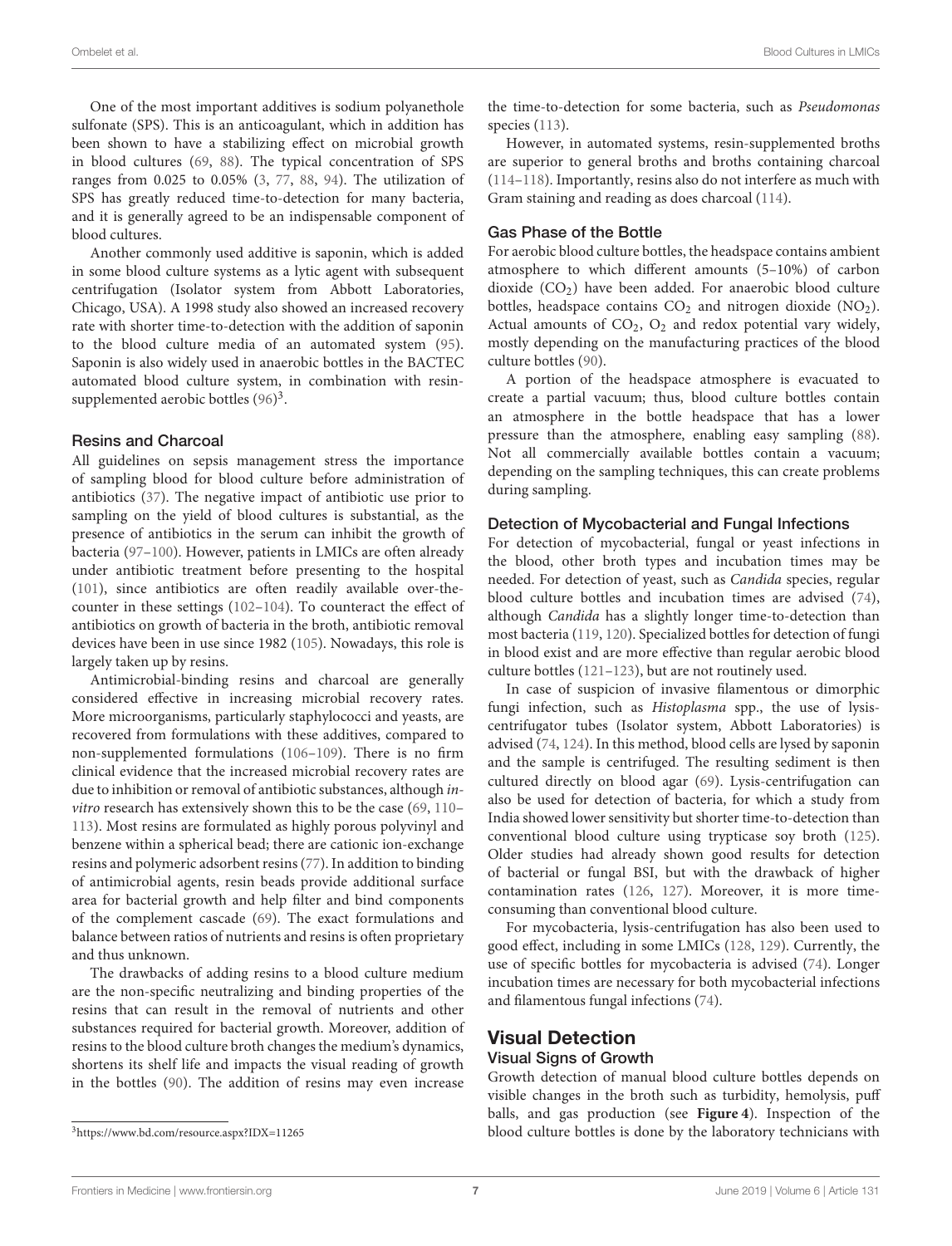One of the most important additives is sodium polyanethole sulfonate (SPS). This is an anticoagulant, which in addition has been shown to have a stabilizing effect on microbial growth in blood cultures [\(69,](#page-20-13) [88\)](#page-21-0). The typical concentration of SPS ranges from 0.025 to 0.05% [\(3,](#page-18-2) [77,](#page-20-21) [88,](#page-21-0) [94\)](#page-21-7). The utilization of SPS has greatly reduced time-to-detection for many bacteria, and it is generally agreed to be an indispensable component of blood cultures.

Another commonly used additive is saponin, which is added in some blood culture systems as a lytic agent with subsequent centrifugation (Isolator system from Abbott Laboratories, Chicago, USA). A 1998 study also showed an increased recovery rate with shorter time-to-detection with the addition of saponin to the blood culture media of an automated system [\(95\)](#page-21-8). Saponin is also widely used in anaerobic bottles in the BACTEC automated blood culture system, in combination with resinsupplemented aerobic bottles  $(96)^3$  $(96)^3$ .

#### Resins and Charcoal

All guidelines on sepsis management stress the importance of sampling blood for blood culture before administration of antibiotics [\(37\)](#page-19-25). The negative impact of antibiotic use prior to sampling on the yield of blood cultures is substantial, as the presence of antibiotics in the serum can inhibit the growth of bacteria [\(97–](#page-21-10)[100\)](#page-21-11). However, patients in LMICs are often already under antibiotic treatment before presenting to the hospital [\(101\)](#page-21-12), since antibiotics are often readily available over-thecounter in these settings [\(102–](#page-21-13)[104\)](#page-21-14). To counteract the effect of antibiotics on growth of bacteria in the broth, antibiotic removal devices have been in use since 1982 [\(105\)](#page-21-15). Nowadays, this role is largely taken up by resins.

Antimicrobial-binding resins and charcoal are generally considered effective in increasing microbial recovery rates. More microorganisms, particularly staphylococci and yeasts, are recovered from formulations with these additives, compared to non-supplemented formulations [\(106–](#page-21-16)[109\)](#page-21-17). There is no firm clinical evidence that the increased microbial recovery rates are due to inhibition or removal of antibiotic substances, although invitro research has extensively shown this to be the case [\(69,](#page-20-13) [110–](#page-21-18) [113\)](#page-21-19). Most resins are formulated as highly porous polyvinyl and benzene within a spherical bead; there are cationic ion-exchange resins and polymeric adsorbent resins [\(77\)](#page-20-21). In addition to binding of antimicrobial agents, resin beads provide additional surface area for bacterial growth and help filter and bind components of the complement cascade [\(69\)](#page-20-13). The exact formulations and balance between ratios of nutrients and resins is often proprietary and thus unknown.

The drawbacks of adding resins to a blood culture medium are the non-specific neutralizing and binding properties of the resins that can result in the removal of nutrients and other substances required for bacterial growth. Moreover, addition of resins to the blood culture broth changes the medium's dynamics, shortens its shelf life and impacts the visual reading of growth in the bottles [\(90\)](#page-21-20). The addition of resins may even increase the time-to-detection for some bacteria, such as Pseudomonas species [\(113\)](#page-21-19).

However, in automated systems, resin-supplemented broths are superior to general broths and broths containing charcoal [\(114–](#page-21-21)[118\)](#page-21-22). Importantly, resins also do not interfere as much with Gram staining and reading as does charcoal [\(114\)](#page-21-21).

#### Gas Phase of the Bottle

For aerobic blood culture bottles, the headspace contains ambient atmosphere to which different amounts (5–10%) of carbon dioxide (CO<sub>2</sub>) have been added. For anaerobic blood culture bottles, headspace contains  $CO<sub>2</sub>$  and nitrogen dioxide  $(NO<sub>2</sub>)$ . Actual amounts of  $CO<sub>2</sub>$ ,  $O<sub>2</sub>$  and redox potential vary widely, mostly depending on the manufacturing practices of the blood culture bottles [\(90\)](#page-21-20).

A portion of the headspace atmosphere is evacuated to create a partial vacuum; thus, blood culture bottles contain an atmosphere in the bottle headspace that has a lower pressure than the atmosphere, enabling easy sampling [\(88\)](#page-21-0). Not all commercially available bottles contain a vacuum; depending on the sampling techniques, this can create problems during sampling.

#### Detection of Mycobacterial and Fungal Infections

For detection of mycobacterial, fungal or yeast infections in the blood, other broth types and incubation times may be needed. For detection of yeast, such as Candida species, regular blood culture bottles and incubation times are advised [\(74\)](#page-20-18), although Candida has a slightly longer time-to-detection than most bacteria [\(119,](#page-21-23) [120\)](#page-21-24). Specialized bottles for detection of fungi in blood exist and are more effective than regular aerobic blood culture bottles [\(121](#page-21-25)[–123\)](#page-22-0), but are not routinely used.

In case of suspicion of invasive filamentous or dimorphic fungi infection, such as Histoplasma spp., the use of lysiscentrifugator tubes (Isolator system, Abbott Laboratories) is advised [\(74,](#page-20-18) [124\)](#page-22-1). In this method, blood cells are lysed by saponin and the sample is centrifuged. The resulting sediment is then cultured directly on blood agar [\(69\)](#page-20-13). Lysis-centrifugation can also be used for detection of bacteria, for which a study from India showed lower sensitivity but shorter time-to-detection than conventional blood culture using trypticase soy broth [\(125\)](#page-22-2). Older studies had already shown good results for detection of bacterial or fungal BSI, but with the drawback of higher contamination rates [\(126,](#page-22-3) [127\)](#page-22-4). Moreover, it is more timeconsuming than conventional blood culture.

For mycobacteria, lysis-centrifugation has also been used to good effect, including in some LMICs [\(128,](#page-22-5) [129\)](#page-22-6). Currently, the use of specific bottles for mycobacteria is advised [\(74\)](#page-20-18). Longer incubation times are necessary for both mycobacterial infections and filamentous fungal infections [\(74\)](#page-20-18).

## Visual Detection

## Visual Signs of Growth

Growth detection of manual blood culture bottles depends on visible changes in the broth such as turbidity, hemolysis, puff balls, and gas production (see **[Figure 4](#page-8-0)**). Inspection of the blood culture bottles is done by the laboratory technicians with

<span id="page-6-0"></span><sup>3</sup><https://www.bd.com/resource.aspx?IDX=11265>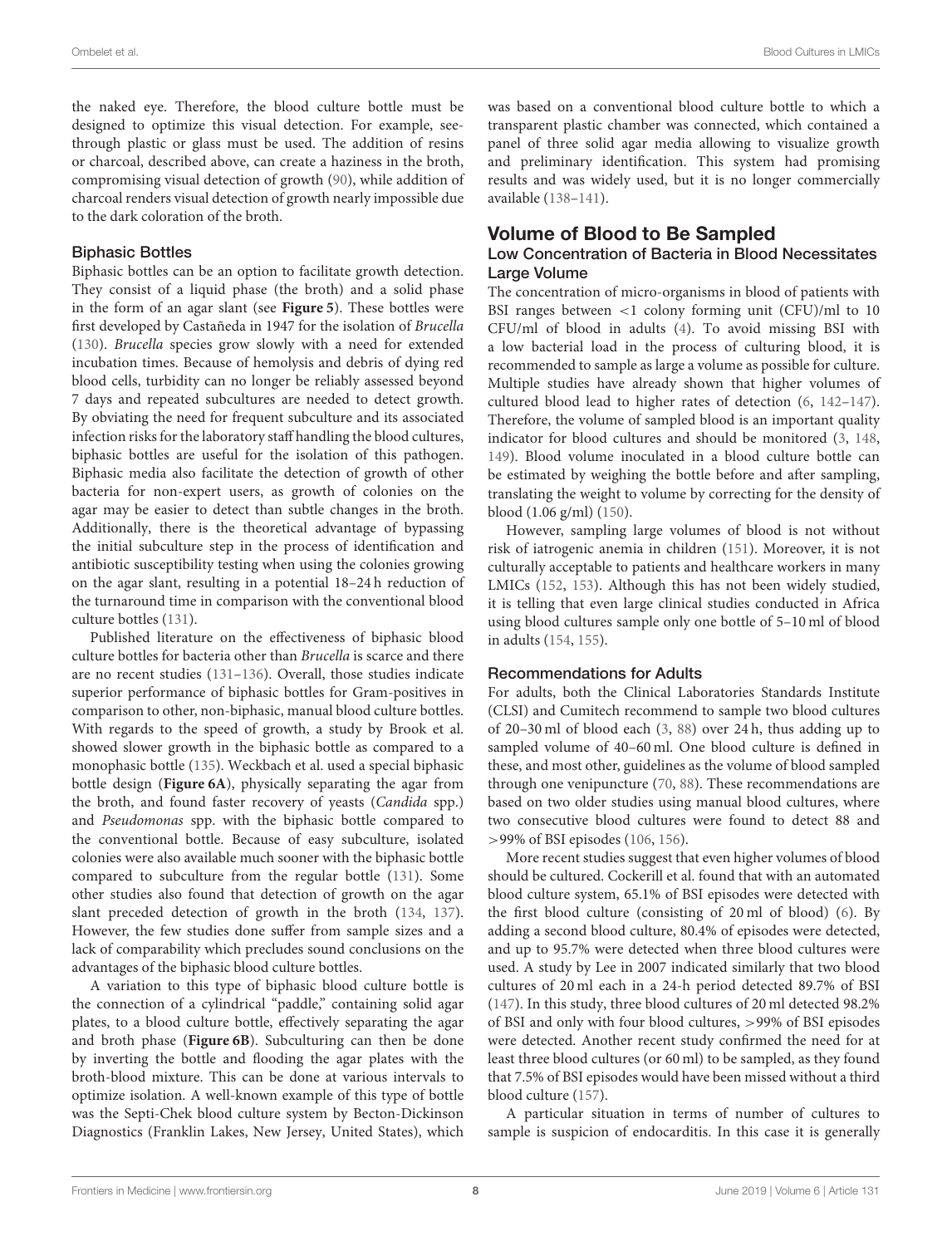the naked eye. Therefore, the blood culture bottle must be designed to optimize this visual detection. For example, seethrough plastic or glass must be used. The addition of resins or charcoal, described above, can create a haziness in the broth, compromising visual detection of growth [\(90\)](#page-21-20), while addition of charcoal renders visual detection of growth nearly impossible due to the dark coloration of the broth.

#### Biphasic Bottles

Biphasic bottles can be an option to facilitate growth detection. They consist of a liquid phase (the broth) and a solid phase in the form of an agar slant (see **[Figure 5](#page-8-1)**). These bottles were first developed by Castañeda in 1947 for the isolation of Brucella [\(130\)](#page-22-7). Brucella species grow slowly with a need for extended incubation times. Because of hemolysis and debris of dying red blood cells, turbidity can no longer be reliably assessed beyond 7 days and repeated subcultures are needed to detect growth. By obviating the need for frequent subculture and its associated infection risks for the laboratory staff handling the blood cultures, biphasic bottles are useful for the isolation of this pathogen. Biphasic media also facilitate the detection of growth of other bacteria for non-expert users, as growth of colonies on the agar may be easier to detect than subtle changes in the broth. Additionally, there is the theoretical advantage of bypassing the initial subculture step in the process of identification and antibiotic susceptibility testing when using the colonies growing on the agar slant, resulting in a potential 18–24 h reduction of the turnaround time in comparison with the conventional blood culture bottles [\(131\)](#page-22-8).

Published literature on the effectiveness of biphasic blood culture bottles for bacteria other than Brucella is scarce and there are no recent studies [\(131](#page-22-8)[–136\)](#page-22-9). Overall, those studies indicate superior performance of biphasic bottles for Gram-positives in comparison to other, non-biphasic, manual blood culture bottles. With regards to the speed of growth, a study by Brook et al. showed slower growth in the biphasic bottle as compared to a monophasic bottle [\(135\)](#page-22-10). Weckbach et al. used a special biphasic bottle design (**[Figure 6A](#page-9-0)**), physically separating the agar from the broth, and found faster recovery of yeasts (Candida spp.) and Pseudomonas spp. with the biphasic bottle compared to the conventional bottle. Because of easy subculture, isolated colonies were also available much sooner with the biphasic bottle compared to subculture from the regular bottle [\(131\)](#page-22-8). Some other studies also found that detection of growth on the agar slant preceded detection of growth in the broth [\(134,](#page-22-11) [137\)](#page-22-12). However, the few studies done suffer from sample sizes and a lack of comparability which precludes sound conclusions on the advantages of the biphasic blood culture bottles.

A variation to this type of biphasic blood culture bottle is the connection of a cylindrical "paddle," containing solid agar plates, to a blood culture bottle, effectively separating the agar and broth phase (**[Figure 6B](#page-9-0)**). Subculturing can then be done by inverting the bottle and flooding the agar plates with the broth-blood mixture. This can be done at various intervals to optimize isolation. A well-known example of this type of bottle was the Septi-Chek blood culture system by Becton-Dickinson Diagnostics (Franklin Lakes, New Jersey, United States), which was based on a conventional blood culture bottle to which a transparent plastic chamber was connected, which contained a panel of three solid agar media allowing to visualize growth and preliminary identification. This system had promising results and was widely used, but it is no longer commercially available [\(138–](#page-22-13)[141\)](#page-22-14).

## Volume of Blood to Be Sampled

#### Low Concentration of Bacteria in Blood Necessitates Large Volume

The concentration of micro-organisms in blood of patients with BSI ranges between <1 colony forming unit (CFU)/ml to 10 CFU/ml of blood in adults [\(4\)](#page-18-3). To avoid missing BSI with a low bacterial load in the process of culturing blood, it is recommended to sample as large a volume as possible for culture. Multiple studies have already shown that higher volumes of cultured blood lead to higher rates of detection [\(6,](#page-18-5) [142](#page-22-15)[–147\)](#page-22-16). Therefore, the volume of sampled blood is an important quality indicator for blood cultures and should be monitored [\(3,](#page-18-2) [148,](#page-22-17) [149\)](#page-22-18). Blood volume inoculated in a blood culture bottle can be estimated by weighing the bottle before and after sampling, translating the weight to volume by correcting for the density of blood (1.06 g/ml) [\(150\)](#page-22-19).

However, sampling large volumes of blood is not without risk of iatrogenic anemia in children [\(151\)](#page-22-20). Moreover, it is not culturally acceptable to patients and healthcare workers in many LMICs [\(152,](#page-22-21) [153\)](#page-22-22). Although this has not been widely studied, it is telling that even large clinical studies conducted in Africa using blood cultures sample only one bottle of 5–10 ml of blood in adults [\(154,](#page-22-23) [155\)](#page-22-24).

#### Recommendations for Adults

For adults, both the Clinical Laboratories Standards Institute (CLSI) and Cumitech recommend to sample two blood cultures of 20–30 ml of blood each [\(3,](#page-18-2) [88\)](#page-21-0) over 24 h, thus adding up to sampled volume of 40–60 ml. One blood culture is defined in these, and most other, guidelines as the volume of blood sampled through one venipuncture [\(70,](#page-20-14) [88\)](#page-21-0). These recommendations are based on two older studies using manual blood cultures, where two consecutive blood cultures were found to detect 88 and >99% of BSI episodes [\(106,](#page-21-16) [156\)](#page-22-25).

More recent studies suggest that even higher volumes of blood should be cultured. Cockerill et al. found that with an automated blood culture system, 65.1% of BSI episodes were detected with the first blood culture (consisting of 20 ml of blood) [\(6\)](#page-18-5). By adding a second blood culture, 80.4% of episodes were detected, and up to 95.7% were detected when three blood cultures were used. A study by Lee in 2007 indicated similarly that two blood cultures of 20 ml each in a 24-h period detected 89.7% of BSI [\(147\)](#page-22-16). In this study, three blood cultures of 20 ml detected 98.2% of BSI and only with four blood cultures, >99% of BSI episodes were detected. Another recent study confirmed the need for at least three blood cultures (or 60 ml) to be sampled, as they found that 7.5% of BSI episodes would have been missed without a third blood culture [\(157\)](#page-22-26).

A particular situation in terms of number of cultures to sample is suspicion of endocarditis. In this case it is generally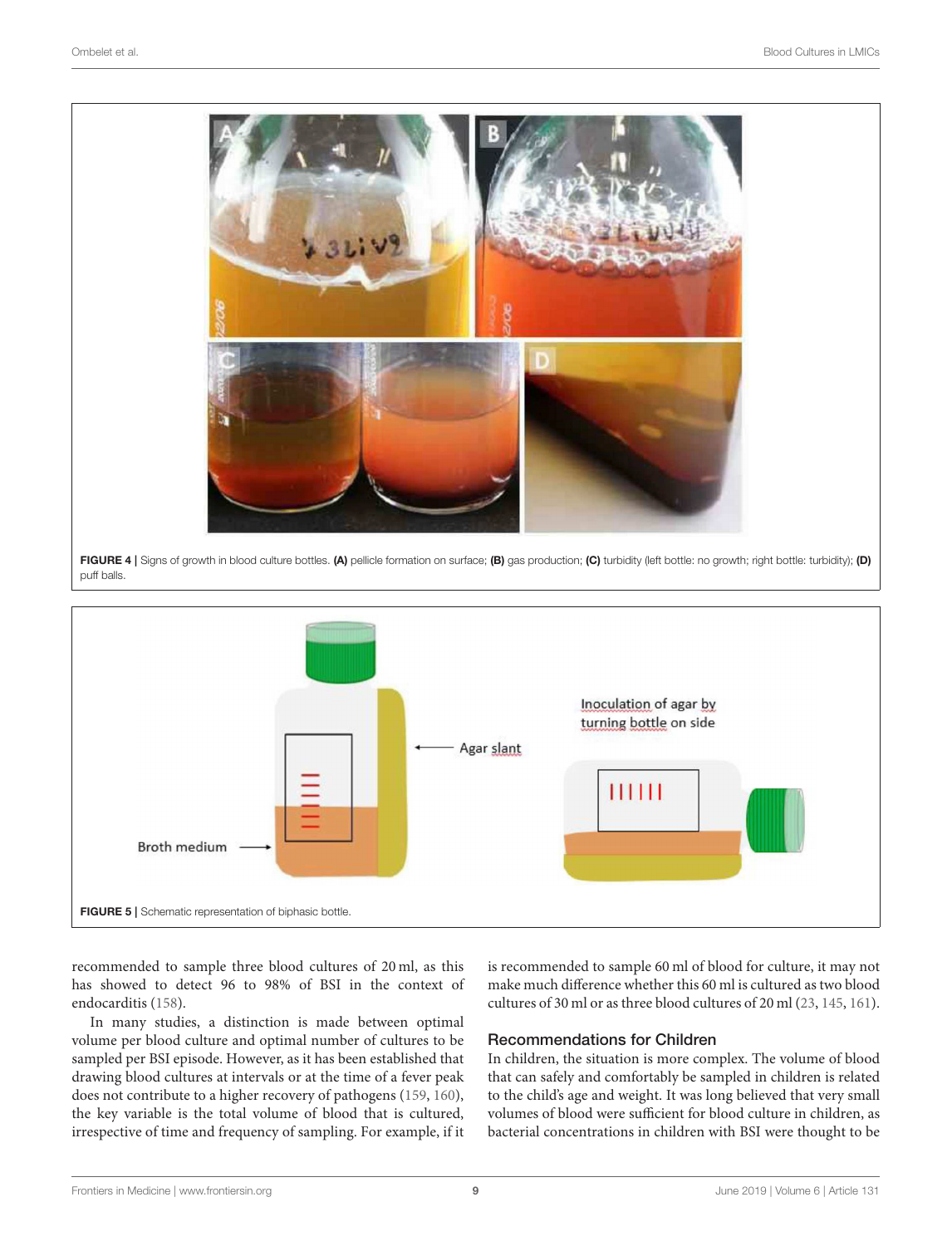

puff balls.

<span id="page-8-0"></span>

<span id="page-8-1"></span>recommended to sample three blood cultures of 20 ml, as this has showed to detect 96 to 98% of BSI in the context of endocarditis [\(158\)](#page-22-27).

In many studies, a distinction is made between optimal volume per blood culture and optimal number of cultures to be sampled per BSI episode. However, as it has been established that drawing blood cultures at intervals or at the time of a fever peak does not contribute to a higher recovery of pathogens [\(159,](#page-22-28) [160\)](#page-22-29), the key variable is the total volume of blood that is cultured, irrespective of time and frequency of sampling. For example, if it is recommended to sample 60 ml of blood for culture, it may not make much difference whether this 60 ml is cultured as two blood cultures of 30 ml or as three blood cultures of 20 ml [\(23,](#page-19-13) [145,](#page-22-30) [161\)](#page-22-31).

#### Recommendations for Children

In children, the situation is more complex. The volume of blood that can safely and comfortably be sampled in children is related to the child's age and weight. It was long believed that very small volumes of blood were sufficient for blood culture in children, as bacterial concentrations in children with BSI were thought to be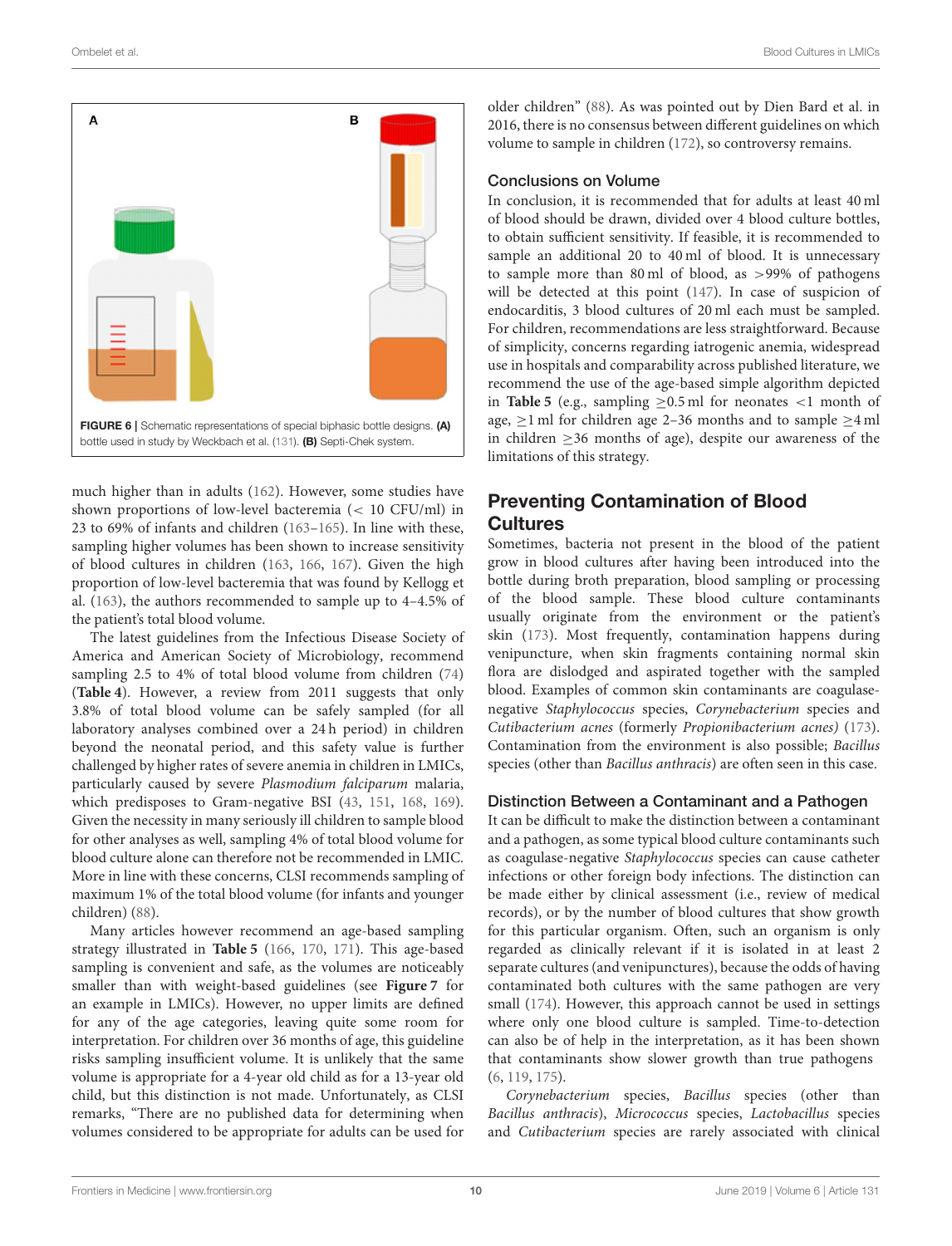

<span id="page-9-0"></span>much higher than in adults [\(162\)](#page-23-0). However, some studies have shown proportions of low-level bacteremia (< 10 CFU/ml) in 23 to 69% of infants and children [\(163–](#page-23-1)[165\)](#page-23-2). In line with these, sampling higher volumes has been shown to increase sensitivity of blood cultures in children [\(163,](#page-23-1) [166,](#page-23-3) [167\)](#page-23-4). Given the high proportion of low-level bacteremia that was found by Kellogg et al. [\(163\)](#page-23-1), the authors recommended to sample up to 4–4.5% of the patient's total blood volume.

The latest guidelines from the Infectious Disease Society of America and American Society of Microbiology, recommend sampling 2.5 to 4% of total blood volume from children [\(74\)](#page-20-18) (**[Table 4](#page-10-0)**). However, a review from 2011 suggests that only 3.8% of total blood volume can be safely sampled (for all laboratory analyses combined over a 24 h period) in children beyond the neonatal period, and this safety value is further challenged by higher rates of severe anemia in children in LMICs, particularly caused by severe Plasmodium falciparum malaria, which predisposes to Gram-negative BSI [\(43,](#page-19-31) [151,](#page-22-20) [168,](#page-23-5) [169\)](#page-23-6). Given the necessity in many seriously ill children to sample blood for other analyses as well, sampling 4% of total blood volume for blood culture alone can therefore not be recommended in LMIC. More in line with these concerns, CLSI recommends sampling of maximum 1% of the total blood volume (for infants and younger children) [\(88\)](#page-21-0).

Many articles however recommend an age-based sampling strategy illustrated in **[Table 5](#page-10-1)** [\(166,](#page-23-3) [170,](#page-23-7) [171\)](#page-23-8). This age-based sampling is convenient and safe, as the volumes are noticeably smaller than with weight-based guidelines (see **[Figure 7](#page-10-2)** for an example in LMICs). However, no upper limits are defined for any of the age categories, leaving quite some room for interpretation. For children over 36 months of age, this guideline risks sampling insufficient volume. It is unlikely that the same volume is appropriate for a 4-year old child as for a 13-year old child, but this distinction is not made. Unfortunately, as CLSI remarks, "There are no published data for determining when volumes considered to be appropriate for adults can be used for older children" [\(88\)](#page-21-0). As was pointed out by Dien Bard et al. in 2016, there is no consensus between different guidelines on which volume to sample in children [\(172\)](#page-23-9), so controversy remains.

#### Conclusions on Volume

In conclusion, it is recommended that for adults at least 40 ml of blood should be drawn, divided over 4 blood culture bottles, to obtain sufficient sensitivity. If feasible, it is recommended to sample an additional 20 to 40 ml of blood. It is unnecessary to sample more than 80 ml of blood, as >99% of pathogens will be detected at this point [\(147\)](#page-22-16). In case of suspicion of endocarditis, 3 blood cultures of 20 ml each must be sampled. For children, recommendations are less straightforward. Because of simplicity, concerns regarding iatrogenic anemia, widespread use in hospitals and comparability across published literature, we recommend the use of the age-based simple algorithm depicted in **[Table 5](#page-10-1)** (e.g., sampling  $>0.5$  ml for neonates  $<1$  month of age,  $\geq$ 1 ml for children age 2–36 months and to sample  $\geq$ 4 ml in children  $\geq$ 36 months of age), despite our awareness of the limitations of this strategy.

## Preventing Contamination of Blood **Cultures**

Sometimes, bacteria not present in the blood of the patient grow in blood cultures after having been introduced into the bottle during broth preparation, blood sampling or processing of the blood sample. These blood culture contaminants usually originate from the environment or the patient's skin [\(173\)](#page-23-10). Most frequently, contamination happens during venipuncture, when skin fragments containing normal skin flora are dislodged and aspirated together with the sampled blood. Examples of common skin contaminants are coagulasenegative Staphylococcus species, Corynebacterium species and Cutibacterium acnes (formerly Propionibacterium acnes) [\(173\)](#page-23-10). Contamination from the environment is also possible; Bacillus species (other than Bacillus anthracis) are often seen in this case.

#### Distinction Between a Contaminant and a Pathogen

It can be difficult to make the distinction between a contaminant and a pathogen, as some typical blood culture contaminants such as coagulase-negative Staphylococcus species can cause catheter infections or other foreign body infections. The distinction can be made either by clinical assessment (i.e., review of medical records), or by the number of blood cultures that show growth for this particular organism. Often, such an organism is only regarded as clinically relevant if it is isolated in at least 2 separate cultures (and venipunctures), because the odds of having contaminated both cultures with the same pathogen are very small [\(174\)](#page-23-11). However, this approach cannot be used in settings where only one blood culture is sampled. Time-to-detection can also be of help in the interpretation, as it has been shown that contaminants show slower growth than true pathogens [\(6,](#page-18-5) [119,](#page-21-23) [175\)](#page-23-12).

Corynebacterium species, Bacillus species (other than Bacillus anthracis), Micrococcus species, Lactobacillus species and Cutibacterium species are rarely associated with clinical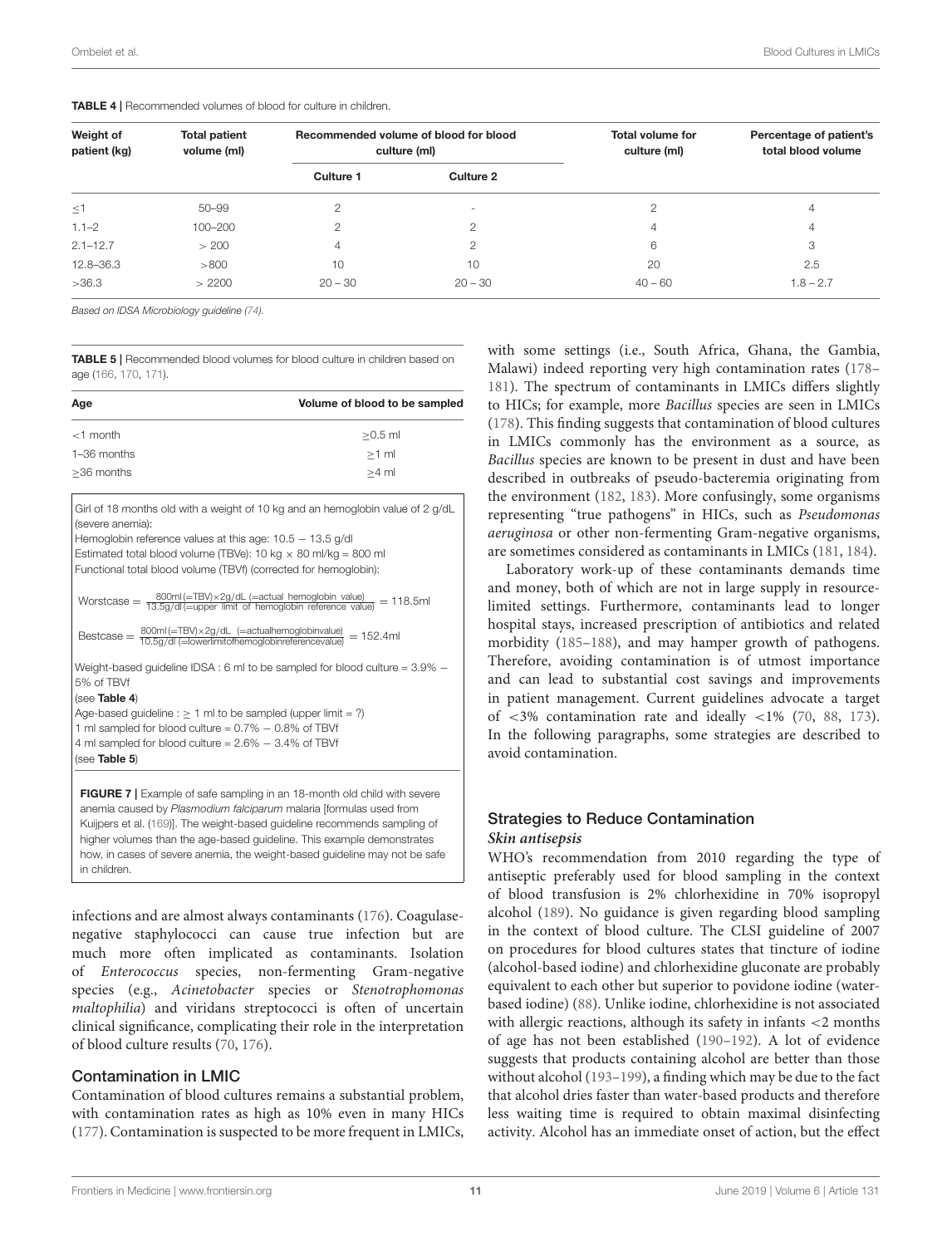| Weight of<br>patient (kg) | <b>Total patient</b><br>volume (ml) | Recommended volume of blood for blood<br>culture (ml) |                          | <b>Total volume for</b><br>culture (ml) | Percentage of patient's<br>total blood volume |
|---------------------------|-------------------------------------|-------------------------------------------------------|--------------------------|-----------------------------------------|-----------------------------------------------|
|                           |                                     | Culture 1                                             | Culture 2                |                                         |                                               |
| $\leq 1$                  | 50-99                               | 2                                                     | $\overline{\phantom{a}}$ | 2                                       | $\overline{4}$                                |
| $1.1 - 2$                 | 100-200                             | $\overline{c}$                                        | $\circ$                  | 4                                       | $\overline{4}$                                |
| $2.1 - 12.7$              | > 200                               | 4                                                     | 2                        | 6                                       | 3                                             |
| 12.8-36.3                 | >800                                | 10                                                    | 10                       | 20                                      | 2.5                                           |
| >36.3                     | >2200                               | $20 - 30$                                             | $20 - 30$                | $40 - 60$                               | $1.8 - 2.7$                                   |

<span id="page-10-0"></span>TABLE 4 | Recommended volumes of blood for culture in children.

Based on IDSA Microbiology guideline [\(74\)](#page-20-18).

<span id="page-10-1"></span>TABLE 5 | Recommended blood volumes for blood culture in children based on age [\(166,](#page-23-3) [170,](#page-23-7) [171\)](#page-23-8).

| Age         | Volume of blood to be sampled |
|-------------|-------------------------------|
| $<$ 1 month | $>0.5$ ml                     |
| 1-36 months | $>1$ ml                       |
| >36 months  | $>4$ ml                       |

Girl of 18 months old with a weight of 10 kg and an hemoglobin value of 2 g/dL (severe anemia):

Hemoglobin reference values at this age: 10.5 - 13.5 g/dl

Estimated total blood volume (TBVe): 10 kg  $\times$  80 ml/kg = 800 ml Functional total blood volume (TBVf) (corrected for hemoglobin):

Worstcase =  $\frac{800 \text{ml}}{13.5 \text{g}/\text{dl}}$  (=upper limit of hemoglobin reference value) = 118.5ml

Bestcase =  $\frac{800 \text{ml}}{10.5g/\text{dl}}$  (=lowerlimitofhemoglobinvalue) = 152.4ml<br>Bestcase =  $\frac{800 \text{ml}}{10.5g/\text{dl}}$  (=lowerlimitofhemoglobinreferencevalue) = 152.4ml

Weight-based guideline IDSA : 6 ml to be sampled for blood culture = 3.9% − 5% of TBVf

(see [Table 4](#page-10-0))

Age-based guideline :  $\geq 1$  ml to be sampled (upper limit = ?) 1 ml sampled for blood culture = 0.7% − 0.8% of TBVf 4 ml sampled for blood culture = 2.6% − 3.4% of TBVf (see [Table 5](#page-10-1))

<span id="page-10-2"></span>FIGURE 7 | Example of safe sampling in an 18-month old child with severe anemia caused by Plasmodium falciparum malaria [formulas used from Kuijpers et al. [\(169\)](#page-23-6)]. The weight-based guideline recommends sampling of higher volumes than the age-based guideline. This example demonstrates how, in cases of severe anemia, the weight-based guideline may not be safe in children.

infections and are almost always contaminants [\(176\)](#page-23-13). Coagulasenegative staphylococci can cause true infection but are much more often implicated as contaminants. Isolation of Enterococcus species, non-fermenting Gram-negative species (e.g., Acinetobacter species or Stenotrophomonas maltophilia) and viridans streptococci is often of uncertain clinical significance, complicating their role in the interpretation of blood culture results [\(70,](#page-20-14) [176\)](#page-23-13).

#### Contamination in LMIC

Contamination of blood cultures remains a substantial problem, with contamination rates as high as 10% even in many HICs [\(177\)](#page-23-14). Contamination is suspected to be more frequent in LMICs,

with some settings (i.e., South Africa, Ghana, the Gambia, Malawi) indeed reporting very high contamination rates [\(178–](#page-23-15) [181\)](#page-23-16). The spectrum of contaminants in LMICs differs slightly to HICs; for example, more Bacillus species are seen in LMICs [\(178\)](#page-23-15). This finding suggests that contamination of blood cultures in LMICs commonly has the environment as a source, as Bacillus species are known to be present in dust and have been described in outbreaks of pseudo-bacteremia originating from the environment [\(182,](#page-23-17) [183\)](#page-23-18). More confusingly, some organisms representing "true pathogens" in HICs, such as Pseudomonas aeruginosa or other non-fermenting Gram-negative organisms, are sometimes considered as contaminants in LMICs [\(181,](#page-23-16) [184\)](#page-23-19).

Laboratory work-up of these contaminants demands time and money, both of which are not in large supply in resourcelimited settings. Furthermore, contaminants lead to longer hospital stays, increased prescription of antibiotics and related morbidity [\(185–](#page-23-20)[188\)](#page-23-21), and may hamper growth of pathogens. Therefore, avoiding contamination is of utmost importance and can lead to substantial cost savings and improvements in patient management. Current guidelines advocate a target of <3% contamination rate and ideally <1% [\(70,](#page-20-14) [88,](#page-21-0) [173\)](#page-23-10). In the following paragraphs, some strategies are described to avoid contamination.

#### Strategies to Reduce Contamination **Skin antisepsis**

WHO's recommendation from 2010 regarding the type of antiseptic preferably used for blood sampling in the context of blood transfusion is 2% chlorhexidine in 70% isopropyl alcohol [\(189\)](#page-23-22). No guidance is given regarding blood sampling in the context of blood culture. The CLSI guideline of 2007 on procedures for blood cultures states that tincture of iodine (alcohol-based iodine) and chlorhexidine gluconate are probably equivalent to each other but superior to povidone iodine (waterbased iodine) [\(88\)](#page-21-0). Unlike iodine, chlorhexidine is not associated with allergic reactions, although its safety in infants <2 months of age has not been established [\(190](#page-23-23)[–192\)](#page-23-24). A lot of evidence suggests that products containing alcohol are better than those without alcohol [\(193–](#page-23-25)[199\)](#page-23-26), a finding which may be due to the fact that alcohol dries faster than water-based products and therefore less waiting time is required to obtain maximal disinfecting activity. Alcohol has an immediate onset of action, but the effect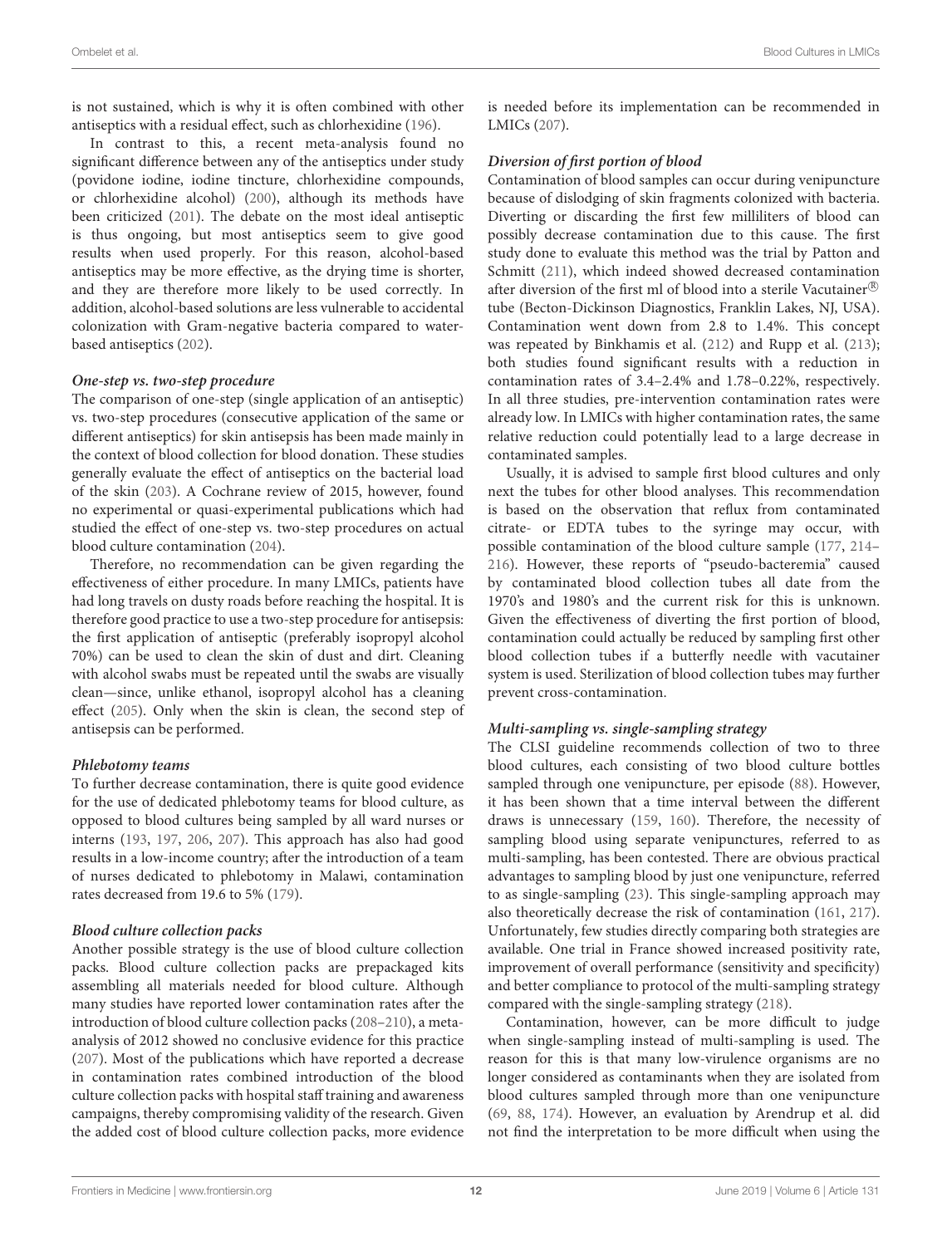is not sustained, which is why it is often combined with other antiseptics with a residual effect, such as chlorhexidine [\(196\)](#page-23-27).

In contrast to this, a recent meta-analysis found no significant difference between any of the antiseptics under study (povidone iodine, iodine tincture, chlorhexidine compounds, or chlorhexidine alcohol) [\(200\)](#page-23-28), although its methods have been criticized [\(201\)](#page-23-29). The debate on the most ideal antiseptic is thus ongoing, but most antiseptics seem to give good results when used properly. For this reason, alcohol-based antiseptics may be more effective, as the drying time is shorter, and they are therefore more likely to be used correctly. In addition, alcohol-based solutions are less vulnerable to accidental colonization with Gram-negative bacteria compared to waterbased antiseptics [\(202\)](#page-23-30).

#### **One-step vs. two-step procedure**

The comparison of one-step (single application of an antiseptic) vs. two-step procedures (consecutive application of the same or different antiseptics) for skin antisepsis has been made mainly in the context of blood collection for blood donation. These studies generally evaluate the effect of antiseptics on the bacterial load of the skin [\(203\)](#page-24-0). A Cochrane review of 2015, however, found no experimental or quasi-experimental publications which had studied the effect of one-step vs. two-step procedures on actual blood culture contamination [\(204\)](#page-24-1).

Therefore, no recommendation can be given regarding the effectiveness of either procedure. In many LMICs, patients have had long travels on dusty roads before reaching the hospital. It is therefore good practice to use a two-step procedure for antisepsis: the first application of antiseptic (preferably isopropyl alcohol 70%) can be used to clean the skin of dust and dirt. Cleaning with alcohol swabs must be repeated until the swabs are visually clean—since, unlike ethanol, isopropyl alcohol has a cleaning effect [\(205\)](#page-24-2). Only when the skin is clean, the second step of antisepsis can be performed.

#### **Phlebotomy teams**

To further decrease contamination, there is quite good evidence for the use of dedicated phlebotomy teams for blood culture, as opposed to blood cultures being sampled by all ward nurses or interns [\(193,](#page-23-25) [197,](#page-23-31) [206,](#page-24-3) [207\)](#page-24-4). This approach has also had good results in a low-income country; after the introduction of a team of nurses dedicated to phlebotomy in Malawi, contamination rates decreased from 19.6 to 5% [\(179\)](#page-23-32).

#### **Blood culture collection packs**

Another possible strategy is the use of blood culture collection packs. Blood culture collection packs are prepackaged kits assembling all materials needed for blood culture. Although many studies have reported lower contamination rates after the introduction of blood culture collection packs [\(208](#page-24-5)[–210\)](#page-24-6), a metaanalysis of 2012 showed no conclusive evidence for this practice [\(207\)](#page-24-4). Most of the publications which have reported a decrease in contamination rates combined introduction of the blood culture collection packs with hospital staff training and awareness campaigns, thereby compromising validity of the research. Given the added cost of blood culture collection packs, more evidence is needed before its implementation can be recommended in LMICs [\(207\)](#page-24-4).

#### **Diversion of first portion of blood**

Contamination of blood samples can occur during venipuncture because of dislodging of skin fragments colonized with bacteria. Diverting or discarding the first few milliliters of blood can possibly decrease contamination due to this cause. The first study done to evaluate this method was the trial by Patton and Schmitt [\(211\)](#page-24-7), which indeed showed decreased contamination after diversion of the first ml of blood into a sterile Vacutainer $^{\circledR}$ tube (Becton-Dickinson Diagnostics, Franklin Lakes, NJ, USA). Contamination went down from 2.8 to 1.4%. This concept was repeated by Binkhamis et al. [\(212\)](#page-24-8) and Rupp et al. [\(213\)](#page-24-9); both studies found significant results with a reduction in contamination rates of 3.4–2.4% and 1.78–0.22%, respectively. In all three studies, pre-intervention contamination rates were already low. In LMICs with higher contamination rates, the same relative reduction could potentially lead to a large decrease in contaminated samples.

Usually, it is advised to sample first blood cultures and only next the tubes for other blood analyses. This recommendation is based on the observation that reflux from contaminated citrate- or EDTA tubes to the syringe may occur, with possible contamination of the blood culture sample [\(177,](#page-23-14) [214–](#page-24-10) [216\)](#page-24-11). However, these reports of "pseudo-bacteremia" caused by contaminated blood collection tubes all date from the 1970's and 1980's and the current risk for this is unknown. Given the effectiveness of diverting the first portion of blood, contamination could actually be reduced by sampling first other blood collection tubes if a butterfly needle with vacutainer system is used. Sterilization of blood collection tubes may further prevent cross-contamination.

#### **Multi-sampling vs. single-sampling strategy**

The CLSI guideline recommends collection of two to three blood cultures, each consisting of two blood culture bottles sampled through one venipuncture, per episode [\(88\)](#page-21-0). However, it has been shown that a time interval between the different draws is unnecessary [\(159,](#page-22-28) [160\)](#page-22-29). Therefore, the necessity of sampling blood using separate venipunctures, referred to as multi-sampling, has been contested. There are obvious practical advantages to sampling blood by just one venipuncture, referred to as single-sampling [\(23\)](#page-19-13). This single-sampling approach may also theoretically decrease the risk of contamination [\(161,](#page-22-31) [217\)](#page-24-12). Unfortunately, few studies directly comparing both strategies are available. One trial in France showed increased positivity rate, improvement of overall performance (sensitivity and specificity) and better compliance to protocol of the multi-sampling strategy compared with the single-sampling strategy [\(218\)](#page-24-13).

Contamination, however, can be more difficult to judge when single-sampling instead of multi-sampling is used. The reason for this is that many low-virulence organisms are no longer considered as contaminants when they are isolated from blood cultures sampled through more than one venipuncture [\(69,](#page-20-13) [88,](#page-21-0) [174\)](#page-23-11). However, an evaluation by Arendrup et al. did not find the interpretation to be more difficult when using the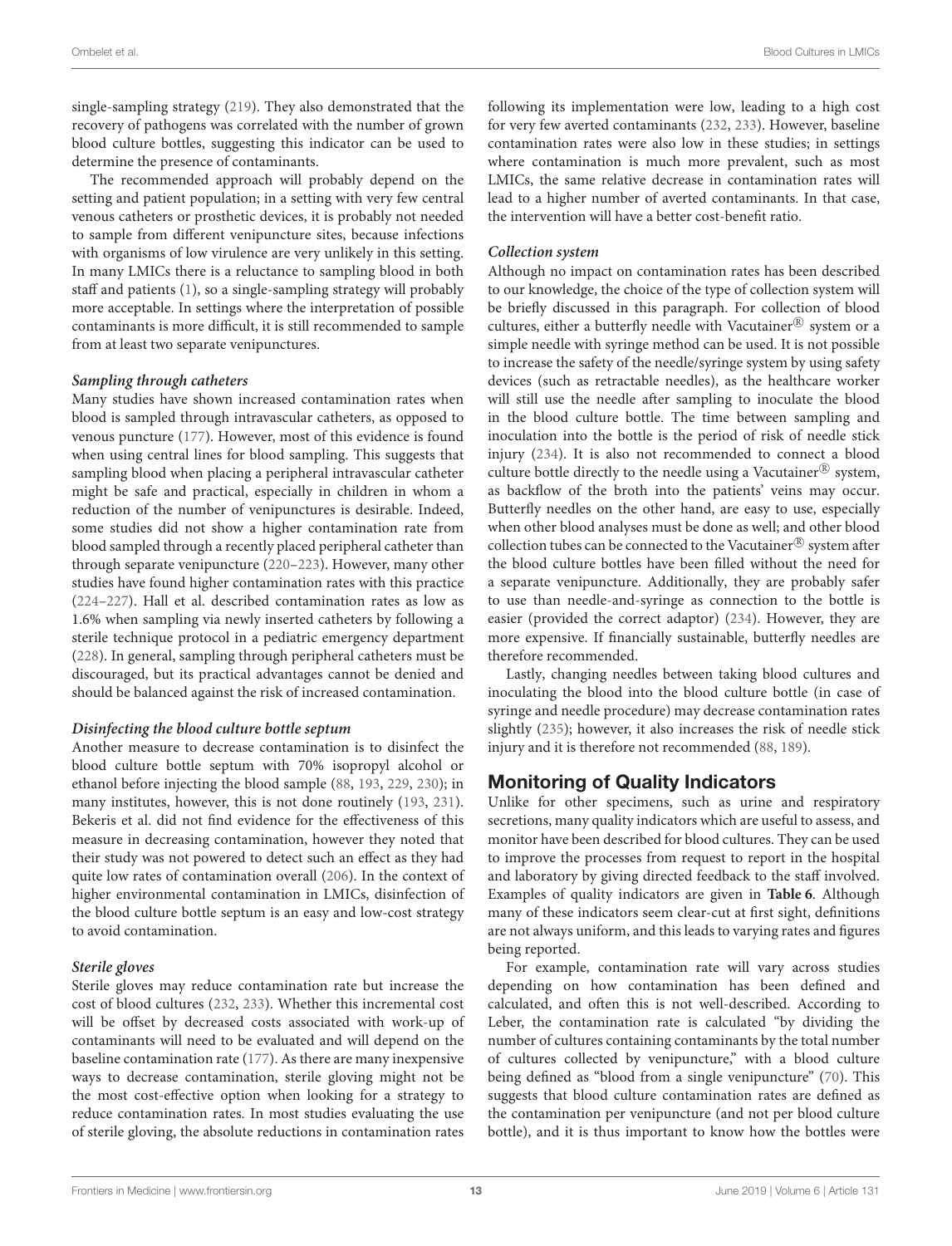single-sampling strategy [\(219\)](#page-24-14). They also demonstrated that the recovery of pathogens was correlated with the number of grown blood culture bottles, suggesting this indicator can be used to determine the presence of contaminants.

The recommended approach will probably depend on the setting and patient population; in a setting with very few central venous catheters or prosthetic devices, it is probably not needed to sample from different venipuncture sites, because infections with organisms of low virulence are very unlikely in this setting. In many LMICs there is a reluctance to sampling blood in both staff and patients [\(1\)](#page-18-0), so a single-sampling strategy will probably more acceptable. In settings where the interpretation of possible contaminants is more difficult, it is still recommended to sample from at least two separate venipunctures.

#### **Sampling through catheters**

Many studies have shown increased contamination rates when blood is sampled through intravascular catheters, as opposed to venous puncture [\(177\)](#page-23-14). However, most of this evidence is found when using central lines for blood sampling. This suggests that sampling blood when placing a peripheral intravascular catheter might be safe and practical, especially in children in whom a reduction of the number of venipunctures is desirable. Indeed, some studies did not show a higher contamination rate from blood sampled through a recently placed peripheral catheter than through separate venipuncture [\(220](#page-24-15)[–223\)](#page-24-16). However, many other studies have found higher contamination rates with this practice [\(224–](#page-24-17)[227\)](#page-24-18). Hall et al. described contamination rates as low as 1.6% when sampling via newly inserted catheters by following a sterile technique protocol in a pediatric emergency department [\(228\)](#page-24-19). In general, sampling through peripheral catheters must be discouraged, but its practical advantages cannot be denied and should be balanced against the risk of increased contamination.

#### **Disinfecting the blood culture bottle septum**

Another measure to decrease contamination is to disinfect the blood culture bottle septum with 70% isopropyl alcohol or ethanol before injecting the blood sample [\(88,](#page-21-0) [193,](#page-23-25) [229,](#page-24-20) [230\)](#page-24-21); in many institutes, however, this is not done routinely [\(193,](#page-23-25) [231\)](#page-24-22). Bekeris et al. did not find evidence for the effectiveness of this measure in decreasing contamination, however they noted that their study was not powered to detect such an effect as they had quite low rates of contamination overall [\(206\)](#page-24-3). In the context of higher environmental contamination in LMICs, disinfection of the blood culture bottle septum is an easy and low-cost strategy to avoid contamination.

#### **Sterile gloves**

Sterile gloves may reduce contamination rate but increase the cost of blood cultures [\(232,](#page-24-23) [233\)](#page-24-24). Whether this incremental cost will be offset by decreased costs associated with work-up of contaminants will need to be evaluated and will depend on the baseline contamination rate [\(177\)](#page-23-14). As there are many inexpensive ways to decrease contamination, sterile gloving might not be the most cost-effective option when looking for a strategy to reduce contamination rates. In most studies evaluating the use of sterile gloving, the absolute reductions in contamination rates following its implementation were low, leading to a high cost for very few averted contaminants [\(232,](#page-24-23) [233\)](#page-24-24). However, baseline contamination rates were also low in these studies; in settings where contamination is much more prevalent, such as most LMICs, the same relative decrease in contamination rates will lead to a higher number of averted contaminants. In that case, the intervention will have a better cost-benefit ratio.

#### **Collection system**

Although no impact on contamination rates has been described to our knowledge, the choice of the type of collection system will be briefly discussed in this paragraph. For collection of blood cultures, either a butterfly needle with Vacutainer<sup>®</sup> system or a simple needle with syringe method can be used. It is not possible to increase the safety of the needle/syringe system by using safety devices (such as retractable needles), as the healthcare worker will still use the needle after sampling to inoculate the blood in the blood culture bottle. The time between sampling and inoculation into the bottle is the period of risk of needle stick injury [\(234\)](#page-24-25). It is also not recommended to connect a blood culture bottle directly to the needle using a Vacutainer<sup>®</sup> system, as backflow of the broth into the patients' veins may occur. Butterfly needles on the other hand, are easy to use, especially when other blood analyses must be done as well; and other blood collection tubes can be connected to the Vacutainer® system after the blood culture bottles have been filled without the need for a separate venipuncture. Additionally, they are probably safer to use than needle-and-syringe as connection to the bottle is easier (provided the correct adaptor) [\(234\)](#page-24-25). However, they are more expensive. If financially sustainable, butterfly needles are therefore recommended.

Lastly, changing needles between taking blood cultures and inoculating the blood into the blood culture bottle (in case of syringe and needle procedure) may decrease contamination rates slightly [\(235\)](#page-24-26); however, it also increases the risk of needle stick injury and it is therefore not recommended [\(88,](#page-21-0) [189\)](#page-23-22).

## Monitoring of Quality Indicators

Unlike for other specimens, such as urine and respiratory secretions, many quality indicators which are useful to assess, and monitor have been described for blood cultures. They can be used to improve the processes from request to report in the hospital and laboratory by giving directed feedback to the staff involved. Examples of quality indicators are given in **[Table 6](#page-13-0)**. Although many of these indicators seem clear-cut at first sight, definitions are not always uniform, and this leads to varying rates and figures being reported.

For example, contamination rate will vary across studies depending on how contamination has been defined and calculated, and often this is not well-described. According to Leber, the contamination rate is calculated "by dividing the number of cultures containing contaminants by the total number of cultures collected by venipuncture," with a blood culture being defined as "blood from a single venipuncture" [\(70\)](#page-20-14). This suggests that blood culture contamination rates are defined as the contamination per venipuncture (and not per blood culture bottle), and it is thus important to know how the bottles were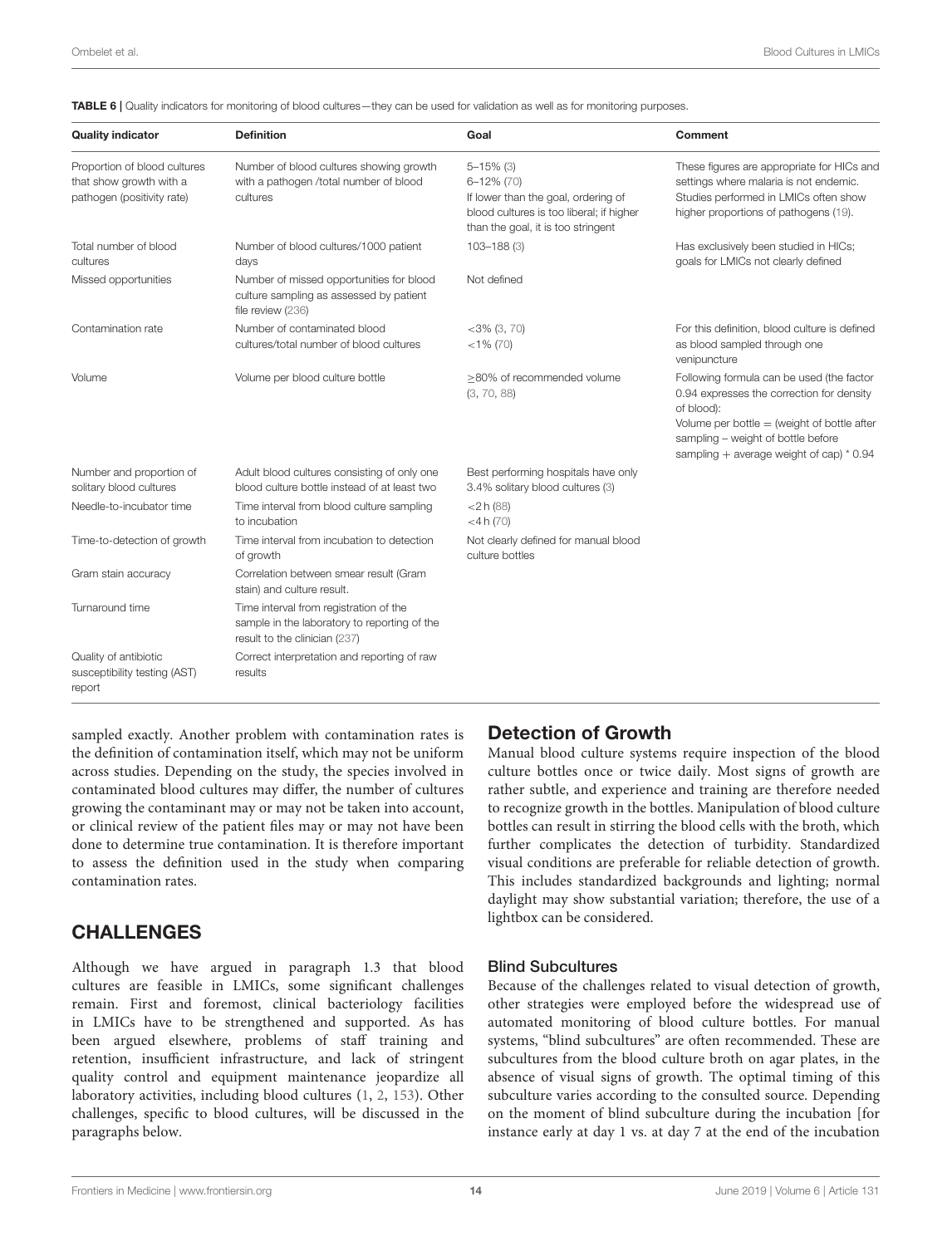<span id="page-13-0"></span>TABLE 6 | Quality indicators for monitoring of blood cultures—they can be used for validation as well as for monitoring purposes.

| <b>Quality indicator</b>                                                              | <b>Definition</b>                                                                                                       | Goal                                                                                                                                                      | Comment                                                                                                                                                                                                                                   |
|---------------------------------------------------------------------------------------|-------------------------------------------------------------------------------------------------------------------------|-----------------------------------------------------------------------------------------------------------------------------------------------------------|-------------------------------------------------------------------------------------------------------------------------------------------------------------------------------------------------------------------------------------------|
| Proportion of blood cultures<br>that show growth with a<br>pathogen (positivity rate) | Number of blood cultures showing growth<br>with a pathogen /total number of blood<br>cultures                           | $5 - 15%$ (3)<br>$6 - 12\%$ (70)<br>If lower than the goal, ordering of<br>blood cultures is too liberal; if higher<br>than the goal, it is too stringent | These figures are appropriate for HICs and<br>settings where malaria is not endemic.<br>Studies performed in LMICs often show<br>higher proportions of pathogens (19).                                                                    |
| Total number of blood<br>cultures                                                     | Number of blood cultures/1000 patient<br>days                                                                           | 103-188 (3)                                                                                                                                               | Has exclusively been studied in HICs;<br>goals for LMICs not clearly defined                                                                                                                                                              |
| Missed opportunities                                                                  | Number of missed opportunities for blood<br>culture sampling as assessed by patient<br>file review (236)                | Not defined                                                                                                                                               |                                                                                                                                                                                                                                           |
| Contamination rate                                                                    | Number of contaminated blood<br>cultures/total number of blood cultures                                                 | $<$ 3% (3, 70)<br>$<$ 1% (70)                                                                                                                             | For this definition, blood culture is defined<br>as blood sampled through one<br>venipuncture                                                                                                                                             |
| Volume                                                                                | Volume per blood culture bottle                                                                                         | $\geq$ 80% of recommended volume<br>(3, 70, 88)                                                                                                           | Following formula can be used (the factor<br>0.94 expresses the correction for density<br>of blood):<br>Volume per bottle $=$ (weight of bottle after<br>sampling - weight of bottle before<br>sampling + average weight of cap) $*$ 0.94 |
| Number and proportion of<br>solitary blood cultures                                   | Adult blood cultures consisting of only one<br>blood culture bottle instead of at least two                             | Best performing hospitals have only<br>3.4% solitary blood cultures (3)                                                                                   |                                                                                                                                                                                                                                           |
| Needle-to-incubator time                                                              | Time interval from blood culture sampling<br>to incubation                                                              | $<$ 2 h (88)<br>$<$ 4 h (70)                                                                                                                              |                                                                                                                                                                                                                                           |
| Time-to-detection of growth                                                           | Time interval from incubation to detection<br>of growth                                                                 | Not clearly defined for manual blood<br>culture bottles                                                                                                   |                                                                                                                                                                                                                                           |
| Gram stain accuracy                                                                   | Correlation between smear result (Gram<br>stain) and culture result.                                                    |                                                                                                                                                           |                                                                                                                                                                                                                                           |
| Turnaround time                                                                       | Time interval from registration of the<br>sample in the laboratory to reporting of the<br>result to the clinician (237) |                                                                                                                                                           |                                                                                                                                                                                                                                           |
| Quality of antibiotic<br>susceptibility testing (AST)<br>report                       | Correct interpretation and reporting of raw<br>results                                                                  |                                                                                                                                                           |                                                                                                                                                                                                                                           |

sampled exactly. Another problem with contamination rates is the definition of contamination itself, which may not be uniform across studies. Depending on the study, the species involved in contaminated blood cultures may differ, the number of cultures growing the contaminant may or may not be taken into account, or clinical review of the patient files may or may not have been done to determine true contamination. It is therefore important to assess the definition used in the study when comparing contamination rates.

## CHALLENGES

Although we have argued in paragraph 1.3 that blood cultures are feasible in LMICs, some significant challenges remain. First and foremost, clinical bacteriology facilities in LMICs have to be strengthened and supported. As has been argued elsewhere, problems of staff training and retention, insufficient infrastructure, and lack of stringent quality control and equipment maintenance jeopardize all laboratory activities, including blood cultures [\(1,](#page-18-0) [2,](#page-18-1) [153\)](#page-22-22). Other challenges, specific to blood cultures, will be discussed in the paragraphs below.

## Detection of Growth

Manual blood culture systems require inspection of the blood culture bottles once or twice daily. Most signs of growth are rather subtle, and experience and training are therefore needed to recognize growth in the bottles. Manipulation of blood culture bottles can result in stirring the blood cells with the broth, which further complicates the detection of turbidity. Standardized visual conditions are preferable for reliable detection of growth. This includes standardized backgrounds and lighting; normal daylight may show substantial variation; therefore, the use of a lightbox can be considered.

#### Blind Subcultures

Because of the challenges related to visual detection of growth, other strategies were employed before the widespread use of automated monitoring of blood culture bottles. For manual systems, "blind subcultures" are often recommended. These are subcultures from the blood culture broth on agar plates, in the absence of visual signs of growth. The optimal timing of this subculture varies according to the consulted source. Depending on the moment of blind subculture during the incubation [for instance early at day 1 vs. at day 7 at the end of the incubation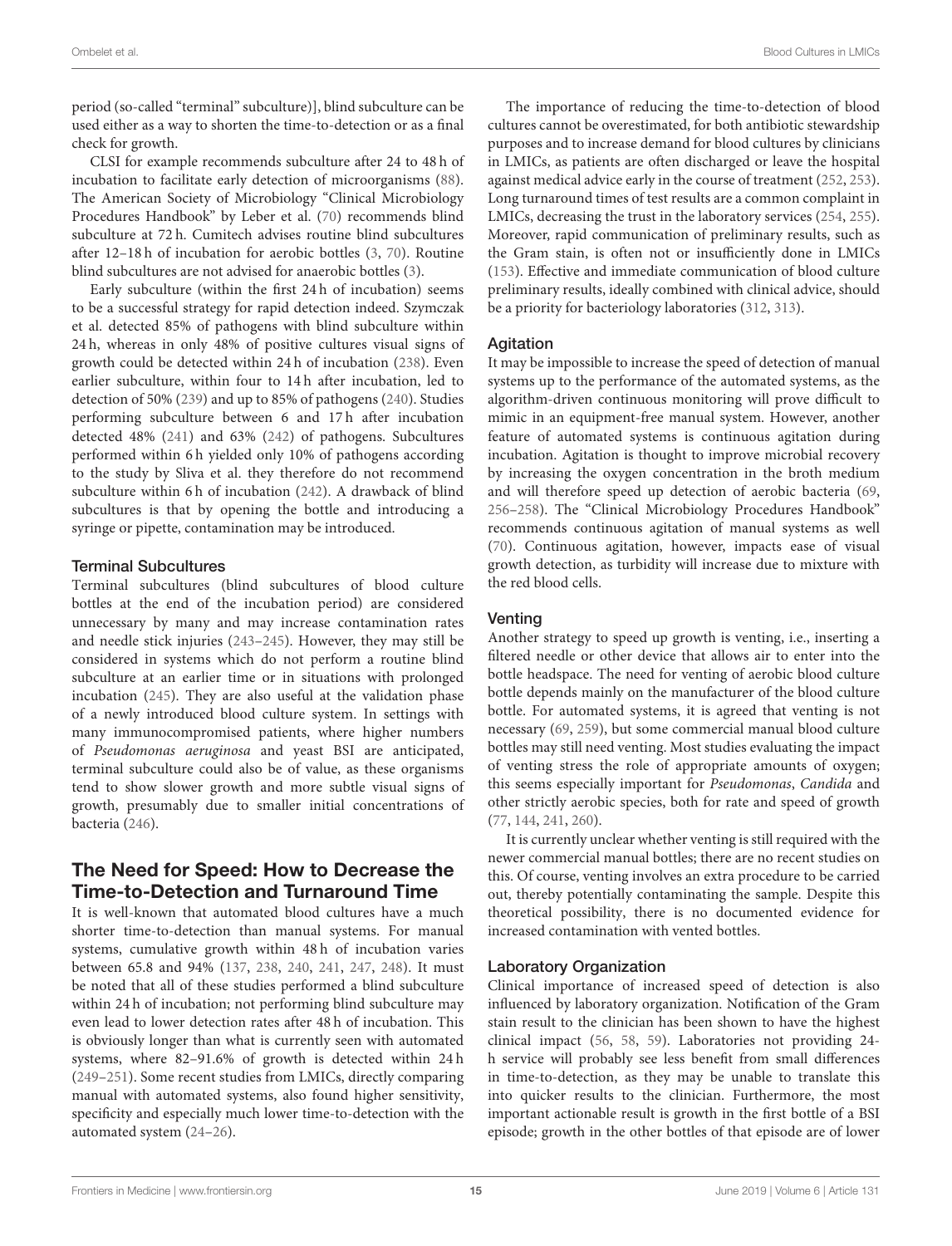period (so-called "terminal" subculture)], blind subculture can be used either as a way to shorten the time-to-detection or as a final check for growth.

CLSI for example recommends subculture after 24 to 48 h of incubation to facilitate early detection of microorganisms [\(88\)](#page-21-0). The American Society of Microbiology "Clinical Microbiology Procedures Handbook" by Leber et al. [\(70\)](#page-20-14) recommends blind subculture at 72 h. Cumitech advises routine blind subcultures after 12–18 h of incubation for aerobic bottles [\(3,](#page-18-2) [70\)](#page-20-14). Routine blind subcultures are not advised for anaerobic bottles [\(3\)](#page-18-2).

Early subculture (within the first 24 h of incubation) seems to be a successful strategy for rapid detection indeed. Szymczak et al. detected 85% of pathogens with blind subculture within 24 h, whereas in only 48% of positive cultures visual signs of growth could be detected within 24 h of incubation [\(238\)](#page-24-29). Even earlier subculture, within four to 14 h after incubation, led to detection of 50% [\(239\)](#page-24-30) and up to 85% of pathogens [\(240\)](#page-24-31). Studies performing subculture between 6 and 17 h after incubation detected 48% [\(241\)](#page-24-32) and 63% [\(242\)](#page-24-33) of pathogens. Subcultures performed within 6 h yielded only 10% of pathogens according to the study by Sliva et al. they therefore do not recommend subculture within 6 h of incubation [\(242\)](#page-24-33). A drawback of blind subcultures is that by opening the bottle and introducing a syringe or pipette, contamination may be introduced.

#### Terminal Subcultures

Terminal subcultures (blind subcultures of blood culture bottles at the end of the incubation period) are considered unnecessary by many and may increase contamination rates and needle stick injuries [\(243](#page-24-34)[–245\)](#page-24-35). However, they may still be considered in systems which do not perform a routine blind subculture at an earlier time or in situations with prolonged incubation [\(245\)](#page-24-35). They are also useful at the validation phase of a newly introduced blood culture system. In settings with many immunocompromised patients, where higher numbers of Pseudomonas aeruginosa and yeast BSI are anticipated, terminal subculture could also be of value, as these organisms tend to show slower growth and more subtle visual signs of growth, presumably due to smaller initial concentrations of bacteria [\(246\)](#page-25-0).

## The Need for Speed: How to Decrease the Time-to-Detection and Turnaround Time

It is well-known that automated blood cultures have a much shorter time-to-detection than manual systems. For manual systems, cumulative growth within 48 h of incubation varies between 65.8 and 94% [\(137,](#page-22-12) [238,](#page-24-29) [240,](#page-24-31) [241,](#page-24-32) [247,](#page-25-1) [248\)](#page-25-2). It must be noted that all of these studies performed a blind subculture within 24 h of incubation; not performing blind subculture may even lead to lower detection rates after 48 h of incubation. This is obviously longer than what is currently seen with automated systems, where 82–91.6% of growth is detected within 24 h [\(249–](#page-25-3)[251\)](#page-25-4). Some recent studies from LMICs, directly comparing manual with automated systems, also found higher sensitivity, specificity and especially much lower time-to-detection with the automated system [\(24](#page-19-14)[–26\)](#page-19-15).

The importance of reducing the time-to-detection of blood cultures cannot be overestimated, for both antibiotic stewardship purposes and to increase demand for blood cultures by clinicians in LMICs, as patients are often discharged or leave the hospital against medical advice early in the course of treatment [\(252,](#page-25-5) [253\)](#page-25-6). Long turnaround times of test results are a common complaint in LMICs, decreasing the trust in the laboratory services [\(254,](#page-25-7) [255\)](#page-25-8). Moreover, rapid communication of preliminary results, such as the Gram stain, is often not or insufficiently done in LMICs [\(153\)](#page-22-22). Effective and immediate communication of blood culture preliminary results, ideally combined with clinical advice, should be a priority for bacteriology laboratories [\(312,](#page-26-0) [313\)](#page-26-1).

#### **Agitation**

It may be impossible to increase the speed of detection of manual systems up to the performance of the automated systems, as the algorithm-driven continuous monitoring will prove difficult to mimic in an equipment-free manual system. However, another feature of automated systems is continuous agitation during incubation. Agitation is thought to improve microbial recovery by increasing the oxygen concentration in the broth medium and will therefore speed up detection of aerobic bacteria [\(69,](#page-20-13) [256–](#page-25-9)[258\)](#page-25-10). The "Clinical Microbiology Procedures Handbook" recommends continuous agitation of manual systems as well [\(70\)](#page-20-14). Continuous agitation, however, impacts ease of visual growth detection, as turbidity will increase due to mixture with the red blood cells.

#### **Venting**

Another strategy to speed up growth is venting, i.e., inserting a filtered needle or other device that allows air to enter into the bottle headspace. The need for venting of aerobic blood culture bottle depends mainly on the manufacturer of the blood culture bottle. For automated systems, it is agreed that venting is not necessary [\(69,](#page-20-13) [259\)](#page-25-11), but some commercial manual blood culture bottles may still need venting. Most studies evaluating the impact of venting stress the role of appropriate amounts of oxygen; this seems especially important for Pseudomonas, Candida and other strictly aerobic species, both for rate and speed of growth [\(77,](#page-20-21) [144,](#page-22-32) [241,](#page-24-32) [260\)](#page-25-12).

It is currently unclear whether venting is still required with the newer commercial manual bottles; there are no recent studies on this. Of course, venting involves an extra procedure to be carried out, thereby potentially contaminating the sample. Despite this theoretical possibility, there is no documented evidence for increased contamination with vented bottles.

#### Laboratory Organization

Clinical importance of increased speed of detection is also influenced by laboratory organization. Notification of the Gram stain result to the clinician has been shown to have the highest clinical impact [\(56,](#page-20-6) [58,](#page-20-27) [59\)](#page-20-28). Laboratories not providing 24 h service will probably see less benefit from small differences in time-to-detection, as they may be unable to translate this into quicker results to the clinician. Furthermore, the most important actionable result is growth in the first bottle of a BSI episode; growth in the other bottles of that episode are of lower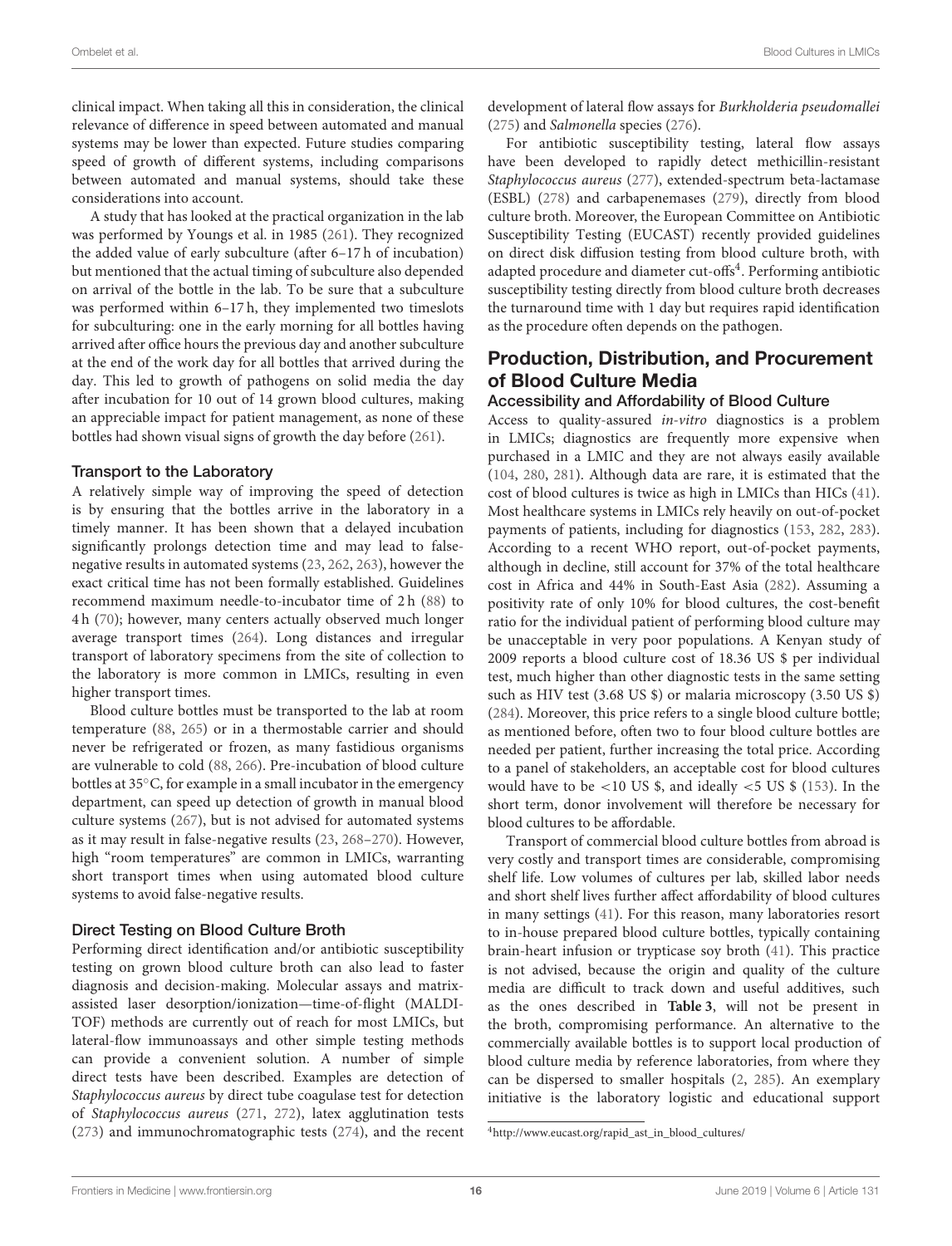clinical impact. When taking all this in consideration, the clinical relevance of difference in speed between automated and manual systems may be lower than expected. Future studies comparing speed of growth of different systems, including comparisons between automated and manual systems, should take these considerations into account.

A study that has looked at the practical organization in the lab was performed by Youngs et al. in 1985 [\(261\)](#page-25-13). They recognized the added value of early subculture (after 6–17 h of incubation) but mentioned that the actual timing of subculture also depended on arrival of the bottle in the lab. To be sure that a subculture was performed within 6–17 h, they implemented two timeslots for subculturing: one in the early morning for all bottles having arrived after office hours the previous day and another subculture at the end of the work day for all bottles that arrived during the day. This led to growth of pathogens on solid media the day after incubation for 10 out of 14 grown blood cultures, making an appreciable impact for patient management, as none of these bottles had shown visual signs of growth the day before [\(261\)](#page-25-13).

#### Transport to the Laboratory

A relatively simple way of improving the speed of detection is by ensuring that the bottles arrive in the laboratory in a timely manner. It has been shown that a delayed incubation significantly prolongs detection time and may lead to falsenegative results in automated systems [\(23,](#page-19-13) [262,](#page-25-14) [263\)](#page-25-15), however the exact critical time has not been formally established. Guidelines recommend maximum needle-to-incubator time of 2 h [\(88\)](#page-21-0) to 4 h [\(70\)](#page-20-14); however, many centers actually observed much longer average transport times [\(264\)](#page-25-16). Long distances and irregular transport of laboratory specimens from the site of collection to the laboratory is more common in LMICs, resulting in even higher transport times.

Blood culture bottles must be transported to the lab at room temperature [\(88,](#page-21-0) [265\)](#page-25-17) or in a thermostable carrier and should never be refrigerated or frozen, as many fastidious organisms are vulnerable to cold [\(88,](#page-21-0) [266\)](#page-25-18). Pre-incubation of blood culture bottles at 35◦C, for example in a small incubator in the emergency department, can speed up detection of growth in manual blood culture systems [\(267\)](#page-25-19), but is not advised for automated systems as it may result in false-negative results [\(23,](#page-19-13) [268–](#page-25-20)[270\)](#page-25-21). However, high "room temperatures" are common in LMICs, warranting short transport times when using automated blood culture systems to avoid false-negative results.

#### Direct Testing on Blood Culture Broth

Performing direct identification and/or antibiotic susceptibility testing on grown blood culture broth can also lead to faster diagnosis and decision-making. Molecular assays and matrixassisted laser desorption/ionization—time-of-flight (MALDI-TOF) methods are currently out of reach for most LMICs, but lateral-flow immunoassays and other simple testing methods can provide a convenient solution. A number of simple direct tests have been described. Examples are detection of Staphylococcus aureus by direct tube coagulase test for detection of Staphylococcus aureus [\(271,](#page-25-22) [272\)](#page-25-23), latex agglutination tests [\(273\)](#page-25-24) and immunochromatographic tests [\(274\)](#page-25-25), and the recent development of lateral flow assays for Burkholderia pseudomallei [\(275\)](#page-25-26) and Salmonella species [\(276\)](#page-25-27).

For antibiotic susceptibility testing, lateral flow assays have been developed to rapidly detect methicillin-resistant Staphylococcus aureus [\(277\)](#page-25-28), extended-spectrum beta-lactamase (ESBL) [\(278\)](#page-25-29) and carbapenemases [\(279\)](#page-25-30), directly from blood culture broth. Moreover, the European Committee on Antibiotic Susceptibility Testing (EUCAST) recently provided guidelines on direct disk diffusion testing from blood culture broth, with adapted procedure and diameter cut-offs<sup>[4](#page-15-0)</sup>. Performing antibiotic susceptibility testing directly from blood culture broth decreases the turnaround time with 1 day but requires rapid identification as the procedure often depends on the pathogen.

## Production, Distribution, and Procurement of Blood Culture Media

#### Accessibility and Affordability of Blood Culture

Access to quality-assured in-vitro diagnostics is a problem in LMICs; diagnostics are frequently more expensive when purchased in a LMIC and they are not always easily available [\(104,](#page-21-14) [280,](#page-25-31) [281\)](#page-25-32). Although data are rare, it is estimated that the cost of blood cultures is twice as high in LMICs than HICs [\(41\)](#page-19-29). Most healthcare systems in LMICs rely heavily on out-of-pocket payments of patients, including for diagnostics [\(153,](#page-22-22) [282,](#page-25-33) [283\)](#page-25-34). According to a recent WHO report, out-of-pocket payments, although in decline, still account for 37% of the total healthcare cost in Africa and 44% in South-East Asia [\(282\)](#page-25-33). Assuming a positivity rate of only 10% for blood cultures, the cost-benefit ratio for the individual patient of performing blood culture may be unacceptable in very poor populations. A Kenyan study of 2009 reports a blood culture cost of 18.36 US \$ per individual test, much higher than other diagnostic tests in the same setting such as HIV test (3.68 US \$) or malaria microscopy (3.50 US \$) [\(284\)](#page-26-2). Moreover, this price refers to a single blood culture bottle; as mentioned before, often two to four blood culture bottles are needed per patient, further increasing the total price. According to a panel of stakeholders, an acceptable cost for blood cultures would have to be  $<$ 10 US \$, and ideally  $<$  5 US \$ [\(153\)](#page-22-22). In the short term, donor involvement will therefore be necessary for blood cultures to be affordable.

Transport of commercial blood culture bottles from abroad is very costly and transport times are considerable, compromising shelf life. Low volumes of cultures per lab, skilled labor needs and short shelf lives further affect affordability of blood cultures in many settings [\(41\)](#page-19-29). For this reason, many laboratories resort to in-house prepared blood culture bottles, typically containing brain-heart infusion or trypticase soy broth [\(41\)](#page-19-29). This practice is not advised, because the origin and quality of the culture media are difficult to track down and useful additives, such as the ones described in **[Table 3](#page-5-1)**, will not be present in the broth, compromising performance. An alternative to the commercially available bottles is to support local production of blood culture media by reference laboratories, from where they can be dispersed to smaller hospitals [\(2,](#page-18-1) [285\)](#page-26-3). An exemplary initiative is the laboratory logistic and educational support

<span id="page-15-0"></span><sup>4</sup>[http://www.eucast.org/rapid\\_ast\\_in\\_blood\\_cultures/](http://www.eucast.org/rapid_ast_in_blood_cultures/)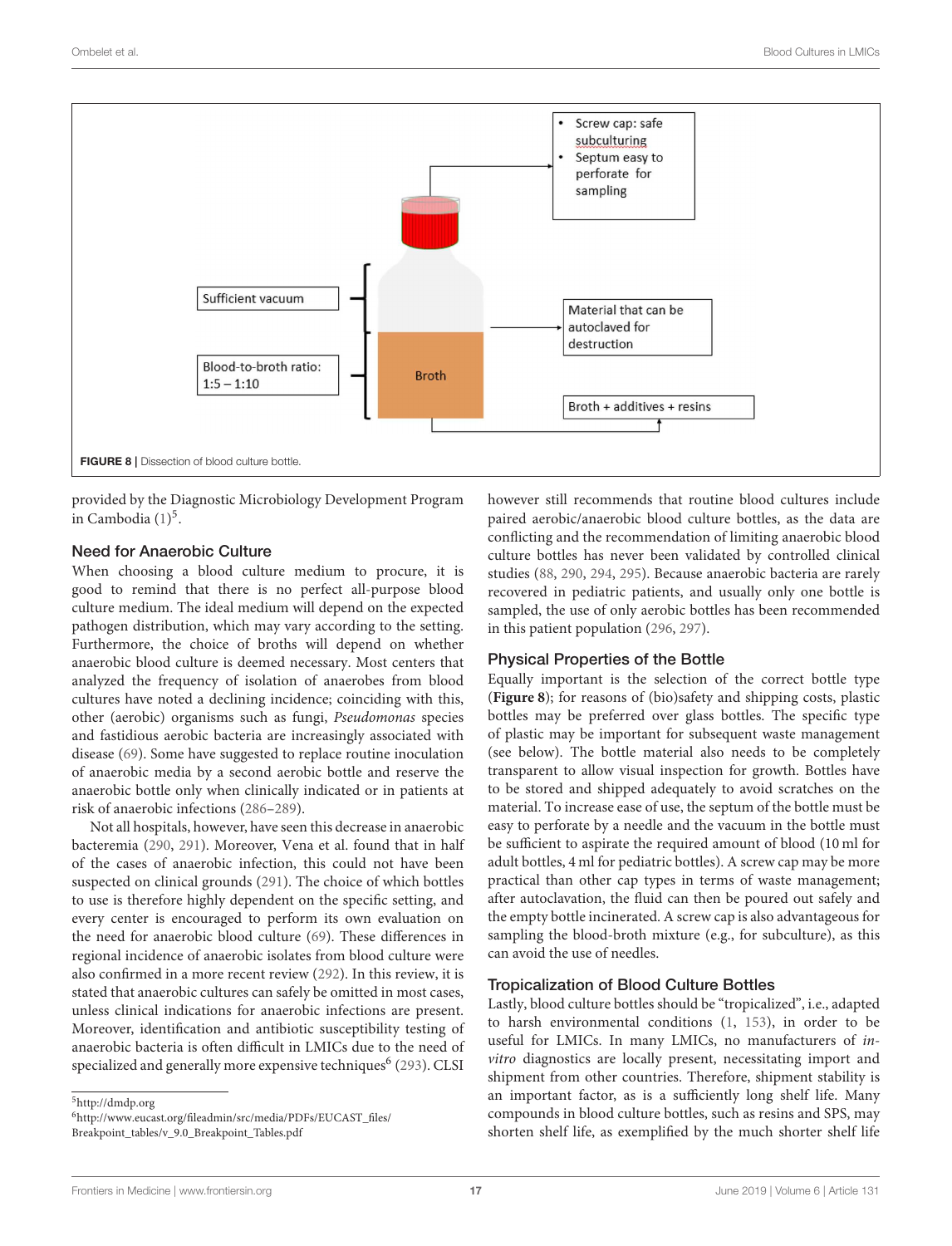

<span id="page-16-2"></span>provided by the Diagnostic Microbiology Development Program in Cambodia [\(1\)](#page-18-0) [5](#page-16-0) .

#### Need for Anaerobic Culture

When choosing a blood culture medium to procure, it is good to remind that there is no perfect all-purpose blood culture medium. The ideal medium will depend on the expected pathogen distribution, which may vary according to the setting. Furthermore, the choice of broths will depend on whether anaerobic blood culture is deemed necessary. Most centers that analyzed the frequency of isolation of anaerobes from blood cultures have noted a declining incidence; coinciding with this, other (aerobic) organisms such as fungi, Pseudomonas species and fastidious aerobic bacteria are increasingly associated with disease [\(69\)](#page-20-13). Some have suggested to replace routine inoculation of anaerobic media by a second aerobic bottle and reserve the anaerobic bottle only when clinically indicated or in patients at risk of anaerobic infections [\(286–](#page-26-4)[289\)](#page-26-5).

Not all hospitals, however, have seen this decrease in anaerobic bacteremia [\(290,](#page-26-6) [291\)](#page-26-7). Moreover, Vena et al. found that in half of the cases of anaerobic infection, this could not have been suspected on clinical grounds [\(291\)](#page-26-7). The choice of which bottles to use is therefore highly dependent on the specific setting, and every center is encouraged to perform its own evaluation on the need for anaerobic blood culture [\(69\)](#page-20-13). These differences in regional incidence of anaerobic isolates from blood culture were also confirmed in a more recent review [\(292\)](#page-26-8). In this review, it is stated that anaerobic cultures can safely be omitted in most cases, unless clinical indications for anaerobic infections are present. Moreover, identification and antibiotic susceptibility testing of anaerobic bacteria is often difficult in LMICs due to the need of specialized and generally more expensive techniques<sup>[6](#page-16-1)</sup> [\(293\)](#page-26-9). CLSI

<span id="page-16-1"></span><sup>6</sup>[http://www.eucast.org/fileadmin/src/media/PDFs/EUCAST\\_files/](http://www.eucast.org/fileadmin/src/media/PDFs/EUCAST_files/Breakpoint_tables/v_9.0_Breakpoint_Tables.pdf) [Breakpoint\\_tables/v\\_9.0\\_Breakpoint\\_Tables.pdf](http://www.eucast.org/fileadmin/src/media/PDFs/EUCAST_files/Breakpoint_tables/v_9.0_Breakpoint_Tables.pdf)

however still recommends that routine blood cultures include paired aerobic/anaerobic blood culture bottles, as the data are conflicting and the recommendation of limiting anaerobic blood culture bottles has never been validated by controlled clinical studies [\(88,](#page-21-0) [290,](#page-26-6) [294,](#page-26-10) [295\)](#page-26-11). Because anaerobic bacteria are rarely recovered in pediatric patients, and usually only one bottle is sampled, the use of only aerobic bottles has been recommended in this patient population [\(296,](#page-26-12) [297\)](#page-26-13).

#### Physical Properties of the Bottle

Equally important is the selection of the correct bottle type (**[Figure 8](#page-16-2)**); for reasons of (bio)safety and shipping costs, plastic bottles may be preferred over glass bottles. The specific type of plastic may be important for subsequent waste management (see below). The bottle material also needs to be completely transparent to allow visual inspection for growth. Bottles have to be stored and shipped adequately to avoid scratches on the material. To increase ease of use, the septum of the bottle must be easy to perforate by a needle and the vacuum in the bottle must be sufficient to aspirate the required amount of blood (10 ml for adult bottles, 4 ml for pediatric bottles). A screw cap may be more practical than other cap types in terms of waste management; after autoclavation, the fluid can then be poured out safely and the empty bottle incinerated. A screw cap is also advantageous for sampling the blood-broth mixture (e.g., for subculture), as this can avoid the use of needles.

#### Tropicalization of Blood Culture Bottles

Lastly, blood culture bottles should be "tropicalized", i.e., adapted to harsh environmental conditions [\(1,](#page-18-0) [153\)](#page-22-22), in order to be useful for LMICs. In many LMICs, no manufacturers of invitro diagnostics are locally present, necessitating import and shipment from other countries. Therefore, shipment stability is an important factor, as is a sufficiently long shelf life. Many compounds in blood culture bottles, such as resins and SPS, may shorten shelf life, as exemplified by the much shorter shelf life

<span id="page-16-0"></span><sup>5</sup><http://dmdp.org>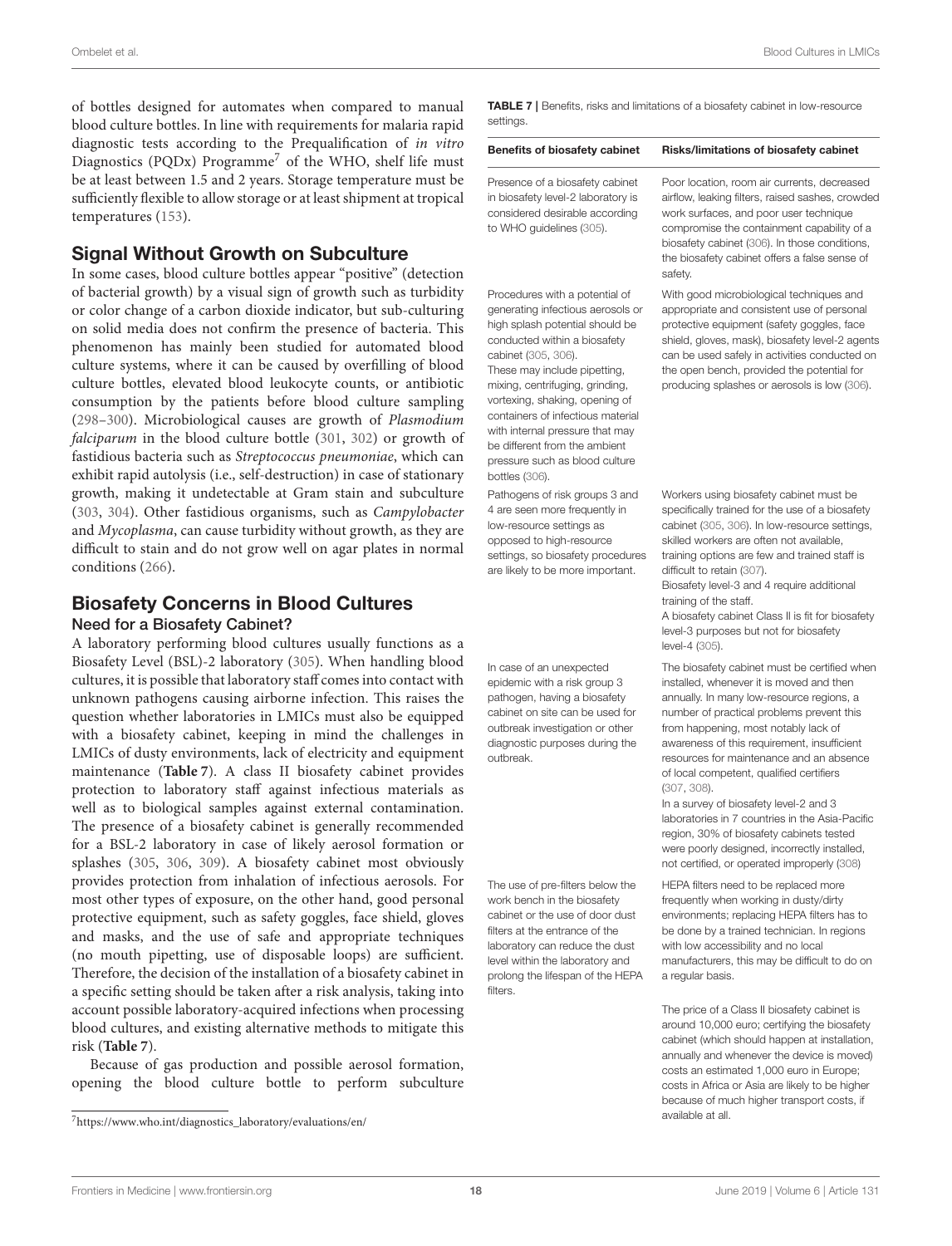of bottles designed for automates when compared to manual blood culture bottles. In line with requirements for malaria rapid diagnostic tests according to the Prequalification of in vitro Diagnostics (PQDx) Programme<sup>[7](#page-17-0)</sup> of the WHO, shelf life must be at least between 1.5 and 2 years. Storage temperature must be sufficiently flexible to allow storage or at least shipment at tropical temperatures [\(153\)](#page-22-22).

### Signal Without Growth on Subculture

In some cases, blood culture bottles appear "positive" (detection of bacterial growth) by a visual sign of growth such as turbidity or color change of a carbon dioxide indicator, but sub-culturing on solid media does not confirm the presence of bacteria. This phenomenon has mainly been studied for automated blood culture systems, where it can be caused by overfilling of blood culture bottles, elevated blood leukocyte counts, or antibiotic consumption by the patients before blood culture sampling [\(298–](#page-26-14)[300\)](#page-26-15). Microbiological causes are growth of Plasmodium falciparum in the blood culture bottle [\(301,](#page-26-16) [302\)](#page-26-17) or growth of fastidious bacteria such as Streptococcus pneumoniae, which can exhibit rapid autolysis (i.e., self-destruction) in case of stationary growth, making it undetectable at Gram stain and subculture [\(303,](#page-26-18) [304\)](#page-26-19). Other fastidious organisms, such as Campylobacter and Mycoplasma, can cause turbidity without growth, as they are difficult to stain and do not grow well on agar plates in normal conditions [\(266\)](#page-25-18).

#### Biosafety Concerns in Blood Cultures Need for a Biosafety Cabinet?

A laboratory performing blood cultures usually functions as a Biosafety Level (BSL)-2 laboratory [\(305\)](#page-26-20). When handling blood cultures, it is possible that laboratory staff comes into contact with unknown pathogens causing airborne infection. This raises the question whether laboratories in LMICs must also be equipped with a biosafety cabinet, keeping in mind the challenges in LMICs of dusty environments, lack of electricity and equipment maintenance (**[Table 7](#page-17-1)**). A class II biosafety cabinet provides protection to laboratory staff against infectious materials as well as to biological samples against external contamination. The presence of a biosafety cabinet is generally recommended for a BSL-2 laboratory in case of likely aerosol formation or splashes [\(305,](#page-26-20) [306,](#page-26-21) [309\)](#page-26-22). A biosafety cabinet most obviously provides protection from inhalation of infectious aerosols. For most other types of exposure, on the other hand, good personal protective equipment, such as safety goggles, face shield, gloves and masks, and the use of safe and appropriate techniques (no mouth pipetting, use of disposable loops) are sufficient. Therefore, the decision of the installation of a biosafety cabinet in a specific setting should be taken after a risk analysis, taking into account possible laboratory-acquired infections when processing blood cultures, and existing alternative methods to mitigate this risk (**[Table 7](#page-17-1)**).

Because of gas production and possible aerosol formation, opening the blood culture bottle to perform subculture <span id="page-17-1"></span>TABLE 7 | Benefits, risks and limitations of a biosafety cabinet in low-resource settings.

| <b>Benefits of biosafety cabinet</b>                                                                                                | Risks/limitations of biosafety cabinet                                                                                                                                                                                                  |
|-------------------------------------------------------------------------------------------------------------------------------------|-----------------------------------------------------------------------------------------------------------------------------------------------------------------------------------------------------------------------------------------|
| Presence of a biosafety cabinet<br>in biosafety level-2 laboratory is<br>considered desirable according<br>to WHO quidelines (305). | Poor location, room air currents, decreased<br>airflow, leaking filters, raised sashes, crowde<br>work surfaces, and poor user technique<br>compromise the containment capability of a<br>biosafety cabinet (306). In those conditions, |
|                                                                                                                                     |                                                                                                                                                                                                                                         |

Procedures with a potential of generating infectious aerosols or high splash potential should be conducted within a biosafety cabinet [\(305,](#page-26-20) [306\)](#page-26-21).

These may include pipetting, mixing, centrifuging, grinding, vortexing, shaking, opening of containers of infectious material with internal pressure that may be different from the ambient pressure such as blood culture bottles [\(306\)](#page-26-21).

Pathogens of risk groups 3 and 4 are seen more frequently in low-resource settings as opposed to high-resource settings, so biosafety procedures are likely to be more important.

In case of an unexpected epidemic with a risk group 3 pathogen, having a biosafety cabinet on site can be used for outbreak investigation or other diagnostic purposes during the outbreak.

The use of pre-filters below the work bench in the biosafety cabinet or the use of door dust filters at the entrance of the laboratory can reduce the dust level within the laboratory and prolong the lifespan of the HEPA filters.

#### d sashes, crowded ser technique ent capability of a biose conditions the biosafety cabinet offers a false sense of safety With good microbiological techniques and appropriate and consistent use of personal

protective equipment (safety goggles, face shield, gloves, mask), biosafety level-2 agents can be used safely in activities conducted on the open bench, provided the potential for producing splashes or aerosols is low [\(306\)](#page-26-21).

Workers using biosafety cabinet must be specifically trained for the use of a biosafety cabinet [\(305,](#page-26-20) [306\)](#page-26-21). In low-resource settings, skilled workers are often not available, training options are few and trained staff is difficult to retain [\(307\)](#page-26-23).

Biosafety level-3 and 4 require additional training of the staff.

A biosafety cabinet Class II is fit for biosafety level-3 purposes but not for biosafety level-4 [\(305\)](#page-26-20).

The biosafety cabinet must be certified when installed, whenever it is moved and then annually. In many low-resource regions, a number of practical problems prevent this from happening, most notably lack of awareness of this requirement, insufficient resources for maintenance and an absence of local competent, qualified certifiers [\(307,](#page-26-23) [308\)](#page-26-24).

In a survey of biosafety level-2 and 3 laboratories in 7 countries in the Asia-Pacific region, 30% of biosafety cabinets tested were poorly designed, incorrectly installed, not certified, or operated improperly [\(308\)](#page-26-24)

HEPA filters need to be replaced more frequently when working in dusty/dirty environments; replacing HEPA filters has to be done by a trained technician. In regions with low accessibility and no local manufacturers, this may be difficult to do on a regular basis.

The price of a Class II biosafety cabinet is around 10,000 euro; certifying the biosafety cabinet (which should happen at installation, annually and whenever the device is moved) costs an estimated 1,000 euro in Europe; costs in Africa or Asia are likely to be higher because of much higher transport costs, if available at all.

<span id="page-17-0"></span><sup>7</sup>[https://www.who.int/diagnostics\\_laboratory/evaluations/en/](https://www.who.int/diagnostics_laboratory/evaluations/en/)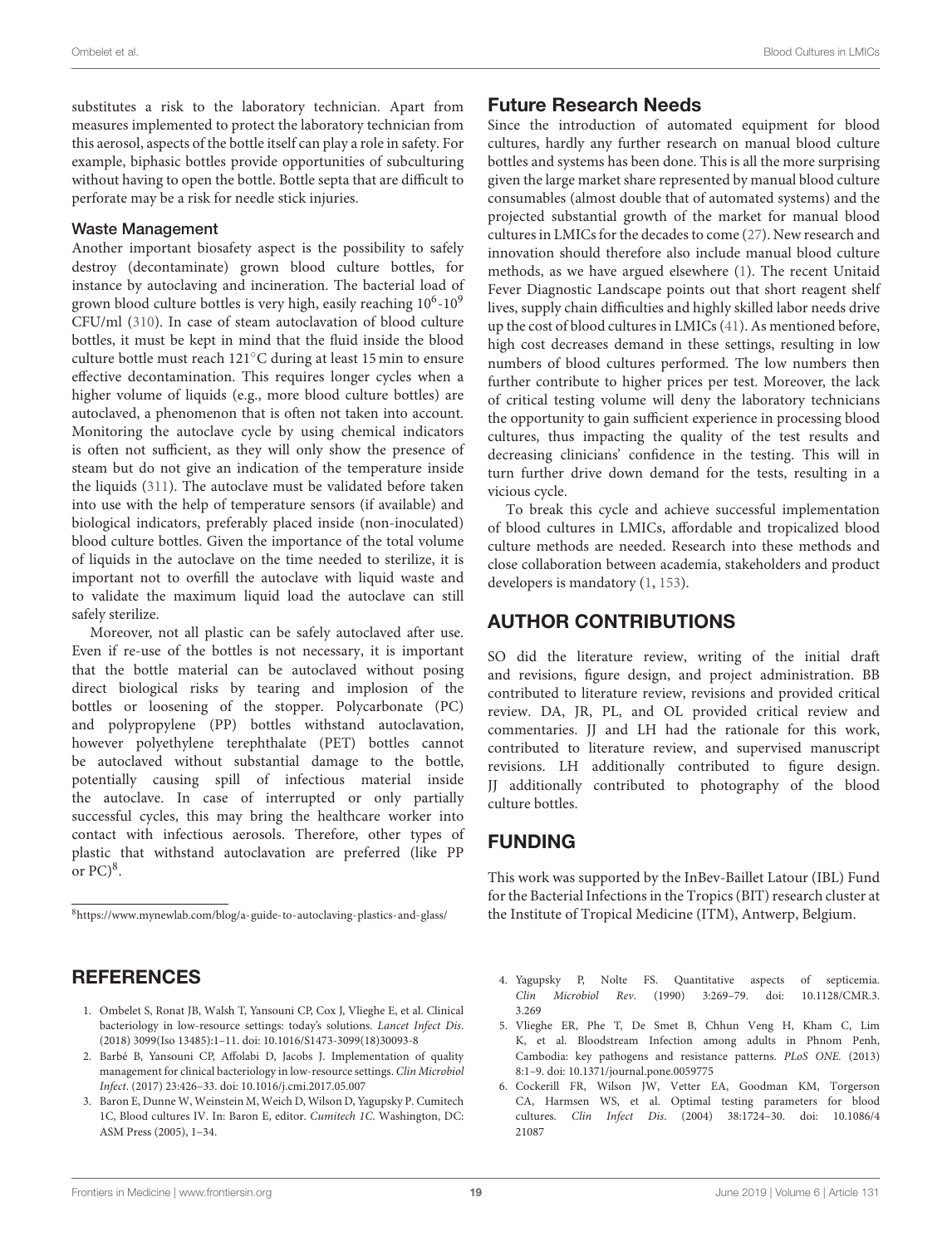substitutes a risk to the laboratory technician. Apart from measures implemented to protect the laboratory technician from this aerosol, aspects of the bottle itself can play a role in safety. For example, biphasic bottles provide opportunities of subculturing without having to open the bottle. Bottle septa that are difficult to perforate may be a risk for needle stick injuries.

#### Waste Management

Another important biosafety aspect is the possibility to safely destroy (decontaminate) grown blood culture bottles, for instance by autoclaving and incineration. The bacterial load of grown blood culture bottles is very high, easily reaching  $10^6$ - $10^9$ CFU/ml [\(310\)](#page-26-25). In case of steam autoclavation of blood culture bottles, it must be kept in mind that the fluid inside the blood culture bottle must reach 121◦C during at least 15 min to ensure effective decontamination. This requires longer cycles when a higher volume of liquids (e.g., more blood culture bottles) are autoclaved, a phenomenon that is often not taken into account. Monitoring the autoclave cycle by using chemical indicators is often not sufficient, as they will only show the presence of steam but do not give an indication of the temperature inside the liquids [\(311\)](#page-26-26). The autoclave must be validated before taken into use with the help of temperature sensors (if available) and biological indicators, preferably placed inside (non-inoculated) blood culture bottles. Given the importance of the total volume of liquids in the autoclave on the time needed to sterilize, it is important not to overfill the autoclave with liquid waste and to validate the maximum liquid load the autoclave can still safely sterilize.

Moreover, not all plastic can be safely autoclaved after use. Even if re-use of the bottles is not necessary, it is important that the bottle material can be autoclaved without posing direct biological risks by tearing and implosion of the bottles or loosening of the stopper. Polycarbonate (PC) and polypropylene (PP) bottles withstand autoclavation, however polyethylene terephthalate (PET) bottles cannot be autoclaved without substantial damage to the bottle, potentially causing spill of infectious material inside the autoclave. In case of interrupted or only partially successful cycles, this may bring the healthcare worker into contact with infectious aerosols. Therefore, other types of plastic that withstand autoclavation are preferred (like PP or  $PC)^8$  $PC)^8$ .

<span id="page-18-6"></span><sup>8</sup><https://www.mynewlab.com/blog/a-guide-to-autoclaving-plastics-and-glass/>

## **REFERENCES**

- <span id="page-18-0"></span>1. Ombelet S, Ronat JB, Walsh T, Yansouni CP, Cox J, Vlieghe E, et al. Clinical bacteriology in low-resource settings: today's solutions. Lancet Infect Dis. (2018) 3099(Iso 13485):1–11. doi: [10.1016/S1473-3099\(18\)30093-8](https://doi.org/10.1016/S1473-3099(18)30093-8)
- <span id="page-18-1"></span>2. Barbé B, Yansouni CP, Affolabi D, Jacobs J. Implementation of quality management for clinical bacteriology in low-resource settings. Clin Microbiol Infect. (2017) 23:426–33. doi: [10.1016/j.cmi.2017.05.007](https://doi.org/10.1016/j.cmi.2017.05.007)
- <span id="page-18-2"></span>3. Baron E, Dunne W, Weinstein M, Weich D, Wilson D, Yagupsky P. Cumitech 1C, Blood cultures IV. In: Baron E, editor. Cumitech 1C. Washington, DC: ASM Press (2005), 1–34.

## Future Research Needs

Since the introduction of automated equipment for blood cultures, hardly any further research on manual blood culture bottles and systems has been done. This is all the more surprising given the large market share represented by manual blood culture consumables (almost double that of automated systems) and the projected substantial growth of the market for manual blood cultures in LMICs for the decades to come [\(27\)](#page-19-16). New research and innovation should therefore also include manual blood culture methods, as we have argued elsewhere [\(1\)](#page-18-0). The recent Unitaid Fever Diagnostic Landscape points out that short reagent shelf lives, supply chain difficulties and highly skilled labor needs drive up the cost of blood cultures in LMICs [\(41\)](#page-19-29). As mentioned before, high cost decreases demand in these settings, resulting in low numbers of blood cultures performed. The low numbers then further contribute to higher prices per test. Moreover, the lack of critical testing volume will deny the laboratory technicians the opportunity to gain sufficient experience in processing blood cultures, thus impacting the quality of the test results and decreasing clinicians' confidence in the testing. This will in turn further drive down demand for the tests, resulting in a vicious cycle.

To break this cycle and achieve successful implementation of blood cultures in LMICs, affordable and tropicalized blood culture methods are needed. Research into these methods and close collaboration between academia, stakeholders and product developers is mandatory [\(1,](#page-18-0) [153\)](#page-22-22).

## AUTHOR CONTRIBUTIONS

SO did the literature review, writing of the initial draft and revisions, figure design, and project administration. BB contributed to literature review, revisions and provided critical review. DA, JR, PL, and OL provided critical review and commentaries. JJ and LH had the rationale for this work, contributed to literature review, and supervised manuscript revisions. LH additionally contributed to figure design. JJ additionally contributed to photography of the blood culture bottles.

## FUNDING

This work was supported by the InBev-Baillet Latour (IBL) Fund for the Bacterial Infections in the Tropics (BIT) research cluster at the Institute of Tropical Medicine (ITM), Antwerp, Belgium.

- <span id="page-18-3"></span>4. Yagupsky P, Nolte FS. Quantitative aspects of septicemia. Clin Microbiol Rev[. \(1990\) 3:269–79. doi: 10.1128/CMR.3.](https://doi.org/10.1128/CMR.3.3.269) 3.269
- <span id="page-18-4"></span>5. Vlieghe ER, Phe T, De Smet B, Chhun Veng H, Kham C, Lim K, et al. Bloodstream Infection among adults in Phnom Penh, Cambodia: key pathogens and resistance patterns. PLoS ONE. (2013) 8:1–9. doi: [10.1371/journal.pone.0059775](https://doi.org/10.1371/journal.pone.0059775)
- <span id="page-18-5"></span>6. Cockerill FR, Wilson JW, Vetter EA, Goodman KM, Torgerson CA, Harmsen WS, et al. Optimal testing parameters for blood cultures. Clin Infect Dis[. \(2004\) 38:1724–30. doi: 10.1086/4](https://doi.org/10.1086/421087) 21087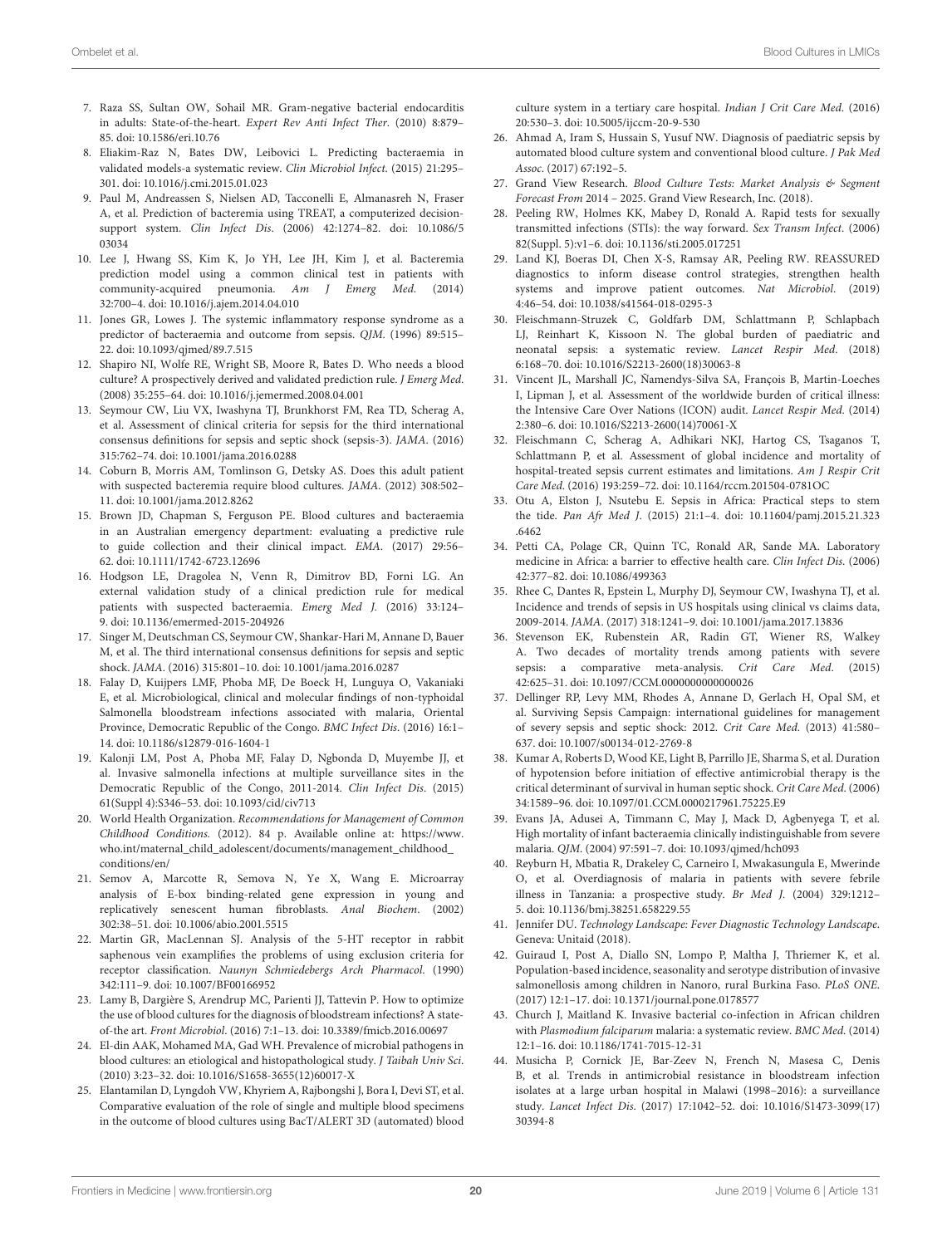- <span id="page-19-33"></span>7. Raza SS, Sultan OW, Sohail MR. Gram-negative bacterial endocarditis in adults: State-of-the-heart. Expert Rev Anti Infect Ther. (2010) 8:879– 85. doi: [10.1586/eri.10.76](https://doi.org/10.1586/eri.10.76)
- <span id="page-19-0"></span>8. Eliakim-Raz N, Bates DW, Leibovici L. Predicting bacteraemia in validated models-a systematic review. Clin Microbiol Infect. (2015) 21:295– 301. doi: [10.1016/j.cmi.2015.01.023](https://doi.org/10.1016/j.cmi.2015.01.023)
- <span id="page-19-1"></span>9. Paul M, Andreassen S, Nielsen AD, Tacconelli E, Almanasreh N, Fraser A, et al. Prediction of bacteremia using TREAT, a computerized decisionsupport system. Clin Infect Dis[. \(2006\) 42:1274–82. doi: 10.1086/5](https://doi.org/10.1086/503034) 03034
- <span id="page-19-2"></span>10. Lee J, Hwang SS, Kim K, Jo YH, Lee JH, Kim J, et al. Bacteremia prediction model using a common clinical test in patients with community-acquired pneumonia. Am J Emerg Med. (2014) 32:700–4. doi: [10.1016/j.ajem.2014.04.010](https://doi.org/10.1016/j.ajem.2014.04.010)
- <span id="page-19-3"></span>11. Jones GR, Lowes J. The systemic inflammatory response syndrome as a predictor of bacteraemia and outcome from sepsis. QJM. (1996) 89:515– 22. doi: [10.1093/qjmed/89.7.515](https://doi.org/10.1093/qjmed/89.7.515)
- <span id="page-19-4"></span>12. Shapiro NI, Wolfe RE, Wright SB, Moore R, Bates D. Who needs a blood culture? A prospectively derived and validated prediction rule. J Emerg Med. (2008) 35:255–64. doi: [10.1016/j.jemermed.2008.04.001](https://doi.org/10.1016/j.jemermed.2008.04.001)
- <span id="page-19-7"></span>13. Seymour CW, Liu VX, Iwashyna TJ, Brunkhorst FM, Rea TD, Scherag A, et al. Assessment of clinical criteria for sepsis for the third international consensus definitions for sepsis and septic shock (sepsis-3). JAMA. (2016) 315:762–74. doi: [10.1001/jama.2016.0288](https://doi.org/10.1001/jama.2016.0288)
- <span id="page-19-5"></span>14. Coburn B, Morris AM, Tomlinson G, Detsky AS. Does this adult patient with suspected bacteremia require blood cultures. JAMA. (2012) 308:502– 11. doi: [10.1001/jama.2012.8262](https://doi.org/10.1001/jama.2012.8262)
- 15. Brown JD, Chapman S, Ferguson PE. Blood cultures and bacteraemia in an Australian emergency department: evaluating a predictive rule to guide collection and their clinical impact. EMA. (2017) 29:56– 62. doi: [10.1111/1742-6723.12696](https://doi.org/10.1111/1742-6723.12696)
- <span id="page-19-6"></span>16. Hodgson LE, Dragolea N, Venn R, Dimitrov BD, Forni LG. An external validation study of a clinical prediction rule for medical patients with suspected bacteraemia. Emerg Med J. (2016) 33:124– 9. doi: [10.1136/emermed-2015-204926](https://doi.org/10.1136/emermed-2015-204926)
- <span id="page-19-8"></span>17. Singer M, Deutschman CS, Seymour CW, Shankar-Hari M, Annane D, Bauer M, et al. The third international consensus definitions for sepsis and septic shock. JAMA. (2016) 315:801–10. doi: [10.1001/jama.2016.0287](https://doi.org/10.1001/jama.2016.0287)
- <span id="page-19-9"></span>18. Falay D, Kuijpers LMF, Phoba MF, De Boeck H, Lunguya O, Vakaniaki E, et al. Microbiological, clinical and molecular findings of non-typhoidal Salmonella bloodstream infections associated with malaria, Oriental Province, Democratic Republic of the Congo. BMC Infect Dis. (2016) 16:1– 14. doi: [10.1186/s12879-016-1604-1](https://doi.org/10.1186/s12879-016-1604-1)
- <span id="page-19-10"></span>19. Kalonji LM, Post A, Phoba MF, Falay D, Ngbonda D, Muyembe JJ, et al. Invasive salmonella infections at multiple surveillance sites in the Democratic Republic of the Congo, 2011-2014. Clin Infect Dis. (2015) 61(Suppl 4):S346–53. doi: [10.1093/cid/civ713](https://doi.org/10.1093/cid/civ713)
- <span id="page-19-11"></span>20. World Health Organization. Recommendations for Management of Common Childhood Conditions. (2012). 84 p. Available online at: [https://www.](https://www.who.int/maternal_child_adolescent/documents/management_childhood_conditions/en/) [who.int/maternal\\_child\\_adolescent/documents/management\\_childhood\\_](https://www.who.int/maternal_child_adolescent/documents/management_childhood_conditions/en/) [conditions/en/](https://www.who.int/maternal_child_adolescent/documents/management_childhood_conditions/en/)
- 21. Semov A, Marcotte R, Semova N, Ye X, Wang E. Microarray analysis of E-box binding-related gene expression in young and replicatively senescent human fibroblasts. Anal Biochem. (2002) 302:38–51. doi: [10.1006/abio.2001.5515](https://doi.org/10.1006/abio.2001.5515)
- <span id="page-19-12"></span>22. Martin GR, MacLennan SJ. Analysis of the 5-HT receptor in rabbit saphenous vein examplifies the problems of using exclusion criteria for receptor classification. Naunyn Schmiedebergs Arch Pharmacol. (1990) 342:111–9. doi: [10.1007/BF00166952](https://doi.org/10.1007/BF00166952)
- <span id="page-19-13"></span>23. Lamy B, Dargière S, Arendrup MC, Parienti JJ, Tattevin P. How to optimize the use of blood cultures for the diagnosis of bloodstream infections? A stateof-the art. Front Microbiol. (2016) 7:1–13. doi: [10.3389/fmicb.2016.00697](https://doi.org/10.3389/fmicb.2016.00697)
- <span id="page-19-14"></span>24. El-din AAK, Mohamed MA, Gad WH. Prevalence of microbial pathogens in blood cultures: an etiological and histopathological study. J Taibah Univ Sci. (2010) 3:23–32. doi: [10.1016/S1658-3655\(12\)60017-X](https://doi.org/10.1016/S1658-3655(12)60017-X)
- 25. Elantamilan D, Lyngdoh VW, Khyriem A, Rajbongshi J, Bora I, Devi ST, et al. Comparative evaluation of the role of single and multiple blood specimens in the outcome of blood cultures using BacT/ALERT 3D (automated) blood

culture system in a tertiary care hospital. Indian J Crit Care Med. (2016) 20:530–3. doi: [10.5005/ijccm-20-9-530](https://doi.org/10.5005/ijccm-20-9-530)

- <span id="page-19-15"></span>26. Ahmad A, Iram S, Hussain S, Yusuf NW. Diagnosis of paediatric sepsis by automated blood culture system and conventional blood culture. J Pak Med Assoc. (2017) 67:192–5.
- <span id="page-19-16"></span>27. Grand View Research. Blood Culture Tests: Market Analysis & Segment Forecast From 2014 – 2025. Grand View Research, Inc. (2018).
- <span id="page-19-17"></span>28. Peeling RW, Holmes KK, Mabey D, Ronald A. Rapid tests for sexually transmitted infections (STIs): the way forward. Sex Transm Infect. (2006) 82(Suppl. 5):v1–6. doi: [10.1136/sti.2005.017251](https://doi.org/10.1136/sti.2005.017251)
- <span id="page-19-18"></span>29. Land KJ, Boeras DI, Chen X-S, Ramsay AR, Peeling RW. REASSURED diagnostics to inform disease control strategies, strengthen health systems and improve patient outcomes. Nat Microbiol. (2019) 4:46–54. doi: [10.1038/s41564-018-0295-3](https://doi.org/10.1038/s41564-018-0295-3)
- <span id="page-19-19"></span>30. Fleischmann-Struzek C, Goldfarb DM, Schlattmann P, Schlapbach LJ, Reinhart K, Kissoon N. The global burden of paediatric and neonatal sepsis: a systematic review. Lancet Respir Med. (2018) 6:168–70. doi: [10.1016/S2213-2600\(18\)30063-8](https://doi.org/10.1016/S2213-2600(18)30063-8)
- <span id="page-19-20"></span>31. Vincent JL, Marshall JC, Ñamendys-Silva SA, François B, Martin-Loeches I, Lipman J, et al. Assessment of the worldwide burden of critical illness: the Intensive Care Over Nations (ICON) audit. Lancet Respir Med. (2014) 2:380–6. doi: [10.1016/S2213-2600\(14\)70061-X](https://doi.org/10.1016/S2213-2600(14)70061-X)
- <span id="page-19-22"></span>32. Fleischmann C, Scherag A, Adhikari NKJ, Hartog CS, Tsaganos T, Schlattmann P, et al. Assessment of global incidence and mortality of hospital-treated sepsis current estimates and limitations. Am J Respir Crit Care Med. (2016) 193:259–72. doi: [10.1164/rccm.201504-0781OC](https://doi.org/10.1164/rccm.201504-0781OC)
- 33. Otu A, Elston J, Nsutebu E. Sepsis in Africa: Practical steps to stem the tide. Pan Afr Med J[. \(2015\) 21:1–4. doi: 10.11604/pamj.2015.21.323](https://doi.org/10.11604/pamj.2015.21.323.6462) .6462
- <span id="page-19-21"></span>34. Petti CA, Polage CR, Quinn TC, Ronald AR, Sande MA. Laboratory medicine in Africa: a barrier to effective health care. Clin Infect Dis. (2006) 42:377–82. doi: [10.1086/499363](https://doi.org/10.1086/499363)
- <span id="page-19-23"></span>35. Rhee C, Dantes R, Epstein L, Murphy DJ, Seymour CW, Iwashyna TJ, et al. Incidence and trends of sepsis in US hospitals using clinical vs claims data, 2009-2014. JAMA. (2017) 318:1241–9. doi: [10.1001/jama.2017.13836](https://doi.org/10.1001/jama.2017.13836)
- <span id="page-19-24"></span>36. Stevenson EK, Rubenstein AR, Radin GT, Wiener RS, Walkey A. Two decades of mortality trends among patients with severe sepsis: a comparative meta-analysis. Crit Care Med. (2015) 42:625–31. doi: [10.1097/CCM.0000000000000026](https://doi.org/10.1097/CCM.0000000000000026)
- <span id="page-19-25"></span>37. Dellinger RP, Levy MM, Rhodes A, Annane D, Gerlach H, Opal SM, et al. Surviving Sepsis Campaign: international guidelines for management of severy sepsis and septic shock: 2012. Crit Care Med. (2013) 41:580– 637. doi: [10.1007/s00134-012-2769-8](https://doi.org/10.1007/s00134-012-2769-8)
- <span id="page-19-26"></span>38. Kumar A, Roberts D, Wood KE, Light B, Parrillo JE, Sharma S, et al. Duration of hypotension before initiation of effective antimicrobial therapy is the critical determinant of survival in human septic shock. Crit Care Med. (2006) 34:1589–96. doi: [10.1097/01.CCM.0000217961.75225.E9](https://doi.org/10.1097/01.CCM.0000217961.75225.E9)
- <span id="page-19-27"></span>39. Evans JA, Adusei A, Timmann C, May J, Mack D, Agbenyega T, et al. High mortality of infant bacteraemia clinically indistinguishable from severe malaria. QJM. (2004) 97:591–7. doi: [10.1093/qjmed/hch093](https://doi.org/10.1093/qjmed/hch093)
- <span id="page-19-28"></span>40. Reyburn H, Mbatia R, Drakeley C, Carneiro I, Mwakasungula E, Mwerinde O, et al. Overdiagnosis of malaria in patients with severe febrile illness in Tanzania: a prospective study. Br Med J. (2004) 329:1212– 5. doi: [10.1136/bmj.38251.658229.55](https://doi.org/10.1136/bmj.38251.658229.55)
- <span id="page-19-29"></span>41. Jennifer DU. Technology Landscape: Fever Diagnostic Technology Landscape. Geneva: Unitaid (2018).
- <span id="page-19-30"></span>42. Guiraud I, Post A, Diallo SN, Lompo P, Maltha J, Thriemer K, et al. Population-based incidence, seasonality and serotype distribution of invasive salmonellosis among children in Nanoro, rural Burkina Faso. PLoS ONE. (2017) 12:1–17. doi: [10.1371/journal.pone.0178577](https://doi.org/10.1371/journal.pone.0178577)
- <span id="page-19-31"></span>43. Church J, Maitland K. Invasive bacterial co-infection in African children with Plasmodium falciparum malaria: a systematic review. BMC Med. (2014) 12:1–16. doi: [10.1186/1741-7015-12-31](https://doi.org/10.1186/1741-7015-12-31)
- <span id="page-19-32"></span>44. Musicha P, Cornick JE, Bar-Zeev N, French N, Masesa C, Denis B, et al. Trends in antimicrobial resistance in bloodstream infection isolates at a large urban hospital in Malawi (1998–2016): a surveillance study. Lancet Infect Dis[. \(2017\) 17:1042–52. doi: 10.1016/S1473-3099\(17\)](https://doi.org/10.1016/S1473-3099(17)30394-8) 30394-8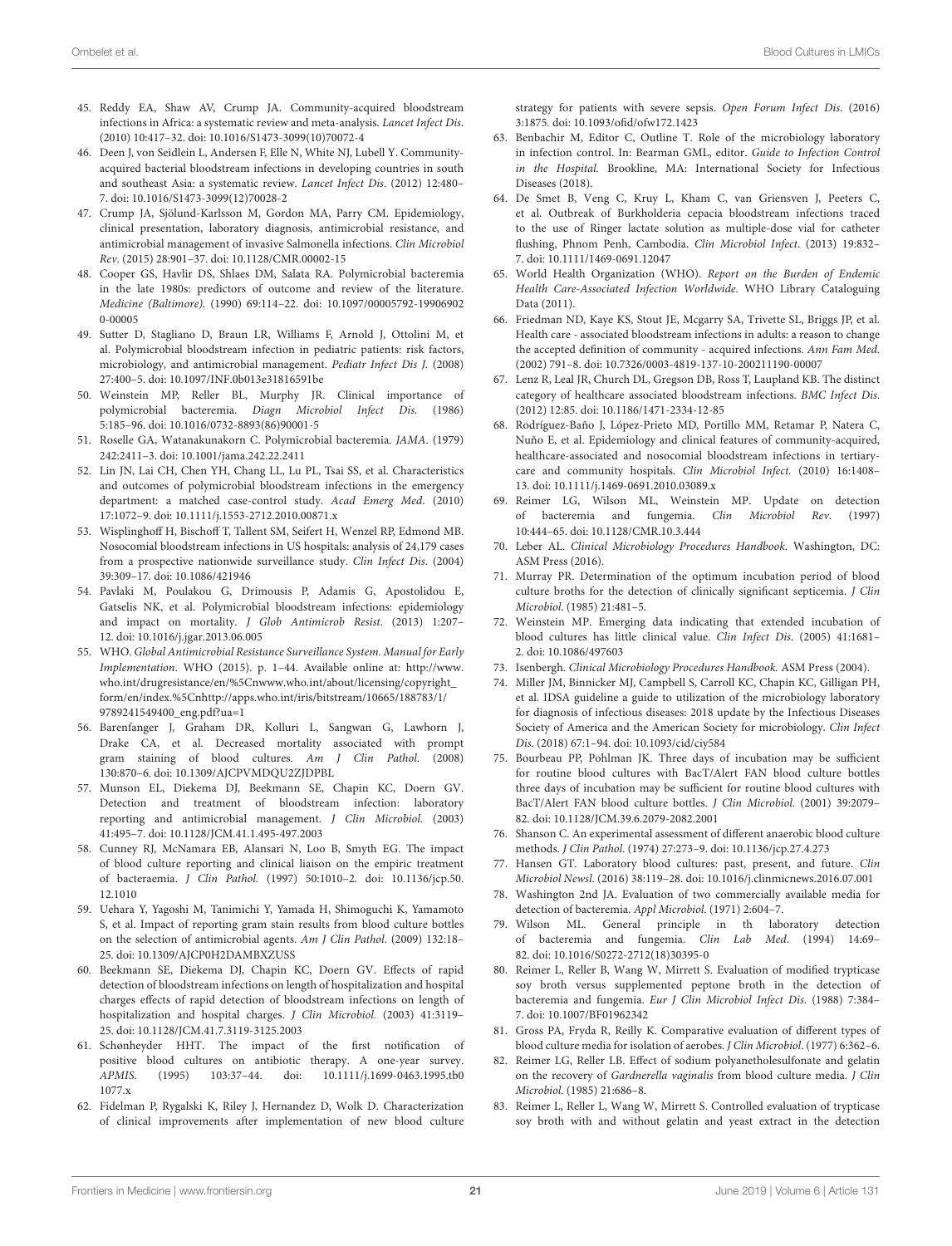- <span id="page-20-1"></span>45. Reddy EA, Shaw AV, Crump JA. Community-acquired bloodstream infections in Africa: a systematic review and meta-analysis. Lancet Infect Dis. (2010) 10:417–32. doi: [10.1016/S1473-3099\(10\)70072-4](https://doi.org/10.1016/S1473-3099(10)70072-4)
- <span id="page-20-2"></span>46. Deen J, von Seidlein L, Andersen F, Elle N, White NJ, Lubell Y. Communityacquired bacterial bloodstream infections in developing countries in south and southeast Asia: a systematic review. Lancet Infect Dis. (2012) 12:480– 7. doi: [10.1016/S1473-3099\(12\)70028-2](https://doi.org/10.1016/S1473-3099(12)70028-2)
- <span id="page-20-0"></span>47. Crump JA, Sjölund-Karlsson M, Gordon MA, Parry CM. Epidemiology, clinical presentation, laboratory diagnosis, antimicrobial resistance, and antimicrobial management of invasive Salmonella infections. Clin Microbiol Rev. (2015) 28:901–37. doi: [10.1128/CMR.00002-15](https://doi.org/10.1128/CMR.00002-15)
- <span id="page-20-3"></span>48. Cooper GS, Havlir DS, Shlaes DM, Salata RA. Polymicrobial bacteremia in the late 1980s: predictors of outcome and review of the literature. Medicine (Baltimore). [\(1990\) 69:114–22. doi: 10.1097/00005792-19906902](https://doi.org/10.1097/00005792-199069020-00005) 0-00005
- 49. Sutter D, Stagliano D, Braun LR, Williams F, Arnold J, Ottolini M, et al. Polymicrobial bloodstream infection in pediatric patients: risk factors, microbiology, and antimicrobial management. Pediatr Infect Dis J. (2008) 27:400–5. doi: [10.1097/INF.0b013e31816591be](https://doi.org/10.1097/INF.0b013e31816591be)
- 50. Weinstein MP, Reller BL, Murphy JR. Clinical importance of polymicrobial bacteremia. Diagn Microbiol Infect Dis. (1986) 5:185–96. doi: [10.1016/0732-8893\(86\)90001-5](https://doi.org/10.1016/0732-8893(86)90001-5)
- 51. Roselle GA, Watanakunakorn C. Polymicrobial bacteremia. JAMA. (1979) 242:2411–3. doi: [10.1001/jama.242.22.2411](https://doi.org/10.1001/jama.242.22.2411)
- 52. Lin JN, Lai CH, Chen YH, Chang LL, Lu PL, Tsai SS, et al. Characteristics and outcomes of polymicrobial bloodstream infections in the emergency department: a matched case-control study. Acad Emerg Med. (2010) 17:1072–9. doi: [10.1111/j.1553-2712.2010.00871.x](https://doi.org/10.1111/j.1553-2712.2010.00871.x)
- 53. Wisplinghoff H, Bischoff T, Tallent SM, Seifert H, Wenzel RP, Edmond MB. Nosocomial bloodstream infections in US hospitals: analysis of 24,179 cases from a prospective nationwide surveillance study. Clin Infect Dis. (2004) 39:309–17. doi: [10.1086/421946](https://doi.org/10.1086/421946)
- <span id="page-20-4"></span>54. Pavlaki M, Poulakou G, Drimousis P, Adamis G, Apostolidou E, Gatselis NK, et al. Polymicrobial bloodstream infections: epidemiology and impact on mortality. J Glob Antimicrob Resist. (2013) 1:207– 12. doi: [10.1016/j.jgar.2013.06.005](https://doi.org/10.1016/j.jgar.2013.06.005)
- <span id="page-20-5"></span>55. WHO. Global Antimicrobial Resistance Surveillance System. Manual for Early Implementation. WHO (2015). p. 1–44. Available online at: [http://www.](http://www.who.int/drugresistance/en/%5Cnwww.who.int/about/licensing/copyright_form/en/index.%5Cnhttp://apps.who.int/iris/bitstream/10665/188783/1/9789241549400_eng.pdf?ua=1) [who.int/drugresistance/en/%5Cnwww.who.int/about/licensing/copyright\\_](http://www.who.int/drugresistance/en/%5Cnwww.who.int/about/licensing/copyright_form/en/index.%5Cnhttp://apps.who.int/iris/bitstream/10665/188783/1/9789241549400_eng.pdf?ua=1) [form/en/index.%5Cnhttp://apps.who.int/iris/bitstream/10665/188783/1/](http://www.who.int/drugresistance/en/%5Cnwww.who.int/about/licensing/copyright_form/en/index.%5Cnhttp://apps.who.int/iris/bitstream/10665/188783/1/9789241549400_eng.pdf?ua=1) [9789241549400\\_eng.pdf?ua=1](http://www.who.int/drugresistance/en/%5Cnwww.who.int/about/licensing/copyright_form/en/index.%5Cnhttp://apps.who.int/iris/bitstream/10665/188783/1/9789241549400_eng.pdf?ua=1)
- <span id="page-20-6"></span>56. Barenfanger J, Graham DR, Kolluri L, Sangwan G, Lawhorn J, Drake CA, et al. Decreased mortality associated with prompt gram staining of blood cultures. Am J Clin Pathol. (2008) 130:870–6. doi: [10.1309/AJCPVMDQU2ZJDPBL](https://doi.org/10.1309/AJCPVMDQU2ZJDPBL)
- 57. Munson EL, Diekema DJ, Beekmann SE, Chapin KC, Doern GV. Detection and treatment of bloodstream infection: laboratory reporting and antimicrobial management. J Clin Microbiol. (2003) 41:495–7. doi: [10.1128/JCM.41.1.495-497.2003](https://doi.org/10.1128/JCM.41.1.495-497.2003)
- <span id="page-20-27"></span>58. Cunney RJ, McNamara EB, Alansari N, Loo B, Smyth EG. The impact of blood culture reporting and clinical liaison on the empiric treatment of bacteraemia. J Clin Pathol. [\(1997\) 50:1010–2. doi: 10.1136/jcp.50.](https://doi.org/10.1136/jcp.50.12.1010) 12.1010
- <span id="page-20-28"></span>59. Uehara Y, Yagoshi M, Tanimichi Y, Yamada H, Shimoguchi K, Yamamoto S, et al. Impact of reporting gram stain results from blood culture bottles on the selection of antimicrobial agents. Am J Clin Pathol. (2009) 132:18– 25. doi: [10.1309/AJCP0H2DAMBXZUSS](https://doi.org/10.1309/AJCP0H2DAMBXZUSS)
- 60. Beekmann SE, Diekema DJ, Chapin KC, Doern GV. Effects of rapid detection of bloodstream infections on length of hospitalization and hospital charges effects of rapid detection of bloodstream infections on length of hospitalization and hospital charges. J Clin Microbiol. (2003) 41:3119– 25. doi: [10.1128/JCM.41.7.3119-3125.2003](https://doi.org/10.1128/JCM.41.7.3119-3125.2003)
- 61. Schønheyder HHT. The impact of the first notification of positive blood cultures on antibiotic therapy. A one-year survey. APMIS[. \(1995\) 103:37–44. doi: 10.1111/j.1699-0463.1995.tb0](https://doi.org/10.1111/j.1699-0463.1995.tb01077.x) 1077.x
- <span id="page-20-7"></span>62. Fidelman P, Rygalski K, Riley J, Hernandez D, Wolk D. Characterization of clinical improvements after implementation of new blood culture

strategy for patients with severe sepsis. Open Forum Infect Dis. (2016) 3:1875. doi: [10.1093/ofid/ofw172.1423](https://doi.org/10.1093/ofid/ofw172.1423)

- <span id="page-20-8"></span>63. Benbachir M, Editor C, Outline T. Role of the microbiology laboratory in infection control. In: Bearman GML, editor. Guide to Infection Control in the Hospital. Brookline, MA: International Society for Infectious Diseases (2018).
- <span id="page-20-9"></span>64. De Smet B, Veng C, Kruy L, Kham C, van Griensven J, Peeters C, et al. Outbreak of Burkholderia cepacia bloodstream infections traced to the use of Ringer lactate solution as multiple-dose vial for catheter flushing, Phnom Penh, Cambodia. Clin Microbiol Infect. (2013) 19:832– 7. doi: [10.1111/1469-0691.12047](https://doi.org/10.1111/1469-0691.12047)
- <span id="page-20-10"></span>65. World Health Organization (WHO). Report on the Burden of Endemic Health Care-Associated Infection Worldwide. WHO Library Cataloguing Data (2011).
- <span id="page-20-12"></span>66. Friedman ND, Kaye KS, Stout JE, Mcgarry SA, Trivette SL, Briggs JP, et al. Health care - associated bloodstream infections in adults: a reason to change the accepted definition of community - acquired infections. Ann Fam Med. (2002) 791–8. doi: [10.7326/0003-4819-137-10-200211190-00007](https://doi.org/10.7326/0003-4819-137-10-200211190-00007)
- 67. Lenz R, Leal JR, Church DL, Gregson DB, Ross T, Laupland KB. The distinct category of healthcare associated bloodstream infections. BMC Infect Dis. (2012) 12:85. doi: [10.1186/1471-2334-12-85](https://doi.org/10.1186/1471-2334-12-85)
- <span id="page-20-11"></span>68. Rodríguez-Baño J, López-Prieto MD, Portillo MM, Retamar P, Natera C, Nuño E, et al. Epidemiology and clinical features of community-acquired, healthcare-associated and nosocomial bloodstream infections in tertiarycare and community hospitals. Clin Microbiol Infect. (2010) 16:1408– 13. doi: [10.1111/j.1469-0691.2010.03089.x](https://doi.org/10.1111/j.1469-0691.2010.03089.x)
- <span id="page-20-13"></span>69. Reimer LG, Wilson ML, Weinstein MP. Update on detection of bacteremia and fungemia. Clin Microbiol Rev. (1997) 10:444–65. doi: [10.1128/CMR.10.3.444](https://doi.org/10.1128/CMR.10.3.444)
- <span id="page-20-14"></span>70. Leber AL. Clinical Microbiology Procedures Handbook. Washington, DC: ASM Press (2016).
- <span id="page-20-15"></span>71. Murray PR. Determination of the optimum incubation period of blood culture broths for the detection of clinically significant septicemia. J Clin Microbiol. (1985) 21:481–5.
- <span id="page-20-16"></span>72. Weinstein MP. Emerging data indicating that extended incubation of blood cultures has little clinical value. Clin Infect Dis. (2005) 41:1681– 2. doi: [10.1086/497603](https://doi.org/10.1086/497603)
- <span id="page-20-17"></span>73. Isenbergh. Clinical Microbiology Procedures Handbook. ASM Press (2004).
- <span id="page-20-18"></span>74. Miller JM, Binnicker MJ, Campbell S, Carroll KC, Chapin KC, Gilligan PH, et al. IDSA guideline a guide to utilization of the microbiology laboratory for diagnosis of infectious diseases: 2018 update by the Infectious Diseases Society of America and the American Society for microbiology. Clin Infect Dis. (2018) 67:1–94. doi: [10.1093/cid/ciy584](https://doi.org/10.1093/cid/ciy584)
- <span id="page-20-19"></span>75. Bourbeau PP, Pohlman JK. Three days of incubation may be sufficient for routine blood cultures with BacT/Alert FAN blood culture bottles three days of incubation may be sufficient for routine blood cultures with BacT/Alert FAN blood culture bottles. J Clin Microbiol. (2001) 39:2079– 82. doi: [10.1128/JCM.39.6.2079-2082.2001](https://doi.org/10.1128/JCM.39.6.2079-2082.2001)
- <span id="page-20-20"></span>76. Shanson C. An experimental assessment of different anaerobic blood culture methods. J Clin Pathol. (1974) 27:273–9. doi: [10.1136/jcp.27.4.273](https://doi.org/10.1136/jcp.27.4.273)
- <span id="page-20-21"></span>77. Hansen GT. Laboratory blood cultures: past, present, and future. Clin Microbiol Newsl. (2016) 38:119–28. doi: [10.1016/j.clinmicnews.2016.07.001](https://doi.org/10.1016/j.clinmicnews.2016.07.001)
- <span id="page-20-22"></span>78. Washington 2nd JA. Evaluation of two commercially available media for detection of bacteremia. Appl Microbiol. (1971) 2:604–7.
- <span id="page-20-23"></span>79. Wilson ML. General principle in th laboratory detection of bacteremia and fungemia. Clin Lab Med. (1994) 14:69– 82. doi: [10.1016/S0272-2712\(18\)30395-0](https://doi.org/10.1016/S0272-2712(18)30395-0)
- <span id="page-20-24"></span>80. Reimer L, Reller B, Wang W, Mirrett S. Evaluation of modified trypticase soy broth versus supplemented peptone broth in the detection of bacteremia and fungemia. Eur J Clin Microbiol Infect Dis. (1988) 7:384– 7. doi: [10.1007/BF01962342](https://doi.org/10.1007/BF01962342)
- <span id="page-20-25"></span>81. Gross PA, Fryda R, Reilly K. Comparative evaluation of different types of blood culture media for isolation of aerobes. J Clin Microbiol. (1977) 6:362–6.
- <span id="page-20-26"></span>82. Reimer LG, Reller LB. Effect of sodium polyanetholesulfonate and gelatin on the recovery of Gardnerella vaginalis from blood culture media. J Clin Microbiol. (1985) 21:686–8.
- 83. Reimer L, Reller L, Wang W, Mirrett S. Controlled evaluation of trypticase soy broth with and without gelatin and yeast extract in the detection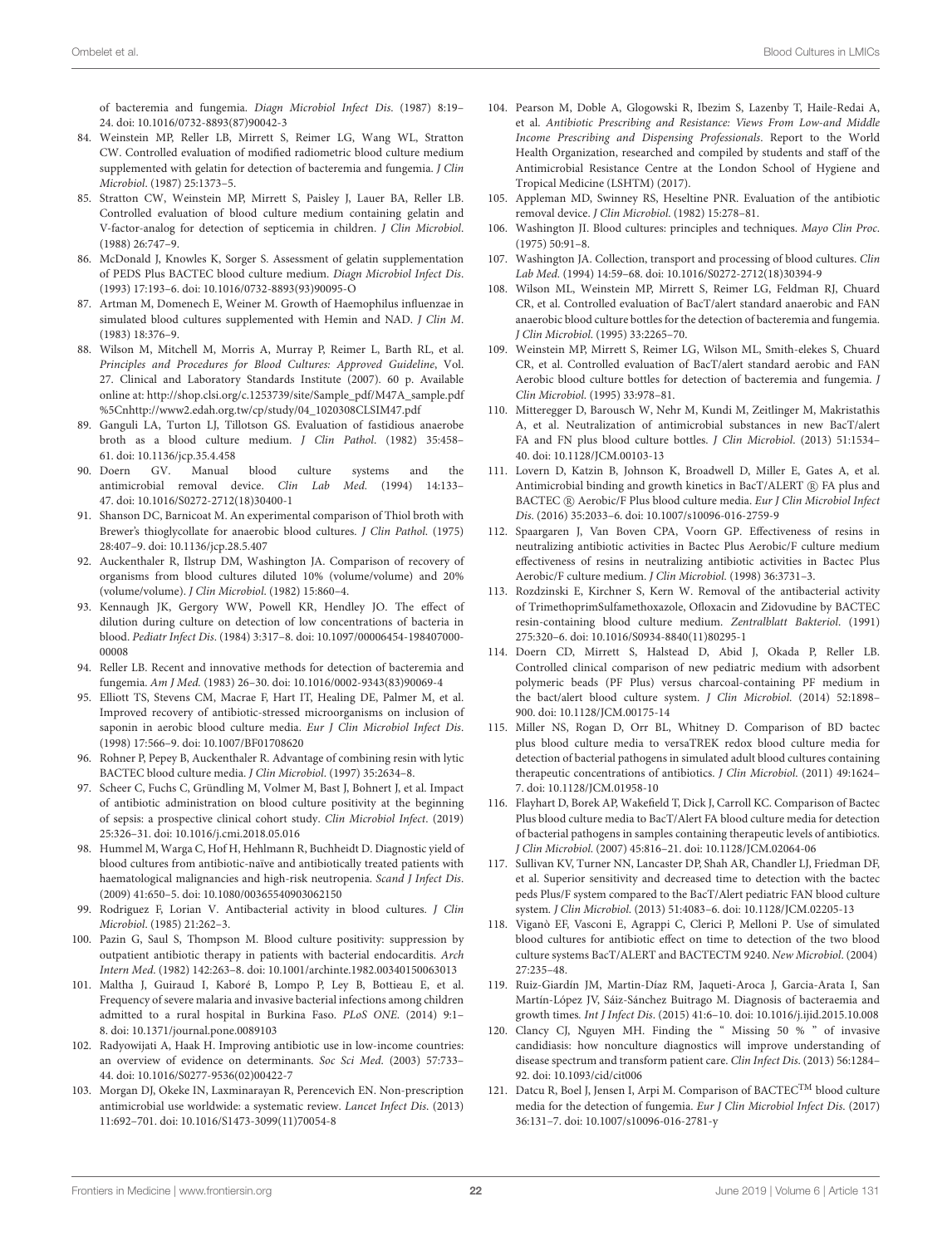of bacteremia and fungemia. Diagn Microbiol Infect Dis. (1987) 8:19– 24. doi: [10.1016/0732-8893\(87\)90042-3](https://doi.org/10.1016/0732-8893(87)90042-3)

- 84. Weinstein MP, Reller LB, Mirrett S, Reimer LG, Wang WL, Stratton CW. Controlled evaluation of modified radiometric blood culture medium supplemented with gelatin for detection of bacteremia and fungemia. J Clin Microbiol. (1987) 25:1373–5.
- 85. Stratton CW, Weinstein MP, Mirrett S, Paisley J, Lauer BA, Reller LB. Controlled evaluation of blood culture medium containing gelatin and V-factor-analog for detection of septicemia in children. J Clin Microbiol. (1988) 26:747–9.
- <span id="page-21-1"></span>86. McDonald J, Knowles K, Sorger S. Assessment of gelatin supplementation of PEDS Plus BACTEC blood culture medium. Diagn Microbiol Infect Dis. (1993) 17:193–6. doi: [10.1016/0732-8893\(93\)90095-O](https://doi.org/10.1016/0732-8893(93)90095-O)
- <span id="page-21-2"></span>87. Artman M, Domenech E, Weiner M. Growth of Haemophilus influenzae in simulated blood cultures supplemented with Hemin and NAD. J Clin M. (1983) 18:376–9.
- <span id="page-21-0"></span>88. Wilson M, Mitchell M, Morris A, Murray P, Reimer L, Barth RL, et al. Principles and Procedures for Blood Cultures: Approved Guideline, Vol. 27. Clinical and Laboratory Standards Institute (2007). 60 p. Available online at: [http://shop.clsi.org/c.1253739/site/Sample\\_pdf/M47A\\_sample.pdf](http://shop.clsi.org/c.1253739/site/Sample_pdf/M47A_sample.pdf%5Cnhttp://www2.edah.org.tw/cp/study/04_1020308CLSIM47.pdf) [%5Cnhttp://www2.edah.org.tw/cp/study/04\\_1020308CLSIM47.pdf](http://shop.clsi.org/c.1253739/site/Sample_pdf/M47A_sample.pdf%5Cnhttp://www2.edah.org.tw/cp/study/04_1020308CLSIM47.pdf)
- <span id="page-21-3"></span>89. Ganguli LA, Turton LJ, Tillotson GS. Evaluation of fastidious anaerobe broth as a blood culture medium. J Clin Pathol. (1982) 35:458– 61. doi: [10.1136/jcp.35.4.458](https://doi.org/10.1136/jcp.35.4.458)
- <span id="page-21-20"></span>90. Doern GV. Manual blood culture systems and the antimicrobial removal device. Clin Lab Med. (1994) 14:133– 47. doi: [10.1016/S0272-2712\(18\)30400-1](https://doi.org/10.1016/S0272-2712(18)30400-1)
- <span id="page-21-4"></span>91. Shanson DC, Barnicoat M. An experimental comparison of Thiol broth with Brewer's thioglycollate for anaerobic blood cultures. J Clin Pathol. (1975) 28:407–9. doi: [10.1136/jcp.28.5.407](https://doi.org/10.1136/jcp.28.5.407)
- <span id="page-21-5"></span>92. Auckenthaler R, Ilstrup DM, Washington JA. Comparison of recovery of organisms from blood cultures diluted 10% (volume/volume) and 20% (volume/volume). J Clin Microbiol. (1982) 15:860–4.
- <span id="page-21-6"></span>93. Kennaugh JK, Gergory WW, Powell KR, Hendley JO. The effect of dilution during culture on detection of low concentrations of bacteria in blood. Pediatr Infect Dis[. \(1984\) 3:317–8. doi: 10.1097/00006454-198407000-](https://doi.org/10.1097/00006454-198407000-00008) 00008
- <span id="page-21-7"></span>94. Reller LB. Recent and innovative methods for detection of bacteremia and fungemia. Am J Med. (1983) 26–30. doi: [10.1016/0002-9343\(83\)90069-4](https://doi.org/10.1016/0002-9343(83)90069-4)
- <span id="page-21-8"></span>95. Elliott TS, Stevens CM, Macrae F, Hart IT, Healing DE, Palmer M, et al. Improved recovery of antibiotic-stressed microorganisms on inclusion of saponin in aerobic blood culture media. Eur J Clin Microbiol Infect Dis. (1998) 17:566–9. doi: [10.1007/BF01708620](https://doi.org/10.1007/BF01708620)
- <span id="page-21-9"></span>96. Rohner P, Pepey B, Auckenthaler R. Advantage of combining resin with lytic BACTEC blood culture media. J Clin Microbiol. (1997) 35:2634–8.
- <span id="page-21-10"></span>97. Scheer C, Fuchs C, Gründling M, Volmer M, Bast J, Bohnert J, et al. Impact of antibiotic administration on blood culture positivity at the beginning of sepsis: a prospective clinical cohort study. Clin Microbiol Infect. (2019) 25:326–31. doi: [10.1016/j.cmi.2018.05.016](https://doi.org/10.1016/j.cmi.2018.05.016)
- 98. Hummel M, Warga C, Hof H, Hehlmann R, Buchheidt D. Diagnostic yield of blood cultures from antibiotic-naïve and antibiotically treated patients with haematological malignancies and high-risk neutropenia. Scand J Infect Dis. (2009) 41:650–5. doi: [10.1080/00365540903062150](https://doi.org/10.1080/00365540903062150)
- 99. Rodriguez F, Lorian V. Antibacterial activity in blood cultures. J Clin Microbiol. (1985) 21:262–3.
- <span id="page-21-11"></span>100. Pazin G, Saul S, Thompson M. Blood culture positivity: suppression by outpatient antibiotic therapy in patients with bacterial endocarditis. Arch Intern Med. (1982) 142:263–8. doi: [10.1001/archinte.1982.00340150063013](https://doi.org/10.1001/archinte.1982.00340150063013)
- <span id="page-21-12"></span>101. Maltha J, Guiraud I, Kaboré B, Lompo P, Ley B, Bottieau E, et al. Frequency of severe malaria and invasive bacterial infections among children admitted to a rural hospital in Burkina Faso. PLoS ONE. (2014) 9:1– 8. doi: [10.1371/journal.pone.0089103](https://doi.org/10.1371/journal.pone.0089103)
- <span id="page-21-13"></span>102. Radyowijati A, Haak H. Improving antibiotic use in low-income countries: an overview of evidence on determinants. Soc Sci Med. (2003) 57:733– 44. doi: [10.1016/S0277-9536\(02\)00422-7](https://doi.org/10.1016/S0277-9536(02)00422-7)
- 103. Morgan DJ, Okeke IN, Laxminarayan R, Perencevich EN. Non-prescription antimicrobial use worldwide: a systematic review. Lancet Infect Dis. (2013) 11:692–701. doi: [10.1016/S1473-3099\(11\)70054-8](https://doi.org/10.1016/S1473-3099(11)70054-8)
- <span id="page-21-14"></span>104. Pearson M, Doble A, Glogowski R, Ibezim S, Lazenby T, Haile-Redai A, et al. Antibiotic Prescribing and Resistance: Views From Low-and Middle Income Prescribing and Dispensing Professionals. Report to the World Health Organization, researched and compiled by students and staff of the Antimicrobial Resistance Centre at the London School of Hygiene and Tropical Medicine (LSHTM) (2017).
- <span id="page-21-15"></span>105. Appleman MD, Swinney RS, Heseltine PNR. Evaluation of the antibiotic removal device. J Clin Microbiol. (1982) 15:278–81.
- <span id="page-21-16"></span>106. Washington JI. Blood cultures: principles and techniques. Mayo Clin Proc. (1975) 50:91–8.
- 107. Washington JA. Collection, transport and processing of blood cultures. Clin Lab Med. (1994) 14:59–68. doi: [10.1016/S0272-2712\(18\)30394-9](https://doi.org/10.1016/S0272-2712(18)30394-9)
- 108. Wilson ML, Weinstein MP, Mirrett S, Reimer LG, Feldman RJ, Chuard CR, et al. Controlled evaluation of BacT/alert standard anaerobic and FAN anaerobic blood culture bottles for the detection of bacteremia and fungemia. J Clin Microbiol. (1995) 33:2265–70.
- <span id="page-21-17"></span>109. Weinstein MP, Mirrett S, Reimer LG, Wilson ML, Smith-elekes S, Chuard CR, et al. Controlled evaluation of BacT/alert standard aerobic and FAN Aerobic blood culture bottles for detection of bacteremia and fungemia. J Clin Microbiol. (1995) 33:978–81.
- <span id="page-21-18"></span>110. Mitteregger D, Barousch W, Nehr M, Kundi M, Zeitlinger M, Makristathis A, et al. Neutralization of antimicrobial substances in new BacT/alert FA and FN plus blood culture bottles. J Clin Microbiol. (2013) 51:1534– 40. doi: [10.1128/JCM.00103-13](https://doi.org/10.1128/JCM.00103-13)
- 111. Lovern D, Katzin B, Johnson K, Broadwell D, Miller E, Gates A, et al. Antimicrobial binding and growth kinetics in BacT/ALERT (R) FA plus and BACTEC R Aerobic/F Plus blood culture media. Eur J Clin Microbiol Infect Dis. (2016) 35:2033–6. doi: [10.1007/s10096-016-2759-9](https://doi.org/10.1007/s10096-016-2759-9)
- 112. Spaargaren J, Van Boven CPA, Voorn GP. Effectiveness of resins in neutralizing antibiotic activities in Bactec Plus Aerobic/F culture medium effectiveness of resins in neutralizing antibiotic activities in Bactec Plus Aerobic/F culture medium. J Clin Microbiol. (1998) 36:3731–3.
- <span id="page-21-19"></span>113. Rozdzinski E, Kirchner S, Kern W. Removal of the antibacterial activity of TrimethoprimSulfamethoxazole, Ofloxacin and Zidovudine by BACTEC resin-containing blood culture medium. Zentralblatt Bakteriol. (1991) 275:320–6. doi: [10.1016/S0934-8840\(11\)80295-1](https://doi.org/10.1016/S0934-8840(11)80295-1)
- <span id="page-21-21"></span>114. Doern CD, Mirrett S, Halstead D, Abid J, Okada P, Reller LB. Controlled clinical comparison of new pediatric medium with adsorbent polymeric beads (PF Plus) versus charcoal-containing PF medium in the bact/alert blood culture system. J Clin Microbiol. (2014) 52:1898– 900. doi: [10.1128/JCM.00175-14](https://doi.org/10.1128/JCM.00175-14)
- 115. Miller NS, Rogan D, Orr BL, Whitney D. Comparison of BD bactec plus blood culture media to versaTREK redox blood culture media for detection of bacterial pathogens in simulated adult blood cultures containing therapeutic concentrations of antibiotics. J Clin Microbiol. (2011) 49:1624– 7. doi: [10.1128/JCM.01958-10](https://doi.org/10.1128/JCM.01958-10)
- 116. Flayhart D, Borek AP, Wakefield T, Dick J, Carroll KC. Comparison of Bactec Plus blood culture media to BacT/Alert FA blood culture media for detection of bacterial pathogens in samples containing therapeutic levels of antibiotics. J Clin Microbiol. (2007) 45:816–21. doi: [10.1128/JCM.02064-06](https://doi.org/10.1128/JCM.02064-06)
- 117. Sullivan KV, Turner NN, Lancaster DP, Shah AR, Chandler LJ, Friedman DF, et al. Superior sensitivity and decreased time to detection with the bactec peds Plus/F system compared to the BacT/Alert pediatric FAN blood culture system. J Clin Microbiol. (2013) 51:4083–6. doi: [10.1128/JCM.02205-13](https://doi.org/10.1128/JCM.02205-13)
- <span id="page-21-22"></span>118. Viganò EF, Vasconi E, Agrappi C, Clerici P, Melloni P. Use of simulated blood cultures for antibiotic effect on time to detection of the two blood culture systems BacT/ALERT and BACTECTM 9240. New Microbiol. (2004) 27:235–48.
- <span id="page-21-23"></span>119. Ruiz-Giardín JM, Martin-Díaz RM, Jaqueti-Aroca J, Garcia-Arata I, San Martín-López JV, Sáiz-Sánchez Buitrago M. Diagnosis of bacteraemia and growth times. Int J Infect Dis. (2015) 41:6–10. doi: [10.1016/j.ijid.2015.10.008](https://doi.org/10.1016/j.ijid.2015.10.008)
- <span id="page-21-24"></span>120. Clancy CJ, Nguyen MH. Finding the " Missing 50 % " of invasive candidiasis: how nonculture diagnostics will improve understanding of disease spectrum and transform patient care. Clin Infect Dis. (2013) 56:1284– 92. doi: [10.1093/cid/cit006](https://doi.org/10.1093/cid/cit006)
- <span id="page-21-25"></span>121. Datcu R, Boel J, Jensen I, Arpi M. Comparison of BACTEC<sup>TM</sup> blood culture media for the detection of fungemia. Eur J Clin Microbiol Infect Dis. (2017) 36:131–7. doi: [10.1007/s10096-016-2781-y](https://doi.org/10.1007/s10096-016-2781-y)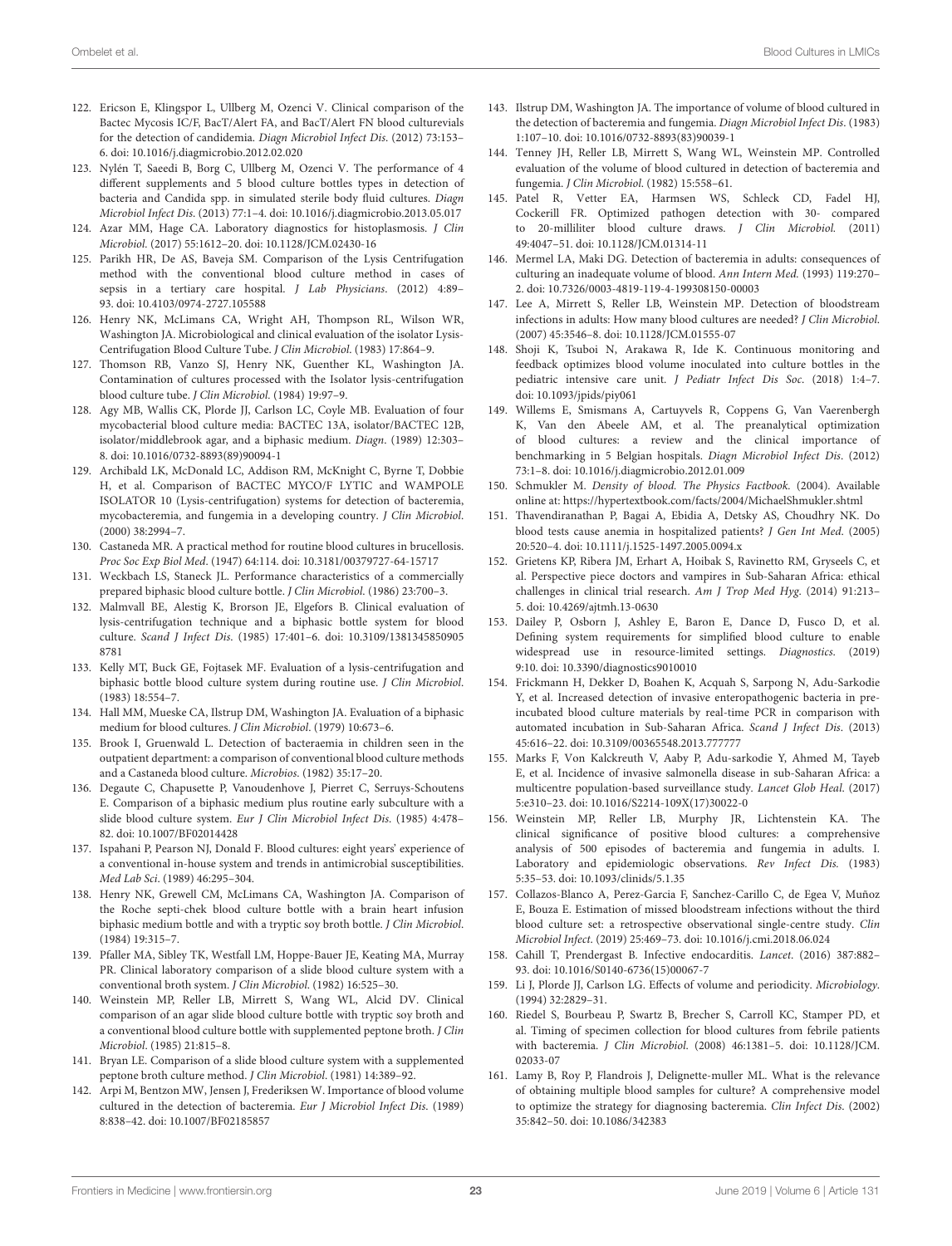- 122. Ericson E, Klingspor L, Ullberg M, Ozenci V. Clinical comparison of the Bactec Mycosis IC/F, BacT/Alert FA, and BacT/Alert FN blood culturevials for the detection of candidemia. Diagn Microbiol Infect Dis. (2012) 73:153– 6. doi: [10.1016/j.diagmicrobio.2012.02.020](https://doi.org/10.1016/j.diagmicrobio.2012.02.020)
- <span id="page-22-0"></span>123. Nylén T, Saeedi B, Borg C, Ullberg M, Ozenci V. The performance of 4 different supplements and 5 blood culture bottles types in detection of bacteria and Candida spp. in simulated sterile body fluid cultures. Diagn Microbiol Infect Dis. (2013) 77:1–4. doi: [10.1016/j.diagmicrobio.2013.05.017](https://doi.org/10.1016/j.diagmicrobio.2013.05.017)
- <span id="page-22-1"></span>124. Azar MM, Hage CA. Laboratory diagnostics for histoplasmosis. J Clin Microbiol. (2017) 55:1612–20. doi: [10.1128/JCM.02430-16](https://doi.org/10.1128/JCM.02430-16)
- <span id="page-22-2"></span>125. Parikh HR, De AS, Baveja SM. Comparison of the Lysis Centrifugation method with the conventional blood culture method in cases of sepsis in a tertiary care hospital. J Lab Physicians. (2012) 4:89– 93. doi: [10.4103/0974-2727.105588](https://doi.org/10.4103/0974-2727.105588)
- <span id="page-22-3"></span>126. Henry NK, McLimans CA, Wright AH, Thompson RL, Wilson WR, Washington JA. Microbiological and clinical evaluation of the isolator Lysis-Centrifugation Blood Culture Tube. J Clin Microbiol. (1983) 17:864–9.
- <span id="page-22-4"></span>127. Thomson RB, Vanzo SJ, Henry NK, Guenther KL, Washington JA. Contamination of cultures processed with the Isolator lysis-centrifugation blood culture tube. J Clin Microbiol. (1984) 19:97–9.
- <span id="page-22-5"></span>128. Agy MB, Wallis CK, Plorde JJ, Carlson LC, Coyle MB. Evaluation of four mycobacterial blood culture media: BACTEC 13A, isolator/BACTEC 12B, isolator/middlebrook agar, and a biphasic medium. Diagn. (1989) 12:303– 8. doi: [10.1016/0732-8893\(89\)90094-1](https://doi.org/10.1016/0732-8893(89)90094-1)
- <span id="page-22-6"></span>129. Archibald LK, McDonald LC, Addison RM, McKnight C, Byrne T, Dobbie H, et al. Comparison of BACTEC MYCO/F LYTIC and WAMPOLE ISOLATOR 10 (Lysis-centrifugation) systems for detection of bacteremia, mycobacteremia, and fungemia in a developing country. J Clin Microbiol. (2000) 38:2994–7.
- <span id="page-22-7"></span>130. Castaneda MR. A practical method for routine blood cultures in brucellosis. Proc Soc Exp Biol Med. (1947) 64:114. doi: [10.3181/00379727-64-15717](https://doi.org/10.3181/00379727-64-15717)
- <span id="page-22-8"></span>131. Weckbach LS, Staneck JL. Performance characteristics of a commercially prepared biphasic blood culture bottle. J Clin Microbiol. (1986) 23:700–3.
- 132. Malmvall BE, Alestig K, Brorson JE, Elgefors B. Clinical evaluation of lysis-centrifugation technique and a biphasic bottle system for blood culture. Scand J Infect Dis[. \(1985\) 17:401–6. doi: 10.3109/1381345850905](https://doi.org/10.3109/13813458509058781) 8781
- 133. Kelly MT, Buck GE, Fojtasek MF. Evaluation of a lysis-centrifugation and biphasic bottle blood culture system during routine use. J Clin Microbiol. (1983) 18:554–7.
- <span id="page-22-11"></span>134. Hall MM, Mueske CA, Ilstrup DM, Washington JA. Evaluation of a biphasic medium for blood cultures. J Clin Microbiol. (1979) 10:673–6.
- <span id="page-22-10"></span>135. Brook I, Gruenwald L. Detection of bacteraemia in children seen in the outpatient department: a comparison of conventional blood culture methods and a Castaneda blood culture. Microbios. (1982) 35:17–20.
- <span id="page-22-9"></span>136. Degaute C, Chapusette P, Vanoudenhove J, Pierret C, Serruys-Schoutens E. Comparison of a biphasic medium plus routine early subculture with a slide blood culture system. Eur J Clin Microbiol Infect Dis. (1985) 4:478– 82. doi: [10.1007/BF02014428](https://doi.org/10.1007/BF02014428)
- <span id="page-22-12"></span>137. Ispahani P, Pearson NJ, Donald F. Blood cultures: eight years' experience of a conventional in-house system and trends in antimicrobial susceptibilities. Med Lab Sci. (1989) 46:295–304.
- <span id="page-22-13"></span>138. Henry NK, Grewell CM, McLimans CA, Washington JA. Comparison of the Roche septi-chek blood culture bottle with a brain heart infusion biphasic medium bottle and with a tryptic soy broth bottle. J Clin Microbiol. (1984) 19:315–7.
- 139. Pfaller MA, Sibley TK, Westfall LM, Hoppe-Bauer JE, Keating MA, Murray PR. Clinical laboratory comparison of a slide blood culture system with a conventional broth system. J Clin Microbiol. (1982) 16:525–30.
- 140. Weinstein MP, Reller LB, Mirrett S, Wang WL, Alcid DV. Clinical comparison of an agar slide blood culture bottle with tryptic soy broth and a conventional blood culture bottle with supplemented peptone broth. J Clin Microbiol. (1985) 21:815–8.
- <span id="page-22-14"></span>141. Bryan LE. Comparison of a slide blood culture system with a supplemented peptone broth culture method. J Clin Microbiol. (1981) 14:389–92.
- <span id="page-22-15"></span>142. Arpi M, Bentzon MW, Jensen J, Frederiksen W. Importance of blood volume cultured in the detection of bacteremia. Eur J Microbiol Infect Dis. (1989) 8:838–42. doi: [10.1007/BF02185857](https://doi.org/10.1007/BF02185857)
- 143. Ilstrup DM, Washington JA. The importance of volume of blood cultured in the detection of bacteremia and fungemia. Diagn Microbiol Infect Dis. (1983) 1:107–10. doi: [10.1016/0732-8893\(83\)90039-1](https://doi.org/10.1016/0732-8893(83)90039-1)
- <span id="page-22-32"></span>144. Tenney JH, Reller LB, Mirrett S, Wang WL, Weinstein MP. Controlled evaluation of the volume of blood cultured in detection of bacteremia and fungemia. J Clin Microbiol. (1982) 15:558–61.
- <span id="page-22-30"></span>145. Patel R, Vetter EA, Harmsen WS, Schleck CD, Fadel HJ, Cockerill FR. Optimized pathogen detection with 30- compared to 20-milliliter blood culture draws. J Clin Microbiol. (2011) 49:4047–51. doi: [10.1128/JCM.01314-11](https://doi.org/10.1128/JCM.01314-11)
- 146. Mermel LA, Maki DG. Detection of bacteremia in adults: consequences of culturing an inadequate volume of blood. Ann Intern Med. (1993) 119:270– 2. doi: [10.7326/0003-4819-119-4-199308150-00003](https://doi.org/10.7326/0003-4819-119-4-199308150-00003)
- <span id="page-22-16"></span>147. Lee A, Mirrett S, Reller LB, Weinstein MP. Detection of bloodstream infections in adults: How many blood cultures are needed? J Clin Microbiol. (2007) 45:3546–8. doi: [10.1128/JCM.01555-07](https://doi.org/10.1128/JCM.01555-07)
- <span id="page-22-17"></span>148. Shoji K, Tsuboi N, Arakawa R, Ide K. Continuous monitoring and feedback optimizes blood volume inoculated into culture bottles in the pediatric intensive care unit. J Pediatr Infect Dis Soc. (2018) 1:4–7. doi: [10.1093/jpids/piy061](https://doi.org/10.1093/jpids/piy061)
- <span id="page-22-18"></span>149. Willems E, Smismans A, Cartuyvels R, Coppens G, Van Vaerenbergh K, Van den Abeele AM, et al. The preanalytical optimization of blood cultures: a review and the clinical importance of benchmarking in 5 Belgian hospitals. Diagn Microbiol Infect Dis. (2012) 73:1–8. doi: [10.1016/j.diagmicrobio.2012.01.009](https://doi.org/10.1016/j.diagmicrobio.2012.01.009)
- <span id="page-22-19"></span>150. Schmukler M. Density of blood. The Physics Factbook. (2004). Available online at:<https://hypertextbook.com/facts/2004/MichaelShmukler.shtml>
- <span id="page-22-20"></span>151. Thavendiranathan P, Bagai A, Ebidia A, Detsky AS, Choudhry NK. Do blood tests cause anemia in hospitalized patients? J Gen Int Med. (2005) 20:520–4. doi: [10.1111/j.1525-1497.2005.0094.x](https://doi.org/10.1111/j.1525-1497.2005.0094.x)
- <span id="page-22-21"></span>152. Grietens KP, Ribera JM, Erhart A, Hoibak S, Ravinetto RM, Gryseels C, et al. Perspective piece doctors and vampires in Sub-Saharan Africa: ethical challenges in clinical trial research. Am J Trop Med Hyg. (2014) 91:213– 5. doi: [10.4269/ajtmh.13-0630](https://doi.org/10.4269/ajtmh.13-0630)
- <span id="page-22-22"></span>153. Dailey P, Osborn J, Ashley E, Baron E, Dance D, Fusco D, et al. Defining system requirements for simplified blood culture to enable widespread use in resource-limited settings. Diagnostics. (2019) 9:10. doi: [10.3390/diagnostics9010010](https://doi.org/10.3390/diagnostics9010010)
- <span id="page-22-23"></span>154. Frickmann H, Dekker D, Boahen K, Acquah S, Sarpong N, Adu-Sarkodie Y, et al. Increased detection of invasive enteropathogenic bacteria in preincubated blood culture materials by real-time PCR in comparison with automated incubation in Sub-Saharan Africa. Scand J Infect Dis. (2013) 45:616–22. doi: [10.3109/00365548.2013.777777](https://doi.org/10.3109/00365548.2013.777777)
- <span id="page-22-24"></span>155. Marks F, Von Kalckreuth V, Aaby P, Adu-sarkodie Y, Ahmed M, Tayeb E, et al. Incidence of invasive salmonella disease in sub-Saharan Africa: a multicentre population-based surveillance study. Lancet Glob Heal. (2017) 5:e310–23. doi: [10.1016/S2214-109X\(17\)30022-0](https://doi.org/10.1016/S2214-109X(17)30022-0)
- <span id="page-22-25"></span>156. Weinstein MP, Reller LB, Murphy JR, Lichtenstein KA. The clinical significance of positive blood cultures: a comprehensive analysis of 500 episodes of bacteremia and fungemia in adults. I. Laboratory and epidemiologic observations. Rev Infect Dis. (1983) 5:35–53. doi: [10.1093/clinids/5.1.35](https://doi.org/10.1093/clinids/5.1.35)
- <span id="page-22-26"></span>157. Collazos-Blanco A, Perez-Garcia F, Sanchez-Carillo C, de Egea V, Muñoz E, Bouza E. Estimation of missed bloodstream infections without the third blood culture set: a retrospective observational single-centre study. Clin Microbiol Infect. (2019) 25:469–73. doi: [10.1016/j.cmi.2018.06.024](https://doi.org/10.1016/j.cmi.2018.06.024)
- <span id="page-22-27"></span>158. Cahill T, Prendergast B. Infective endocarditis. Lancet. (2016) 387:882– 93. doi: [10.1016/S0140-6736\(15\)00067-7](https://doi.org/10.1016/S0140-6736(15)00067-7)
- <span id="page-22-28"></span>159. Li J, Plorde JJ, Carlson LG. Effects of volume and periodicity. Microbiology. (1994) 32:2829–31.
- <span id="page-22-29"></span>160. Riedel S, Bourbeau P, Swartz B, Brecher S, Carroll KC, Stamper PD, et al. Timing of specimen collection for blood cultures from febrile patients with bacteremia. J Clin Microbiol[. \(2008\) 46:1381–5. doi: 10.1128/JCM.](https://doi.org/10.1128/JCM.02033-07) 02033-07
- <span id="page-22-31"></span>161. Lamy B, Roy P, Flandrois J, Delignette-muller ML. What is the relevance of obtaining multiple blood samples for culture? A comprehensive model to optimize the strategy for diagnosing bacteremia. Clin Infect Dis. (2002) 35:842–50. doi: [10.1086/342383](https://doi.org/10.1086/342383)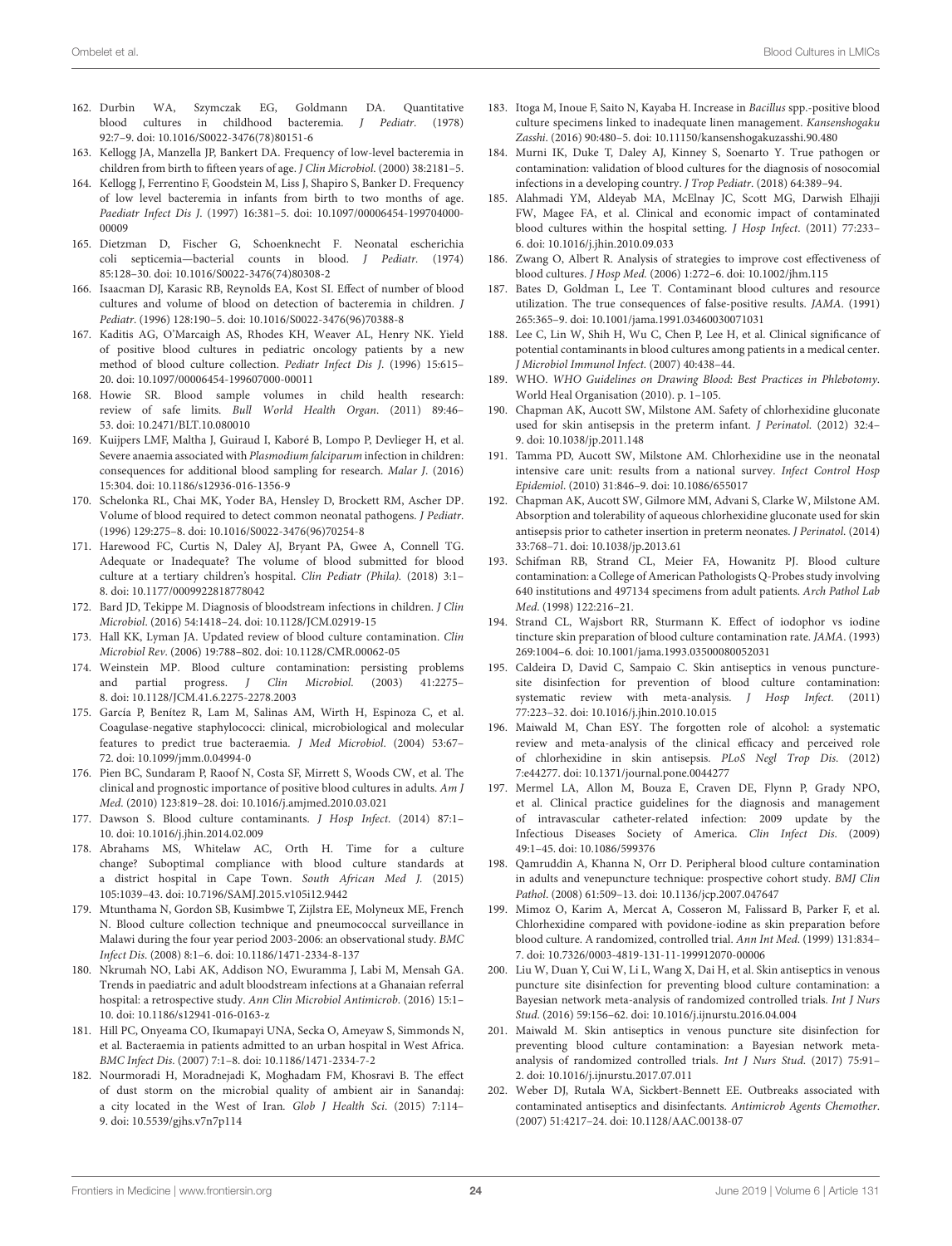- <span id="page-23-0"></span>162. Durbin WA, Szymczak EG, Goldmann DA. Quantitative blood cultures in childhood bacteremia. J Pediatr. (1978) 92:7–9. doi: [10.1016/S0022-3476\(78\)80151-6](https://doi.org/10.1016/S0022-3476(78)80151-6)
- <span id="page-23-1"></span>163. Kellogg JA, Manzella JP, Bankert DA. Frequency of low-level bacteremia in children from birth to fifteen years of age. J Clin Microbiol. (2000) 38:2181–5.
- 164. Kellogg J, Ferrentino F, Goodstein M, Liss J, Shapiro S, Banker D. Frequency of low level bacteremia in infants from birth to two months of age. Paediatr Infect Dis J[. \(1997\) 16:381–5. doi: 10.1097/00006454-199704000-](https://doi.org/10.1097/00006454-199704000-00009) 00009
- <span id="page-23-2"></span>165. Dietzman D, Fischer G, Schoenknecht F. Neonatal escherichia coli septicemia—bacterial counts in blood. J Pediatr. (1974) 85:128–30. doi: [10.1016/S0022-3476\(74\)80308-2](https://doi.org/10.1016/S0022-3476(74)80308-2)
- <span id="page-23-3"></span>166. Isaacman DJ, Karasic RB, Reynolds EA, Kost SI. Effect of number of blood cultures and volume of blood on detection of bacteremia in children. J Pediatr. (1996) 128:190–5. doi: [10.1016/S0022-3476\(96\)70388-8](https://doi.org/10.1016/S0022-3476(96)70388-8)
- <span id="page-23-4"></span>167. Kaditis AG, O'Marcaigh AS, Rhodes KH, Weaver AL, Henry NK. Yield of positive blood cultures in pediatric oncology patients by a new method of blood culture collection. Pediatr Infect Dis J. (1996) 15:615– 20. doi: [10.1097/00006454-199607000-00011](https://doi.org/10.1097/00006454-199607000-00011)
- <span id="page-23-5"></span>168. Howie SR. Blood sample volumes in child health research: review of safe limits. Bull World Health Organ. (2011) 89:46– 53. doi: [10.2471/BLT.10.080010](https://doi.org/10.2471/BLT.10.080010)
- <span id="page-23-6"></span>169. Kuijpers LMF, Maltha J, Guiraud I, Kaboré B, Lompo P, Devlieger H, et al. Severe anaemia associated with Plasmodium falciparum infection in children: consequences for additional blood sampling for research. Malar J. (2016) 15:304. doi: [10.1186/s12936-016-1356-9](https://doi.org/10.1186/s12936-016-1356-9)
- <span id="page-23-7"></span>170. Schelonka RL, Chai MK, Yoder BA, Hensley D, Brockett RM, Ascher DP. Volume of blood required to detect common neonatal pathogens. J Pediatr. (1996) 129:275–8. doi: [10.1016/S0022-3476\(96\)70254-8](https://doi.org/10.1016/S0022-3476(96)70254-8)
- <span id="page-23-8"></span>171. Harewood FC, Curtis N, Daley AJ, Bryant PA, Gwee A, Connell TG. Adequate or Inadequate? The volume of blood submitted for blood culture at a tertiary children's hospital. Clin Pediatr (Phila). (2018) 3:1– 8. doi: [10.1177/0009922818778042](https://doi.org/10.1177/0009922818778042)
- <span id="page-23-9"></span>172. Bard JD, Tekippe M. Diagnosis of bloodstream infections in children. J Clin Microbiol. (2016) 54:1418–24. doi: [10.1128/JCM.02919-15](https://doi.org/10.1128/JCM.02919-15)
- <span id="page-23-10"></span>173. Hall KK, Lyman JA. Updated review of blood culture contamination. Clin Microbiol Rev. (2006) 19:788–802. doi: [10.1128/CMR.00062-05](https://doi.org/10.1128/CMR.00062-05)
- <span id="page-23-11"></span>174. Weinstein MP. Blood culture contamination: persisting problems and partial progress. J Clin Microbiol. (2003) 41:2275– 8. doi: [10.1128/JCM.41.6.2275-2278.2003](https://doi.org/10.1128/JCM.41.6.2275-2278.2003)
- <span id="page-23-12"></span>175. García P, Benítez R, Lam M, Salinas AM, Wirth H, Espinoza C, et al. Coagulase-negative staphylococci: clinical, microbiological and molecular features to predict true bacteraemia. J Med Microbiol. (2004) 53:67– 72. doi: [10.1099/jmm.0.04994-0](https://doi.org/10.1099/jmm.0.04994-0)
- <span id="page-23-13"></span>176. Pien BC, Sundaram P, Raoof N, Costa SF, Mirrett S, Woods CW, et al. The clinical and prognostic importance of positive blood cultures in adults. Am J Med. (2010) 123:819–28. doi: [10.1016/j.amjmed.2010.03.021](https://doi.org/10.1016/j.amjmed.2010.03.021)
- <span id="page-23-14"></span>177. Dawson S. Blood culture contaminants. J Hosp Infect. (2014) 87:1– 10. doi: [10.1016/j.jhin.2014.02.009](https://doi.org/10.1016/j.jhin.2014.02.009)
- <span id="page-23-15"></span>178. Abrahams MS, Whitelaw AC, Orth H. Time for a culture change? Suboptimal compliance with blood culture standards at a district hospital in Cape Town. South African Med J. (2015) 105:1039–43. doi: [10.7196/SAMJ.2015.v105i12.9442](https://doi.org/10.7196/SAMJ.2015.v105i12.9442)
- <span id="page-23-32"></span>179. Mtunthama N, Gordon SB, Kusimbwe T, Zijlstra EE, Molyneux ME, French N. Blood culture collection technique and pneumococcal surveillance in Malawi during the four year period 2003-2006: an observational study. BMC Infect Dis. (2008) 8:1–6. doi: [10.1186/1471-2334-8-137](https://doi.org/10.1186/1471-2334-8-137)
- 180. Nkrumah NO, Labi AK, Addison NO, Ewuramma J, Labi M, Mensah GA. Trends in paediatric and adult bloodstream infections at a Ghanaian referral hospital: a retrospective study. Ann Clin Microbiol Antimicrob. (2016) 15:1– 10. doi: [10.1186/s12941-016-0163-z](https://doi.org/10.1186/s12941-016-0163-z)
- <span id="page-23-16"></span>181. Hill PC, Onyeama CO, Ikumapayi UNA, Secka O, Ameyaw S, Simmonds N, et al. Bacteraemia in patients admitted to an urban hospital in West Africa. BMC Infect Dis. (2007) 7:1–8. doi: [10.1186/1471-2334-7-2](https://doi.org/10.1186/1471-2334-7-2)
- <span id="page-23-17"></span>182. Nourmoradi H, Moradnejadi K, Moghadam FM, Khosravi B. The effect of dust storm on the microbial quality of ambient air in Sanandaj: a city located in the West of Iran. Glob J Health Sci. (2015) 7:114– 9. doi: [10.5539/gjhs.v7n7p114](https://doi.org/10.5539/gjhs.v7n7p114)
- <span id="page-23-18"></span>183. Itoga M, Inoue F, Saito N, Kayaba H. Increase in Bacillus spp.-positive blood culture specimens linked to inadequate linen management. Kansenshogaku Zasshi. (2016) 90:480–5. doi: [10.11150/kansenshogakuzasshi.90.480](https://doi.org/10.11150/kansenshogakuzasshi.90.480)
- <span id="page-23-19"></span>184. Murni IK, Duke T, Daley AJ, Kinney S, Soenarto Y. True pathogen or contamination: validation of blood cultures for the diagnosis of nosocomial infections in a developing country. J Trop Pediatr. (2018) 64:389–94.
- <span id="page-23-20"></span>185. Alahmadi YM, Aldeyab MA, McElnay JC, Scott MG, Darwish Elhajji FW, Magee FA, et al. Clinical and economic impact of contaminated blood cultures within the hospital setting. J Hosp Infect. (2011) 77:233– 6. doi: [10.1016/j.jhin.2010.09.033](https://doi.org/10.1016/j.jhin.2010.09.033)
- 186. Zwang O, Albert R. Analysis of strategies to improve cost effectiveness of blood cultures. J Hosp Med. (2006) 1:272–6. doi: [10.1002/jhm.115](https://doi.org/10.1002/jhm.115)
- 187. Bates D, Goldman L, Lee T. Contaminant blood cultures and resource utilization. The true consequences of false-positive results. JAMA. (1991) 265:365–9. doi: [10.1001/jama.1991.03460030071031](https://doi.org/10.1001/jama.1991.03460030071031)
- <span id="page-23-21"></span>188. Lee C, Lin W, Shih H, Wu C, Chen P, Lee H, et al. Clinical significance of potential contaminants in blood cultures among patients in a medical center. J Microbiol Immunol Infect. (2007) 40:438–44.
- <span id="page-23-22"></span>189. WHO. WHO Guidelines on Drawing Blood: Best Practices in Phlebotomy. World Heal Organisation (2010). p. 1–105.
- <span id="page-23-23"></span>190. Chapman AK, Aucott SW, Milstone AM. Safety of chlorhexidine gluconate used for skin antisepsis in the preterm infant. J Perinatol. (2012) 32:4– 9. doi: [10.1038/jp.2011.148](https://doi.org/10.1038/jp.2011.148)
- 191. Tamma PD, Aucott SW, Milstone AM. Chlorhexidine use in the neonatal intensive care unit: results from a national survey. Infect Control Hosp Epidemiol. (2010) 31:846–9. doi: [10.1086/655017](https://doi.org/10.1086/655017)
- <span id="page-23-24"></span>192. Chapman AK, Aucott SW, Gilmore MM, Advani S, Clarke W, Milstone AM. Absorption and tolerability of aqueous chlorhexidine gluconate used for skin antisepsis prior to catheter insertion in preterm neonates. J Perinatol. (2014) 33:768–71. doi: [10.1038/jp.2013.61](https://doi.org/10.1038/jp.2013.61)
- <span id="page-23-25"></span>193. Schifman RB, Strand CL, Meier FA, Howanitz PJ. Blood culture contamination: a College of American Pathologists Q-Probes study involving 640 institutions and 497134 specimens from adult patients. Arch Pathol Lab Med. (1998) 122:216–21.
- 194. Strand CL, Wajsbort RR, Sturmann K. Effect of iodophor vs iodine tincture skin preparation of blood culture contamination rate. JAMA. (1993) 269:1004–6. doi: [10.1001/jama.1993.03500080052031](https://doi.org/10.1001/jama.1993.03500080052031)
- 195. Caldeira D, David C, Sampaio C. Skin antiseptics in venous puncturesite disinfection for prevention of blood culture contamination: systematic review with meta-analysis. J Hosp Infect. (2011) 77:223–32. doi: [10.1016/j.jhin.2010.10.015](https://doi.org/10.1016/j.jhin.2010.10.015)
- <span id="page-23-27"></span>196. Maiwald M, Chan ESY. The forgotten role of alcohol: a systematic review and meta-analysis of the clinical efficacy and perceived role of chlorhexidine in skin antisepsis. PLoS Negl Trop Dis. (2012) 7:e44277. doi: [10.1371/journal.pone.0044277](https://doi.org/10.1371/journal.pone.0044277)
- <span id="page-23-31"></span>197. Mermel LA, Allon M, Bouza E, Craven DE, Flynn P, Grady NPO, et al. Clinical practice guidelines for the diagnosis and management of intravascular catheter-related infection: 2009 update by the Infectious Diseases Society of America. Clin Infect Dis. (2009) 49:1–45. doi: [10.1086/599376](https://doi.org/10.1086/599376)
- 198. Qamruddin A, Khanna N, Orr D. Peripheral blood culture contamination in adults and venepuncture technique: prospective cohort study. BMJ Clin Pathol. (2008) 61:509–13. doi: [10.1136/jcp.2007.047647](https://doi.org/10.1136/jcp.2007.047647)
- <span id="page-23-26"></span>199. Mimoz O, Karim A, Mercat A, Cosseron M, Falissard B, Parker F, et al. Chlorhexidine compared with povidone-iodine as skin preparation before blood culture. A randomized, controlled trial. Ann Int Med. (1999) 131:834– 7. doi: [10.7326/0003-4819-131-11-199912070-00006](https://doi.org/10.7326/0003-4819-131-11-199912070-00006)
- <span id="page-23-28"></span>200. Liu W, Duan Y, Cui W, Li L, Wang X, Dai H, et al. Skin antiseptics in venous puncture site disinfection for preventing blood culture contamination: a Bayesian network meta-analysis of randomized controlled trials. Int J Nurs Stud. (2016) 59:156–62. doi: [10.1016/j.ijnurstu.2016.04.004](https://doi.org/10.1016/j.ijnurstu.2016.04.004)
- <span id="page-23-29"></span>201. Maiwald M. Skin antiseptics in venous puncture site disinfection for preventing blood culture contamination: a Bayesian network metaanalysis of randomized controlled trials. Int J Nurs Stud. (2017) 75:91– 2. doi: [10.1016/j.ijnurstu.2017.07.011](https://doi.org/10.1016/j.ijnurstu.2017.07.011)
- <span id="page-23-30"></span>202. Weber DJ, Rutala WA, Sickbert-Bennett EE. Outbreaks associated with contaminated antiseptics and disinfectants. Antimicrob Agents Chemother. (2007) 51:4217–24. doi: [10.1128/AAC.00138-07](https://doi.org/10.1128/AAC.00138-07)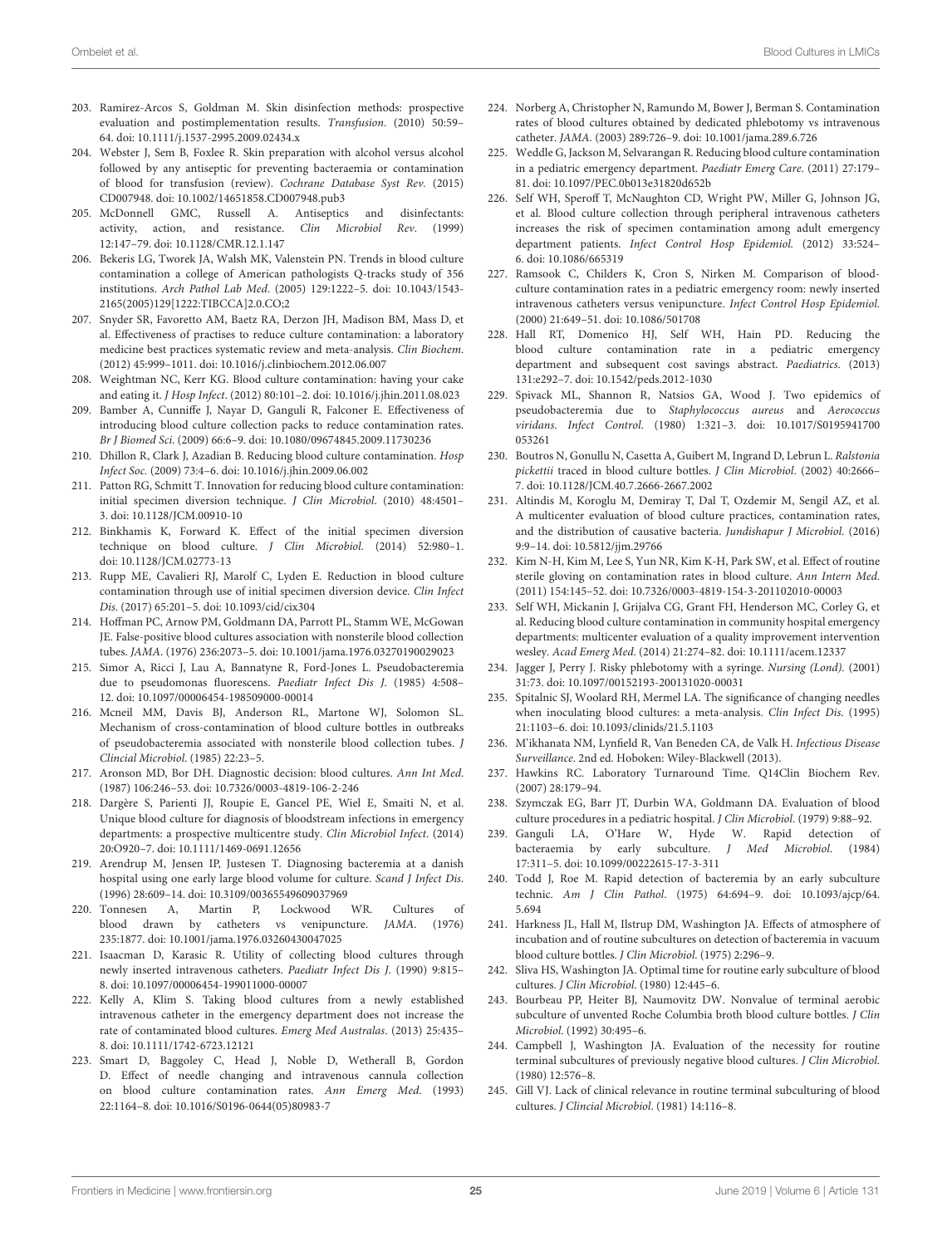- <span id="page-24-0"></span>203. Ramirez-Arcos S, Goldman M. Skin disinfection methods: prospective evaluation and postimplementation results. Transfusion. (2010) 50:59– 64. doi: [10.1111/j.1537-2995.2009.02434.x](https://doi.org/10.1111/j.1537-2995.2009.02434.x)
- <span id="page-24-1"></span>204. Webster J, Sem B, Foxlee R. Skin preparation with alcohol versus alcohol followed by any antiseptic for preventing bacteraemia or contamination of blood for transfusion (review). Cochrane Database Syst Rev. (2015) CD007948. doi: [10.1002/14651858.CD007948.pub3](https://doi.org/10.1002/14651858.CD007948.pub3)
- <span id="page-24-2"></span>205. McDonnell GMC, Russell A. Antiseptics and disinfectants: activity, action, and resistance. Clin Microbiol Rev. (1999) 12:147–79. doi: [10.1128/CMR.12.1.147](https://doi.org/10.1128/CMR.12.1.147)
- <span id="page-24-3"></span>206. Bekeris LG, Tworek JA, Walsh MK, Valenstein PN. Trends in blood culture contamination a college of American pathologists Q-tracks study of 356 institutions. Arch Pathol Lab Med[. \(2005\) 129:1222–5. doi: 10.1043/1543-](https://doi.org/10.1043/1543-2165(2005)129[1222:TIBCCA]2.0.CO;2) 2165(2005)129[1222:TIBCCA]2.0.CO;2
- <span id="page-24-4"></span>207. Snyder SR, Favoretto AM, Baetz RA, Derzon JH, Madison BM, Mass D, et al. Effectiveness of practises to reduce culture contamination: a laboratory medicine best practices systematic review and meta-analysis. Clin Biochem. (2012) 45:999–1011. doi: [10.1016/j.clinbiochem.2012.06.007](https://doi.org/10.1016/j.clinbiochem.2012.06.007)
- <span id="page-24-5"></span>208. Weightman NC, Kerr KG. Blood culture contamination: having your cake and eating it. J Hosp Infect. (2012) 80:101–2. doi: [10.1016/j.jhin.2011.08.023](https://doi.org/10.1016/j.jhin.2011.08.023)
- 209. Bamber A, Cunniffe J, Nayar D, Ganguli R, Falconer E. Effectiveness of introducing blood culture collection packs to reduce contamination rates. Br J Biomed Sci. (2009) 66:6–9. doi: [10.1080/09674845.2009.11730236](https://doi.org/10.1080/09674845.2009.11730236)
- <span id="page-24-6"></span>210. Dhillon R, Clark J, Azadian B. Reducing blood culture contamination. Hosp Infect Soc. (2009) 73:4–6. doi: [10.1016/j.jhin.2009.06.002](https://doi.org/10.1016/j.jhin.2009.06.002)
- <span id="page-24-7"></span>211. Patton RG, Schmitt T. Innovation for reducing blood culture contamination: initial specimen diversion technique. J Clin Microbiol. (2010) 48:4501– 3. doi: [10.1128/JCM.00910-10](https://doi.org/10.1128/JCM.00910-10)
- <span id="page-24-8"></span>212. Binkhamis K, Forward K. Effect of the initial specimen diversion technique on blood culture. J Clin Microbiol. (2014) 52:980–1. doi: [10.1128/JCM.02773-13](https://doi.org/10.1128/JCM.02773-13)
- <span id="page-24-9"></span>213. Rupp ME, Cavalieri RJ, Marolf C, Lyden E. Reduction in blood culture contamination through use of initial specimen diversion device. Clin Infect Dis. (2017) 65:201–5. doi: [10.1093/cid/cix304](https://doi.org/10.1093/cid/cix304)
- <span id="page-24-10"></span>214. Hoffman PC, Arnow PM, Goldmann DA, Parrott PL, Stamm WE, McGowan JE. False-positive blood cultures association with nonsterile blood collection tubes. JAMA. (1976) 236:2073–5. doi: [10.1001/jama.1976.03270190029023](https://doi.org/10.1001/jama.1976.03270190029023)
- 215. Simor A, Ricci J, Lau A, Bannatyne R, Ford-Jones L. Pseudobacteremia due to pseudomonas fluorescens. Paediatr Infect Dis J. (1985) 4:508– 12. doi: [10.1097/00006454-198509000-00014](https://doi.org/10.1097/00006454-198509000-00014)
- <span id="page-24-11"></span>216. Mcneil MM, Davis BJ, Anderson RL, Martone WJ, Solomon SL. Mechanism of cross-contamination of blood culture bottles in outbreaks of pseudobacteremia associated with nonsterile blood collection tubes. J Clincial Microbiol. (1985) 22:23–5.
- <span id="page-24-12"></span>217. Aronson MD, Bor DH. Diagnostic decision: blood cultures. Ann Int Med. (1987) 106:246–53. doi: [10.7326/0003-4819-106-2-246](https://doi.org/10.7326/0003-4819-106-2-246)
- <span id="page-24-13"></span>218. Dargère S, Parienti JJ, Roupie E, Gancel PE, Wiel E, Smaiti N, et al. Unique blood culture for diagnosis of bloodstream infections in emergency departments: a prospective multicentre study. Clin Microbiol Infect. (2014) 20:O920–7. doi: [10.1111/1469-0691.12656](https://doi.org/10.1111/1469-0691.12656)
- <span id="page-24-14"></span>219. Arendrup M, Jensen IP, Justesen T. Diagnosing bacteremia at a danish hospital using one early large blood volume for culture. Scand J Infect Dis. (1996) 28:609–14. doi: [10.3109/00365549609037969](https://doi.org/10.3109/00365549609037969)
- <span id="page-24-15"></span>220. Tonnesen A, Martin P, Lockwood WR. Cultures of blood drawn by catheters vs venipuncture. JAMA. (1976) 235:1877. doi: [10.1001/jama.1976.03260430047025](https://doi.org/10.1001/jama.1976.03260430047025)
- 221. Isaacman D, Karasic R. Utility of collecting blood cultures through newly inserted intravenous catheters. Paediatr Infect Dis J. (1990) 9:815– 8. doi: [10.1097/00006454-199011000-00007](https://doi.org/10.1097/00006454-199011000-00007)
- 222. Kelly A, Klim S. Taking blood cultures from a newly established intravenous catheter in the emergency department does not increase the rate of contaminated blood cultures. Emerg Med Australas. (2013) 25:435– 8. doi: [10.1111/1742-6723.12121](https://doi.org/10.1111/1742-6723.12121)
- <span id="page-24-16"></span>223. Smart D, Baggoley C, Head J, Noble D, Wetherall B, Gordon D. Effect of needle changing and intravenous cannula collection on blood culture contamination rates. Ann Emerg Med. (1993) 22:1164–8. doi: [10.1016/S0196-0644\(05\)80983-7](https://doi.org/10.1016/S0196-0644(05)80983-7)
- <span id="page-24-17"></span>224. Norberg A, Christopher N, Ramundo M, Bower J, Berman S. Contamination rates of blood cultures obtained by dedicated phlebotomy vs intravenous catheter. JAMA. (2003) 289:726–9. doi: [10.1001/jama.289.6.726](https://doi.org/10.1001/jama.289.6.726)
- 225. Weddle G, Jackson M, Selvarangan R. Reducing blood culture contamination in a pediatric emergency department. Paediatr Emerg Care. (2011) 27:179– 81. doi: [10.1097/PEC.0b013e31820d652b](https://doi.org/10.1097/PEC.0b013e31820d652b)
- 226. Self WH, Speroff T, McNaughton CD, Wright PW, Miller G, Johnson JG, et al. Blood culture collection through peripheral intravenous catheters increases the risk of specimen contamination among adult emergency department patients. Infect Control Hosp Epidemiol. (2012) 33:524– 6. doi: [10.1086/665319](https://doi.org/10.1086/665319)
- <span id="page-24-18"></span>227. Ramsook C, Childers K, Cron S, Nirken M. Comparison of bloodculture contamination rates in a pediatric emergency room: newly inserted intravenous catheters versus venipuncture. Infect Control Hosp Epidemiol. (2000) 21:649–51. doi: [10.1086/501708](https://doi.org/10.1086/501708)
- <span id="page-24-19"></span>228. Hall RT, Domenico HJ, Self WH, Hain PD. Reducing the blood culture contamination rate in a pediatric emergency department and subsequent cost savings abstract. Paediatrics. (2013) 131:e292–7. doi: [10.1542/peds.2012-1030](https://doi.org/10.1542/peds.2012-1030)
- <span id="page-24-20"></span>229. Spivack ML, Shannon R, Natsios GA, Wood J. Two epidemics of pseudobacteremia due to Staphylococcus aureus and Aerococcus viridans. Infect Control[. \(1980\) 1:321–3. doi: 10.1017/S0195941700](https://doi.org/10.1017/S0195941700053261) 053261
- <span id="page-24-21"></span>230. Boutros N, Gonullu N, Casetta A, Guibert M, Ingrand D, Lebrun L. Ralstonia pickettii traced in blood culture bottles. J Clin Microbiol. (2002) 40:2666– 7. doi: [10.1128/JCM.40.7.2666-2667.2002](https://doi.org/10.1128/JCM.40.7.2666-2667.2002)
- <span id="page-24-22"></span>231. Altindis M, Koroglu M, Demiray T, Dal T, Ozdemir M, Sengil AZ, et al. A multicenter evaluation of blood culture practices, contamination rates, and the distribution of causative bacteria. Jundishapur J Microbiol. (2016) 9:9–14. doi: [10.5812/jjm.29766](https://doi.org/10.5812/jjm.29766)
- <span id="page-24-23"></span>232. Kim N-H, Kim M, Lee S, Yun NR, Kim K-H, Park SW, et al. Effect of routine sterile gloving on contamination rates in blood culture. Ann Intern Med. (2011) 154:145–52. doi: [10.7326/0003-4819-154-3-201102010-00003](https://doi.org/10.7326/0003-4819-154-3-201102010-00003)
- <span id="page-24-24"></span>233. Self WH, Mickanin J, Grijalva CG, Grant FH, Henderson MC, Corley G, et al. Reducing blood culture contamination in community hospital emergency departments: multicenter evaluation of a quality improvement intervention wesley. Acad Emerg Med. (2014) 21:274–82. doi: [10.1111/acem.12337](https://doi.org/10.1111/acem.12337)
- <span id="page-24-25"></span>234. Jagger J, Perry J. Risky phlebotomy with a syringe. Nursing (Lond). (2001) 31:73. doi: [10.1097/00152193-200131020-00031](https://doi.org/10.1097/00152193-200131020-00031)
- <span id="page-24-26"></span>235. Spitalnic SJ, Woolard RH, Mermel LA. The significance of changing needles when inoculating blood cultures: a meta-analysis. Clin Infect Dis. (1995) 21:1103–6. doi: [10.1093/clinids/21.5.1103](https://doi.org/10.1093/clinids/21.5.1103)
- <span id="page-24-27"></span>236. M'ikhanata NM, Lynfield R, Van Beneden CA, de Valk H. Infectious Disease Surveillance. 2nd ed. Hoboken: Wiley-Blackwell (2013).
- <span id="page-24-28"></span>237. Hawkins RC. Laboratory Turnaround Time. Q14Clin Biochem Rev. (2007) 28:179–94.
- <span id="page-24-29"></span>238. Szymczak EG, Barr JT, Durbin WA, Goldmann DA. Evaluation of blood culture procedures in a pediatric hospital. J Clin Microbiol. (1979) 9:88–92.
- <span id="page-24-30"></span>239. Ganguli LA, O'Hare W, Hyde W. Rapid detection of bacteraemia by early subculture. J Med Microbiol. (1984) 17:311–5. doi: [10.1099/00222615-17-3-311](https://doi.org/10.1099/00222615-17-3-311)
- <span id="page-24-31"></span>240. Todd J, Roe M. Rapid detection of bacteremia by an early subculture technic. Am J Clin Pathol[. \(1975\) 64:694–9. doi: 10.1093/ajcp/64.](https://doi.org/10.1093/ajcp/64.5.694) 5.694
- <span id="page-24-32"></span>241. Harkness JL, Hall M, Ilstrup DM, Washington JA. Effects of atmosphere of incubation and of routine subcultures on detection of bacteremia in vacuum blood culture bottles. J Clin Microbiol. (1975) 2:296–9.
- <span id="page-24-33"></span>242. Sliva HS, Washington JA. Optimal time for routine early subculture of blood cultures. J Clin Microbiol. (1980) 12:445–6.
- <span id="page-24-34"></span>243. Bourbeau PP, Heiter BJ, Naumovitz DW. Nonvalue of terminal aerobic subculture of unvented Roche Columbia broth blood culture bottles. J Clin Microbiol. (1992) 30:495–6.
- 244. Campbell J, Washington JA. Evaluation of the necessity for routine terminal subcultures of previously negative blood cultures. J Clin Microbiol. (1980) 12:576–8.
- <span id="page-24-35"></span>245. Gill VJ. Lack of clinical relevance in routine terminal subculturing of blood cultures. J Clincial Microbiol. (1981) 14:116–8.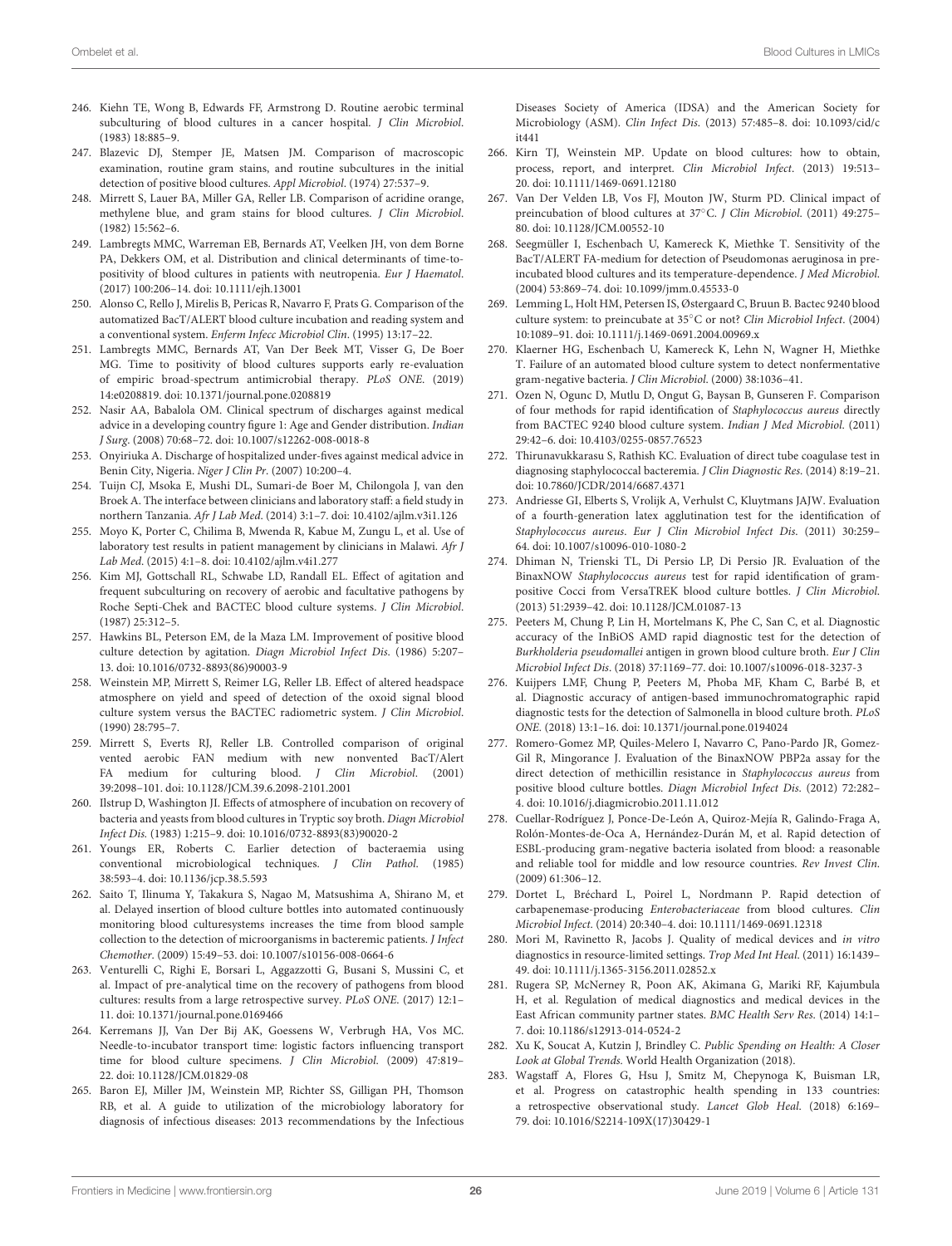- <span id="page-25-0"></span>246. Kiehn TE, Wong B, Edwards FF, Armstrong D. Routine aerobic terminal subculturing of blood cultures in a cancer hospital. J Clin Microbiol. (1983) 18:885–9.
- <span id="page-25-1"></span>247. Blazevic DJ, Stemper JE, Matsen JM. Comparison of macroscopic examination, routine gram stains, and routine subcultures in the initial detection of positive blood cultures. Appl Microbiol. (1974) 27:537–9.
- <span id="page-25-2"></span>248. Mirrett S, Lauer BA, Miller GA, Reller LB. Comparison of acridine orange, methylene blue, and gram stains for blood cultures. J Clin Microbiol. (1982) 15:562–6.
- <span id="page-25-3"></span>249. Lambregts MMC, Warreman EB, Bernards AT, Veelken JH, von dem Borne PA, Dekkers OM, et al. Distribution and clinical determinants of time-topositivity of blood cultures in patients with neutropenia. Eur J Haematol. (2017) 100:206–14. doi: [10.1111/ejh.13001](https://doi.org/10.1111/ejh.13001)
- 250. Alonso C, Rello J, Mirelis B, Pericas R, Navarro F, Prats G. Comparison of the automatized BacT/ALERT blood culture incubation and reading system and a conventional system. Enferm Infecc Microbiol Clin. (1995) 13:17–22.
- <span id="page-25-4"></span>251. Lambregts MMC, Bernards AT, Van Der Beek MT, Visser G, De Boer MG. Time to positivity of blood cultures supports early re-evaluation of empiric broad-spectrum antimicrobial therapy. PLoS ONE. (2019) 14:e0208819. doi: [10.1371/journal.pone.0208819](https://doi.org/10.1371/journal.pone.0208819)
- <span id="page-25-5"></span>252. Nasir AA, Babalola OM. Clinical spectrum of discharges against medical advice in a developing country figure 1: Age and Gender distribution. Indian J Surg. (2008) 70:68–72. doi: [10.1007/s12262-008-0018-8](https://doi.org/10.1007/s12262-008-0018-8)
- <span id="page-25-6"></span>253. Onyiriuka A. Discharge of hospitalized under-fives against medical advice in Benin City, Nigeria. Niger J Clin Pr. (2007) 10:200–4.
- <span id="page-25-7"></span>254. Tuijn CJ, Msoka E, Mushi DL, Sumari-de Boer M, Chilongola J, van den Broek A. The interface between clinicians and laboratory staff: a field study in northern Tanzania. Afr J Lab Med. (2014) 3:1–7. doi: [10.4102/ajlm.v3i1.126](https://doi.org/10.4102/ajlm.v3i1.126)
- <span id="page-25-8"></span>255. Moyo K, Porter C, Chilima B, Mwenda R, Kabue M, Zungu L, et al. Use of laboratory test results in patient management by clinicians in Malawi. Afr J Lab Med. (2015) 4:1–8. doi: [10.4102/ajlm.v4i1.277](https://doi.org/10.4102/ajlm.v4i1.277)
- <span id="page-25-9"></span>256. Kim MJ, Gottschall RL, Schwabe LD, Randall EL. Effect of agitation and frequent subculturing on recovery of aerobic and facultative pathogens by Roche Septi-Chek and BACTEC blood culture systems. J Clin Microbiol. (1987) 25:312–5.
- 257. Hawkins BL, Peterson EM, de la Maza LM. Improvement of positive blood culture detection by agitation. Diagn Microbiol Infect Dis. (1986) 5:207– 13. doi: [10.1016/0732-8893\(86\)90003-9](https://doi.org/10.1016/0732-8893(86)90003-9)
- <span id="page-25-10"></span>258. Weinstein MP, Mirrett S, Reimer LG, Reller LB. Effect of altered headspace atmosphere on yield and speed of detection of the oxoid signal blood culture system versus the BACTEC radiometric system. J Clin Microbiol. (1990) 28:795–7.
- <span id="page-25-11"></span>259. Mirrett S, Everts RJ, Reller LB. Controlled comparison of original vented aerobic FAN medium with new nonvented BacT/Alert FA medium for culturing blood. J Clin Microbiol. (2001) 39:2098–101. doi: [10.1128/JCM.39.6.2098-2101.2001](https://doi.org/10.1128/JCM.39.6.2098-2101.2001)
- <span id="page-25-12"></span>260. Ilstrup D, Washington JI. Effects of atmosphere of incubation on recovery of bacteria and yeasts from blood cultures in Tryptic soy broth. Diagn Microbiol Infect Dis. (1983) 1:215–9. doi: [10.1016/0732-8893\(83\)90020-2](https://doi.org/10.1016/0732-8893(83)90020-2)
- <span id="page-25-13"></span>261. Youngs ER, Roberts C. Earlier detection of bacteraemia using conventional microbiological techniques. J Clin Pathol. (1985) 38:593–4. doi: [10.1136/jcp.38.5.593](https://doi.org/10.1136/jcp.38.5.593)
- <span id="page-25-14"></span>262. Saito T, Ilinuma Y, Takakura S, Nagao M, Matsushima A, Shirano M, et al. Delayed insertion of blood culture bottles into automated continuously monitoring blood culturesystems increases the time from blood sample collection to the detection of microorganisms in bacteremic patients. J Infect Chemother. (2009) 15:49–53. doi: [10.1007/s10156-008-0664-6](https://doi.org/10.1007/s10156-008-0664-6)
- <span id="page-25-15"></span>263. Venturelli C, Righi E, Borsari L, Aggazzotti G, Busani S, Mussini C, et al. Impact of pre-analytical time on the recovery of pathogens from blood cultures: results from a large retrospective survey. PLoS ONE. (2017) 12:1– 11. doi: [10.1371/journal.pone.0169466](https://doi.org/10.1371/journal.pone.0169466)
- <span id="page-25-16"></span>264. Kerremans JJ, Van Der Bij AK, Goessens W, Verbrugh HA, Vos MC. Needle-to-incubator transport time: logistic factors influencing transport time for blood culture specimens. J Clin Microbiol. (2009) 47:819– 22. doi: [10.1128/JCM.01829-08](https://doi.org/10.1128/JCM.01829-08)
- <span id="page-25-17"></span>265. Baron EJ, Miller JM, Weinstein MP, Richter SS, Gilligan PH, Thomson RB, et al. A guide to utilization of the microbiology laboratory for diagnosis of infectious diseases: 2013 recommendations by the Infectious

Diseases Society of America (IDSA) and the American Society for Microbiology (ASM). Clin Infect Dis[. \(2013\) 57:485–8. doi: 10.1093/cid/c](https://doi.org/10.1093/cid/cit441) it441

- <span id="page-25-18"></span>266. Kirn TJ, Weinstein MP. Update on blood cultures: how to obtain, process, report, and interpret. Clin Microbiol Infect. (2013) 19:513– 20. doi: [10.1111/1469-0691.12180](https://doi.org/10.1111/1469-0691.12180)
- <span id="page-25-19"></span>267. Van Der Velden LB, Vos FJ, Mouton JW, Sturm PD. Clinical impact of preincubation of blood cultures at 37◦C. J Clin Microbiol. (2011) 49:275– 80. doi: [10.1128/JCM.00552-10](https://doi.org/10.1128/JCM.00552-10)
- <span id="page-25-20"></span>268. Seegmüller I, Eschenbach U, Kamereck K, Miethke T. Sensitivity of the BacT/ALERT FA-medium for detection of Pseudomonas aeruginosa in preincubated blood cultures and its temperature-dependence. J Med Microbiol. (2004) 53:869–74. doi: [10.1099/jmm.0.45533-0](https://doi.org/10.1099/jmm.0.45533-0)
- 269. Lemming L, Holt HM, Petersen IS, Østergaard C, Bruun B. Bactec 9240 blood culture system: to preincubate at 35◦C or not? Clin Microbiol Infect. (2004) 10:1089–91. doi: [10.1111/j.1469-0691.2004.00969.x](https://doi.org/10.1111/j.1469-0691.2004.00969.x)
- <span id="page-25-21"></span>270. Klaerner HG, Eschenbach U, Kamereck K, Lehn N, Wagner H, Miethke T. Failure of an automated blood culture system to detect nonfermentative gram-negative bacteria. J Clin Microbiol. (2000) 38:1036–41.
- <span id="page-25-22"></span>271. Ozen N, Ogunc D, Mutlu D, Ongut G, Baysan B, Gunseren F. Comparison of four methods for rapid identification of Staphylococcus aureus directly from BACTEC 9240 blood culture system. Indian J Med Microbiol. (2011) 29:42–6. doi: [10.4103/0255-0857.76523](https://doi.org/10.4103/0255-0857.76523)
- <span id="page-25-23"></span>272. Thirunavukkarasu S, Rathish KC. Evaluation of direct tube coagulase test in diagnosing staphylococcal bacteremia. J Clin Diagnostic Res. (2014) 8:19–21. doi: [10.7860/JCDR/2014/6687.4371](https://doi.org/10.7860/JCDR/2014/6687.4371)
- <span id="page-25-24"></span>273. Andriesse GI, Elberts S, Vrolijk A, Verhulst C, Kluytmans JAJW. Evaluation of a fourth-generation latex agglutination test for the identification of Staphylococcus aureus. Eur J Clin Microbiol Infect Dis. (2011) 30:259– 64. doi: [10.1007/s10096-010-1080-2](https://doi.org/10.1007/s10096-010-1080-2)
- <span id="page-25-25"></span>274. Dhiman N, Trienski TL, Di Persio LP, Di Persio JR. Evaluation of the BinaxNOW Staphylococcus aureus test for rapid identification of grampositive Cocci from VersaTREK blood culture bottles. J Clin Microbiol. (2013) 51:2939–42. doi: [10.1128/JCM.01087-13](https://doi.org/10.1128/JCM.01087-13)
- <span id="page-25-26"></span>275. Peeters M, Chung P, Lin H, Mortelmans K, Phe C, San C, et al. Diagnostic accuracy of the InBiOS AMD rapid diagnostic test for the detection of Burkholderia pseudomallei antigen in grown blood culture broth. Eur J Clin Microbiol Infect Dis. (2018) 37:1169–77. doi: [10.1007/s10096-018-3237-3](https://doi.org/10.1007/s10096-018-3237-3)
- <span id="page-25-27"></span>276. Kuijpers LMF, Chung P, Peeters M, Phoba MF, Kham C, Barbé B, et al. Diagnostic accuracy of antigen-based immunochromatographic rapid diagnostic tests for the detection of Salmonella in blood culture broth. PLoS ONE. (2018) 13:1–16. doi: [10.1371/journal.pone.0194024](https://doi.org/10.1371/journal.pone.0194024)
- <span id="page-25-28"></span>277. Romero-Gomez MP, Quiles-Melero I, Navarro C, Pano-Pardo JR, Gomez-Gil R, Mingorance J. Evaluation of the BinaxNOW PBP2a assay for the direct detection of methicillin resistance in Staphylococcus aureus from positive blood culture bottles. Diagn Microbiol Infect Dis. (2012) 72:282– 4. doi: [10.1016/j.diagmicrobio.2011.11.012](https://doi.org/10.1016/j.diagmicrobio.2011.11.012)
- <span id="page-25-29"></span>278. Cuellar-Rodríguez J, Ponce-De-León A, Quiroz-Mejía R, Galindo-Fraga A, Rolón-Montes-de-Oca A, Hernández-Durán M, et al. Rapid detection of ESBL-producing gram-negative bacteria isolated from blood: a reasonable and reliable tool for middle and low resource countries. Rev Invest Clin. (2009) 61:306–12.
- <span id="page-25-30"></span>279. Dortet L, Bréchard L, Poirel L, Nordmann P. Rapid detection of carbapenemase-producing Enterobacteriaceae from blood cultures. Clin Microbiol Infect. (2014) 20:340–4. doi: [10.1111/1469-0691.12318](https://doi.org/10.1111/1469-0691.12318)
- <span id="page-25-31"></span>280. Mori M, Ravinetto R, Jacobs J. Quality of medical devices and in vitro diagnostics in resource-limited settings. Trop Med Int Heal. (2011) 16:1439– 49. doi: [10.1111/j.1365-3156.2011.02852.x](https://doi.org/10.1111/j.1365-3156.2011.02852.x)
- <span id="page-25-32"></span>281. Rugera SP, McNerney R, Poon AK, Akimana G, Mariki RF, Kajumbula H, et al. Regulation of medical diagnostics and medical devices in the East African community partner states. BMC Health Serv Res. (2014) 14:1– 7. doi: [10.1186/s12913-014-0524-2](https://doi.org/10.1186/s12913-014-0524-2)
- <span id="page-25-33"></span>282. Xu K, Soucat A, Kutzin J, Brindley C. Public Spending on Health: A Closer Look at Global Trends. World Health Organization (2018).
- <span id="page-25-34"></span>283. Wagstaff A, Flores G, Hsu J, Smitz M, Chepynoga K, Buisman LR, et al. Progress on catastrophic health spending in 133 countries: a retrospective observational study. Lancet Glob Heal. (2018) 6:169– 79. doi: [10.1016/S2214-109X\(17\)30429-1](https://doi.org/10.1016/S2214-109X(17)30429-1)